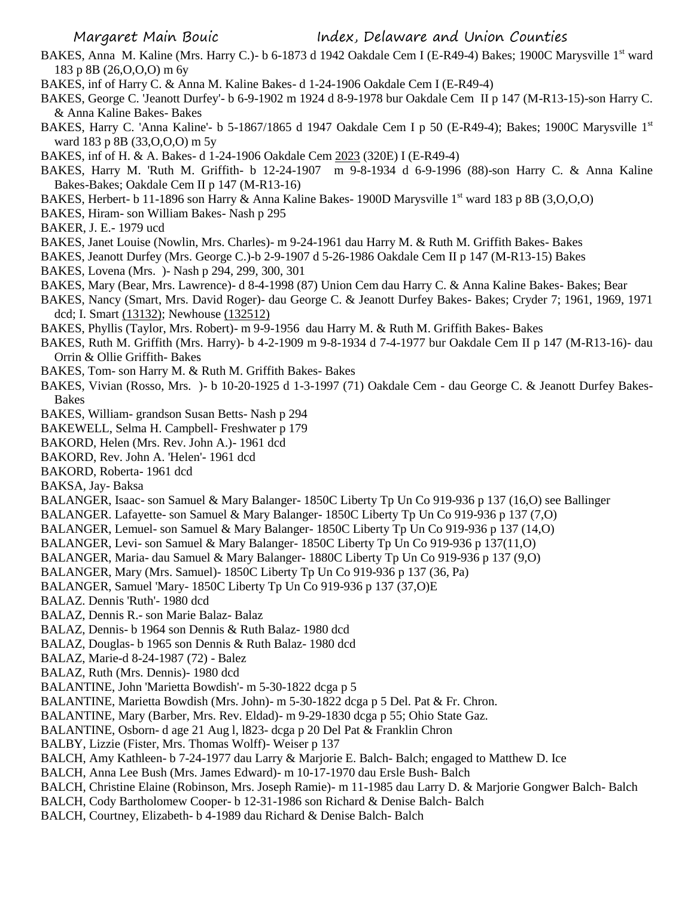- BAKES, Anna M. Kaline (Mrs. Harry C.)- b 6-1873 d 1942 Oakdale Cem I (E-R49-4) Bakes; 1900C Marysville 1st ward 183 p 8B (26,O,O,O) m 6y
- BAKES, inf of Harry C. & Anna M. Kaline Bakes- d 1-24-1906 Oakdale Cem I (E-R49-4)
- BAKES, George C. 'Jeanott Durfey'- b 6-9-1902 m 1924 d 8-9-1978 bur Oakdale Cem II p 147 (M-R13-15)-son Harry C. & Anna Kaline Bakes- Bakes
- BAKES, Harry C. 'Anna Kaline'- b 5-1867/1865 d 1947 Oakdale Cem I p 50 (E-R49-4); Bakes; 1900C Marysville 1<sup>st</sup> ward 183 p 8B (33,O,O,O) m 5y
- BAKES, inf of H. & A. Bakes- d 1-24-1906 Oakdale Cem 2023 (320E) I (E-R49-4)
- BAKES, Harry M. 'Ruth M. Griffith- b 12-24-1907 m 9-8-1934 d 6-9-1996 (88)-son Harry C. & Anna Kaline Bakes-Bakes; Oakdale Cem II p 147 (M-R13-16)
- BAKES, Herbert- b 11-1896 son Harry & Anna Kaline Bakes- 1900D Marysville 1<sup>st</sup> ward 183 p 8B (3,0,0,0)
- BAKES, Hiram- son William Bakes- Nash p 295
- BAKER, J. E.- 1979 ucd
- BAKES, Janet Louise (Nowlin, Mrs. Charles)- m 9-24-1961 dau Harry M. & Ruth M. Griffith Bakes- Bakes
- BAKES, Jeanott Durfey (Mrs. George C.)-b 2-9-1907 d 5-26-1986 Oakdale Cem II p 147 (M-R13-15) Bakes
- BAKES, Lovena (Mrs. )- Nash p 294, 299, 300, 301
- BAKES, Mary (Bear, Mrs. Lawrence)- d 8-4-1998 (87) Union Cem dau Harry C. & Anna Kaline Bakes- Bakes; Bear
- BAKES, Nancy (Smart, Mrs. David Roger)- dau George C. & Jeanott Durfey Bakes- Bakes; Cryder 7; 1961, 1969, 1971 dcd; I. Smart (13132); Newhouse (132512)
- BAKES, Phyllis (Taylor, Mrs. Robert)- m 9-9-1956 dau Harry M. & Ruth M. Griffith Bakes- Bakes
- BAKES, Ruth M. Griffith (Mrs. Harry)- b 4-2-1909 m 9-8-1934 d 7-4-1977 bur Oakdale Cem II p 147 (M-R13-16)- dau Orrin & Ollie Griffith- Bakes
- BAKES, Tom- son Harry M. & Ruth M. Griffith Bakes- Bakes
- BAKES, Vivian (Rosso, Mrs. )- b 10-20-1925 d 1-3-1997 (71) Oakdale Cem dau George C. & Jeanott Durfey Bakes-Bakes
- BAKES, William- grandson Susan Betts- Nash p 294
- BAKEWELL, Selma H. Campbell- Freshwater p 179
- BAKORD, Helen (Mrs. Rev. John A.)- 1961 dcd
- BAKORD, Rev. John A. 'Helen'- 1961 dcd
- BAKORD, Roberta- 1961 dcd
- BAKSA, Jay- Baksa
- BALANGER, Isaac- son Samuel & Mary Balanger- 1850C Liberty Tp Un Co 919-936 p 137 (16,O) see Ballinger
- BALANGER. Lafayette- son Samuel & Mary Balanger- 1850C Liberty Tp Un Co 919-936 p 137 (7,O)
- BALANGER, Lemuel- son Samuel & Mary Balanger- 1850C Liberty Tp Un Co 919-936 p 137 (14,O)
- BALANGER, Levi- son Samuel & Mary Balanger- 1850C Liberty Tp Un Co 919-936 p 137(11,O)
- BALANGER, Maria- dau Samuel & Mary Balanger- 1880C Liberty Tp Un Co 919-936 p 137 (9,O)
- BALANGER, Mary (Mrs. Samuel)- 1850C Liberty Tp Un Co 919-936 p 137 (36, Pa)
- BALANGER, Samuel 'Mary- 1850C Liberty Tp Un Co 919-936 p 137 (37,O)E
- BALAZ. Dennis 'Ruth'- 1980 dcd
- BALAZ, Dennis R.- son Marie Balaz- Balaz
- BALAZ, Dennis- b 1964 son Dennis & Ruth Balaz- 1980 dcd
- BALAZ, Douglas- b 1965 son Dennis & Ruth Balaz- 1980 dcd
- BALAZ, Marie-d 8-24-1987 (72) Balez
- BALAZ, Ruth (Mrs. Dennis)- 1980 dcd
- BALANTINE, John 'Marietta Bowdish'- m 5-30-1822 dcga p 5
- BALANTINE, Marietta Bowdish (Mrs. John)- m 5-30-1822 dcga p 5 Del. Pat & Fr. Chron.
- BALANTINE, Mary (Barber, Mrs. Rev. Eldad)- m 9-29-1830 dcga p 55; Ohio State Gaz.
- BALANTINE, Osborn- d age 21 Aug l, l823- dcga p 20 Del Pat & Franklin Chron
- BALBY, Lizzie (Fister, Mrs. Thomas Wolff)- Weiser p 137
- BALCH, Amy Kathleen- b 7-24-1977 dau Larry & Marjorie E. Balch- Balch; engaged to Matthew D. Ice
- BALCH, Anna Lee Bush (Mrs. James Edward)- m 10-17-1970 dau Ersle Bush- Balch
- BALCH, Christine Elaine (Robinson, Mrs. Joseph Ramie)- m 11-1985 dau Larry D. & Marjorie Gongwer Balch- Balch
- BALCH, Cody Bartholomew Cooper- b 12-31-1986 son Richard & Denise Balch- Balch
- BALCH, Courtney, Elizabeth- b 4-1989 dau Richard & Denise Balch- Balch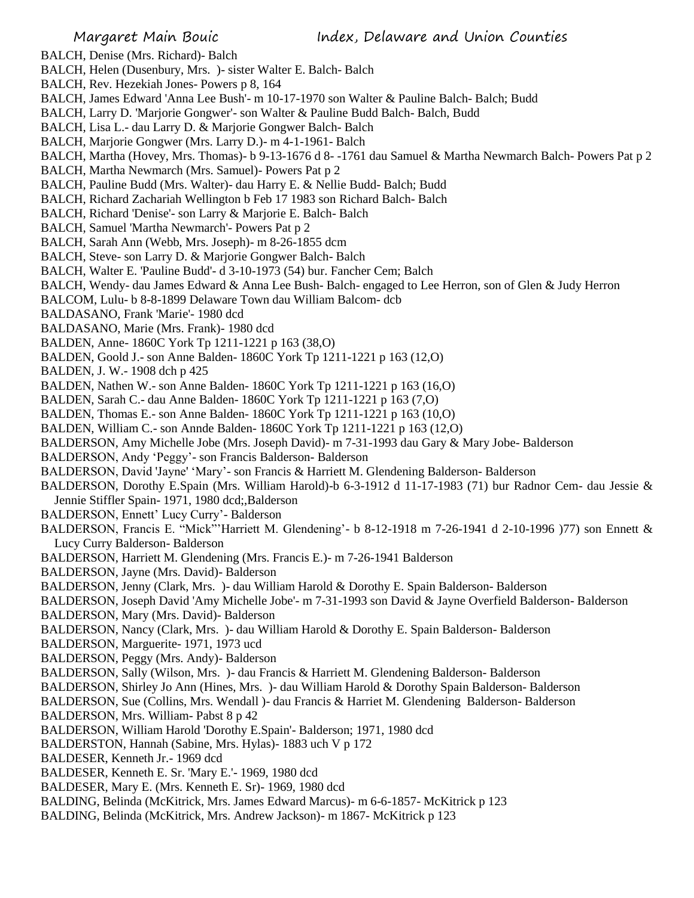BALCH, Denise (Mrs. Richard)- Balch

- BALCH, Helen (Dusenbury, Mrs. )- sister Walter E. Balch- Balch
- BALCH, Rev. Hezekiah Jones- Powers p 8, 164
- BALCH, James Edward 'Anna Lee Bush'- m 10-17-1970 son Walter & Pauline Balch- Balch; Budd
- BALCH, Larry D. 'Marjorie Gongwer'- son Walter & Pauline Budd Balch- Balch, Budd
- BALCH, Lisa L.- dau Larry D. & Marjorie Gongwer Balch- Balch
- BALCH, Marjorie Gongwer (Mrs. Larry D.)- m 4-1-1961- Balch
- BALCH, Martha (Hovey, Mrs. Thomas)- b 9-13-1676 d 8- -1761 dau Samuel & Martha Newmarch Balch- Powers Pat p 2
- BALCH, Martha Newmarch (Mrs. Samuel)- Powers Pat p 2
- BALCH, Pauline Budd (Mrs. Walter)- dau Harry E. & Nellie Budd- Balch; Budd
- BALCH, Richard Zachariah Wellington b Feb 17 1983 son Richard Balch- Balch
- BALCH, Richard 'Denise'- son Larry & Marjorie E. Balch- Balch
- BALCH, Samuel 'Martha Newmarch'- Powers Pat p 2
- BALCH, Sarah Ann (Webb, Mrs. Joseph)- m 8-26-1855 dcm
- BALCH, Steve- son Larry D. & Marjorie Gongwer Balch- Balch
- BALCH, Walter E. 'Pauline Budd'- d 3-10-1973 (54) bur. Fancher Cem; Balch
- BALCH, Wendy- dau James Edward & Anna Lee Bush- Balch- engaged to Lee Herron, son of Glen & Judy Herron
- BALCOM, Lulu- b 8-8-1899 Delaware Town dau William Balcom- dcb
- BALDASANO, Frank 'Marie'- 1980 dcd
- BALDASANO, Marie (Mrs. Frank)- 1980 dcd
- BALDEN, Anne- 1860C York Tp 1211-1221 p 163 (38,O)
- BALDEN, Goold J.- son Anne Balden- 1860C York Tp 1211-1221 p 163 (12,O)
- BALDEN, J. W.- 1908 dch p 425
- BALDEN, Nathen W.- son Anne Balden- 1860C York Tp 1211-1221 p 163 (16,O)
- BALDEN, Sarah C.- dau Anne Balden- 1860C York Tp 1211-1221 p 163 (7,O)
- BALDEN, Thomas E.- son Anne Balden- 1860C York Tp 1211-1221 p 163 (10,O)
- BALDEN, William C.- son Annde Balden- 1860C York Tp 1211-1221 p 163 (12,O)
- BALDERSON, Amy Michelle Jobe (Mrs. Joseph David)- m 7-31-1993 dau Gary & Mary Jobe- Balderson
- BALDERSON, Andy 'Peggy'- son Francis Balderson- Balderson
- BALDERSON, David 'Jayne' 'Mary'- son Francis & Harriett M. Glendening Balderson- Balderson
- BALDERSON, Dorothy E.Spain (Mrs. William Harold)-b 6-3-1912 d 11-17-1983 (71) bur Radnor Cem- dau Jessie & Jennie Stiffler Spain- 1971, 1980 dcd;,Balderson
- BALDERSON, Ennett' Lucy Curry'- Balderson
- BALDERSON, Francis E. "Mick"'Harriett M. Glendening'- b 8-12-1918 m 7-26-1941 d 2-10-1996 )77) son Ennett & Lucy Curry Balderson- Balderson
- BALDERSON, Harriett M. Glendening (Mrs. Francis E.)- m 7-26-1941 Balderson
- BALDERSON, Jayne (Mrs. David)- Balderson
- BALDERSON, Jenny (Clark, Mrs. )- dau William Harold & Dorothy E. Spain Balderson- Balderson
- BALDERSON, Joseph David 'Amy Michelle Jobe'- m 7-31-1993 son David & Jayne Overfield Balderson- Balderson
- BALDERSON, Mary (Mrs. David)- Balderson
- BALDERSON, Nancy (Clark, Mrs. )- dau William Harold & Dorothy E. Spain Balderson- Balderson
- BALDERSON, Marguerite- 1971, 1973 ucd
- BALDERSON, Peggy (Mrs. Andy)- Balderson
- BALDERSON, Sally (Wilson, Mrs. )- dau Francis & Harriett M. Glendening Balderson- Balderson
- BALDERSON, Shirley Jo Ann (Hines, Mrs. )- dau William Harold & Dorothy Spain Balderson- Balderson
- BALDERSON, Sue (Collins, Mrs. Wendall )- dau Francis & Harriet M. Glendening Balderson- Balderson
- BALDERSON, Mrs. William- Pabst 8 p 42
- BALDERSON, William Harold 'Dorothy E.Spain'- Balderson; 1971, 1980 dcd
- BALDERSTON, Hannah (Sabine, Mrs. Hylas)- 1883 uch V p 172
- BALDESER, Kenneth Jr.- 1969 dcd
- BALDESER, Kenneth E. Sr. 'Mary E.'- 1969, 1980 dcd
- BALDESER, Mary E. (Mrs. Kenneth E. Sr)- 1969, 1980 dcd
- BALDING, Belinda (McKitrick, Mrs. James Edward Marcus)- m 6-6-1857- McKitrick p 123
- BALDING, Belinda (McKitrick, Mrs. Andrew Jackson)- m 1867- McKitrick p 123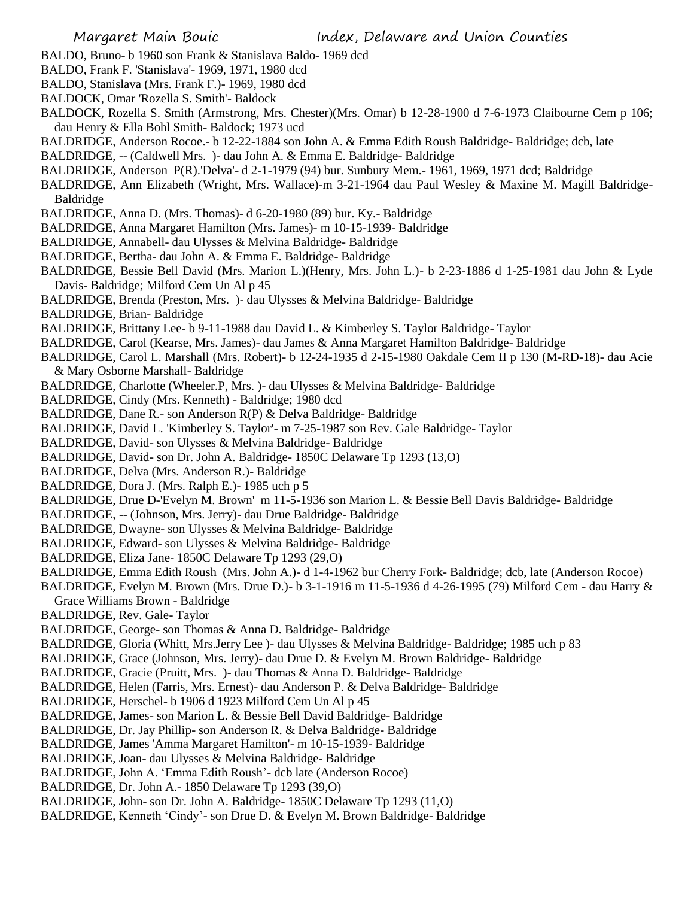- BALDO, Bruno- b 1960 son Frank & Stanislava Baldo- 1969 dcd
- BALDO, Frank F. 'Stanislava'- 1969, 1971, 1980 dcd
- BALDO, Stanislava (Mrs. Frank F.)- 1969, 1980 dcd
- BALDOCK, Omar 'Rozella S. Smith'- Baldock
- BALDOCK, Rozella S. Smith (Armstrong, Mrs. Chester)(Mrs. Omar) b 12-28-1900 d 7-6-1973 Claibourne Cem p 106; dau Henry & Ella Bohl Smith- Baldock; 1973 ucd
- BALDRIDGE, Anderson Rocoe.- b 12-22-1884 son John A. & Emma Edith Roush Baldridge- Baldridge; dcb, late
- BALDRIDGE, -- (Caldwell Mrs. )- dau John A. & Emma E. Baldridge- Baldridge
- BALDRIDGE, Anderson P(R).'Delva'- d 2-1-1979 (94) bur. Sunbury Mem.- 1961, 1969, 1971 dcd; Baldridge
- BALDRIDGE, Ann Elizabeth (Wright, Mrs. Wallace)-m 3-21-1964 dau Paul Wesley & Maxine M. Magill Baldridge-Baldridge
- BALDRIDGE, Anna D. (Mrs. Thomas)- d 6-20-1980 (89) bur. Ky.- Baldridge
- BALDRIDGE, Anna Margaret Hamilton (Mrs. James)- m 10-15-1939- Baldridge
- BALDRIDGE, Annabell- dau Ulysses & Melvina Baldridge- Baldridge
- BALDRIDGE, Bertha- dau John A. & Emma E. Baldridge- Baldridge
- BALDRIDGE, Bessie Bell David (Mrs. Marion L.)(Henry, Mrs. John L.)- b 2-23-1886 d 1-25-1981 dau John & Lyde Davis- Baldridge; Milford Cem Un Al p 45
- BALDRIDGE, Brenda (Preston, Mrs. )- dau Ulysses & Melvina Baldridge- Baldridge
- BALDRIDGE, Brian- Baldridge
- BALDRIDGE, Brittany Lee- b 9-11-1988 dau David L. & Kimberley S. Taylor Baldridge- Taylor
- BALDRIDGE, Carol (Kearse, Mrs. James)- dau James & Anna Margaret Hamilton Baldridge- Baldridge
- BALDRIDGE, Carol L. Marshall (Mrs. Robert)- b 12-24-1935 d 2-15-1980 Oakdale Cem II p 130 (M-RD-18)- dau Acie & Mary Osborne Marshall- Baldridge
- BALDRIDGE, Charlotte (Wheeler.P, Mrs. )- dau Ulysses & Melvina Baldridge- Baldridge
- BALDRIDGE, Cindy (Mrs. Kenneth) Baldridge; 1980 dcd
- BALDRIDGE, Dane R.- son Anderson R(P) & Delva Baldridge- Baldridge
- BALDRIDGE, David L. 'Kimberley S. Taylor'- m 7-25-1987 son Rev. Gale Baldridge- Taylor
- BALDRIDGE, David- son Ulysses & Melvina Baldridge- Baldridge
- BALDRIDGE, David- son Dr. John A. Baldridge- 1850C Delaware Tp 1293 (13,O)
- BALDRIDGE, Delva (Mrs. Anderson R.)- Baldridge
- BALDRIDGE, Dora J. (Mrs. Ralph E.)- 1985 uch p 5
- BALDRIDGE, Drue D-'Evelyn M. Brown' m 11-5-1936 son Marion L. & Bessie Bell Davis Baldridge- Baldridge
- BALDRIDGE, -- (Johnson, Mrs. Jerry)- dau Drue Baldridge- Baldridge
- BALDRIDGE, Dwayne- son Ulysses & Melvina Baldridge- Baldridge
- BALDRIDGE, Edward- son Ulysses & Melvina Baldridge- Baldridge
- BALDRIDGE, Eliza Jane- 1850C Delaware Tp 1293 (29,O)
- BALDRIDGE, Emma Edith Roush (Mrs. John A.)- d 1-4-1962 bur Cherry Fork- Baldridge; dcb, late (Anderson Rocoe)
- BALDRIDGE, Evelyn M. Brown (Mrs. Drue D.)- b 3-1-1916 m 11-5-1936 d 4-26-1995 (79) Milford Cem dau Harry & Grace Williams Brown - Baldridge
- BALDRIDGE, Rev. Gale- Taylor
- BALDRIDGE, George- son Thomas & Anna D. Baldridge- Baldridge
- BALDRIDGE, Gloria (Whitt, Mrs.Jerry Lee )- dau Ulysses & Melvina Baldridge- Baldridge; 1985 uch p 83
- BALDRIDGE, Grace (Johnson, Mrs. Jerry)- dau Drue D. & Evelyn M. Brown Baldridge- Baldridge
- BALDRIDGE, Gracie (Pruitt, Mrs. )- dau Thomas & Anna D. Baldridge- Baldridge
- BALDRIDGE, Helen (Farris, Mrs. Ernest)- dau Anderson P. & Delva Baldridge- Baldridge
- BALDRIDGE, Herschel- b 1906 d 1923 Milford Cem Un Al p 45
- BALDRIDGE, James- son Marion L. & Bessie Bell David Baldridge- Baldridge
- BALDRIDGE, Dr. Jay Phillip- son Anderson R. & Delva Baldridge- Baldridge
- BALDRIDGE, James 'Amma Margaret Hamilton'- m 10-15-1939- Baldridge
- BALDRIDGE, Joan- dau Ulysses & Melvina Baldridge- Baldridge
- BALDRIDGE, John A. 'Emma Edith Roush'- dcb late (Anderson Rocoe)
- BALDRIDGE, Dr. John A.- 1850 Delaware Tp 1293 (39,O)
- BALDRIDGE, John- son Dr. John A. Baldridge- 1850C Delaware Tp 1293 (11,O)
- BALDRIDGE, Kenneth 'Cindy'- son Drue D. & Evelyn M. Brown Baldridge- Baldridge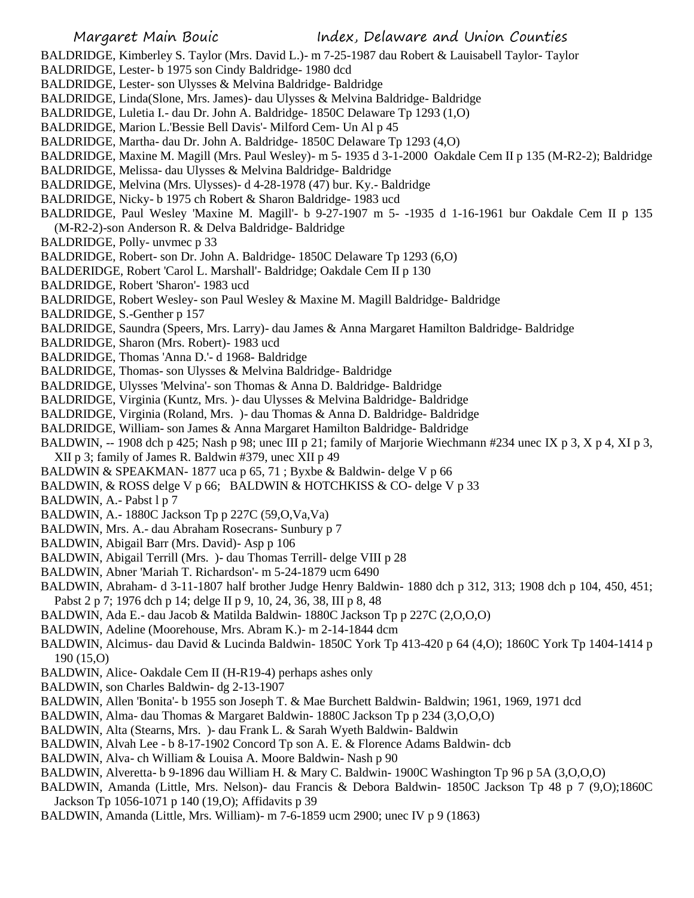BALDRIDGE, Kimberley S. Taylor (Mrs. David L.)- m 7-25-1987 dau Robert & Lauisabell Taylor- Taylor

BALDRIDGE, Lester- b 1975 son Cindy Baldridge- 1980 dcd

BALDRIDGE, Lester- son Ulysses & Melvina Baldridge- Baldridge

BALDRIDGE, Linda(Slone, Mrs. James)- dau Ulysses & Melvina Baldridge- Baldridge

BALDRIDGE, Luletia I.- dau Dr. John A. Baldridge- 1850C Delaware Tp 1293 (1,O)

BALDRIDGE, Marion L.'Bessie Bell Davis'- Milford Cem- Un Al p 45

BALDRIDGE, Martha- dau Dr. John A. Baldridge- 1850C Delaware Tp 1293 (4,O)

BALDRIDGE, Maxine M. Magill (Mrs. Paul Wesley)- m 5- 1935 d 3-1-2000 Oakdale Cem II p 135 (M-R2-2); Baldridge

BALDRIDGE, Melissa- dau Ulysses & Melvina Baldridge- Baldridge

BALDRIDGE, Melvina (Mrs. Ulysses)- d 4-28-1978 (47) bur. Ky.- Baldridge

BALDRIDGE, Nicky- b 1975 ch Robert & Sharon Baldridge- 1983 ucd

BALDRIDGE, Paul Wesley 'Maxine M. Magill'- b 9-27-1907 m 5- -1935 d 1-16-1961 bur Oakdale Cem II p 135 (M-R2-2)-son Anderson R. & Delva Baldridge- Baldridge

BALDRIDGE, Polly- unvmec p 33

BALDRIDGE, Robert- son Dr. John A. Baldridge- 1850C Delaware Tp 1293 (6,O)

BALDERIDGE, Robert 'Carol L. Marshall'- Baldridge; Oakdale Cem II p 130

BALDRIDGE, Robert 'Sharon'- 1983 ucd

BALDRIDGE, Robert Wesley- son Paul Wesley & Maxine M. Magill Baldridge- Baldridge

BALDRIDGE, S.-Genther p 157

BALDRIDGE, Saundra (Speers, Mrs. Larry)- dau James & Anna Margaret Hamilton Baldridge- Baldridge

BALDRIDGE, Sharon (Mrs. Robert)- 1983 ucd

BALDRIDGE, Thomas 'Anna D.'- d 1968- Baldridge

BALDRIDGE, Thomas- son Ulysses & Melvina Baldridge- Baldridge

BALDRIDGE, Ulysses 'Melvina'- son Thomas & Anna D. Baldridge- Baldridge

BALDRIDGE, Virginia (Kuntz, Mrs. )- dau Ulysses & Melvina Baldridge- Baldridge

BALDRIDGE, Virginia (Roland, Mrs. )- dau Thomas & Anna D. Baldridge- Baldridge

BALDRIDGE, William- son James & Anna Margaret Hamilton Baldridge- Baldridge

BALDWIN, -- 1908 dch p 425; Nash p 98; unec III p 21; family of Marjorie Wiechmann #234 unec IX p 3, X p 4, XI p 3,

XII p 3; family of James R. Baldwin #379, unec XII p 49

BALDWIN & SPEAKMAN- 1877 uca p 65, 71 ; Byxbe & Baldwin- delge V p 66

BALDWIN, & ROSS delge V p 66; BALDWIN & HOTCHKISS & CO- delge V p 33

BALDWIN, A.- Pabst 1 p 7

BALDWIN, A.- 1880C Jackson Tp p 227C (59,O,Va,Va)

BALDWIN, Mrs. A.- dau Abraham Rosecrans- Sunbury p 7

BALDWIN, Abigail Barr (Mrs. David)- Asp p 106

BALDWIN, Abigail Terrill (Mrs. )- dau Thomas Terrill- delge VIII p 28

BALDWIN, Abner 'Mariah T. Richardson'- m 5-24-1879 ucm 6490

BALDWIN, Abraham- d 3-11-1807 half brother Judge Henry Baldwin- 1880 dch p 312, 313; 1908 dch p 104, 450, 451; Pabst 2 p 7; 1976 dch p 14; delge II p 9, 10, 24, 36, 38, III p 8, 48

BALDWIN, Ada E.- dau Jacob & Matilda Baldwin- 1880C Jackson Tp p 227C (2,O,O,O)

BALDWIN, Adeline (Moorehouse, Mrs. Abram K.)- m 2-14-1844 dcm

BALDWIN, Alcimus- dau David & Lucinda Baldwin- 1850C York Tp 413-420 p 64 (4,O); 1860C York Tp 1404-1414 p 190 (15,O)

BALDWIN, Alice- Oakdale Cem II (H-R19-4) perhaps ashes only

BALDWIN, son Charles Baldwin- dg 2-13-1907

BALDWIN, Allen 'Bonita'- b 1955 son Joseph T. & Mae Burchett Baldwin- Baldwin; 1961, 1969, 1971 dcd

BALDWIN, Alma- dau Thomas & Margaret Baldwin- 1880C Jackson Tp p 234 (3,O,O,O)

BALDWIN, Alta (Stearns, Mrs. )- dau Frank L. & Sarah Wyeth Baldwin- Baldwin

BALDWIN, Alvah Lee - b 8-17-1902 Concord Tp son A. E. & Florence Adams Baldwin- dcb

BALDWIN, Alva- ch William & Louisa A. Moore Baldwin- Nash p 90

BALDWIN, Alveretta- b 9-1896 dau William H. & Mary C. Baldwin- 1900C Washington Tp 96 p 5A (3,O,O,O)

BALDWIN, Amanda (Little, Mrs. Nelson)- dau Francis & Debora Baldwin- 1850C Jackson Tp 48 p 7 (9,O);1860C Jackson Tp 1056-1071 p 140 (19,O); Affidavits p 39

BALDWIN, Amanda (Little, Mrs. William)- m 7-6-1859 ucm 2900; unec IV p 9 (1863)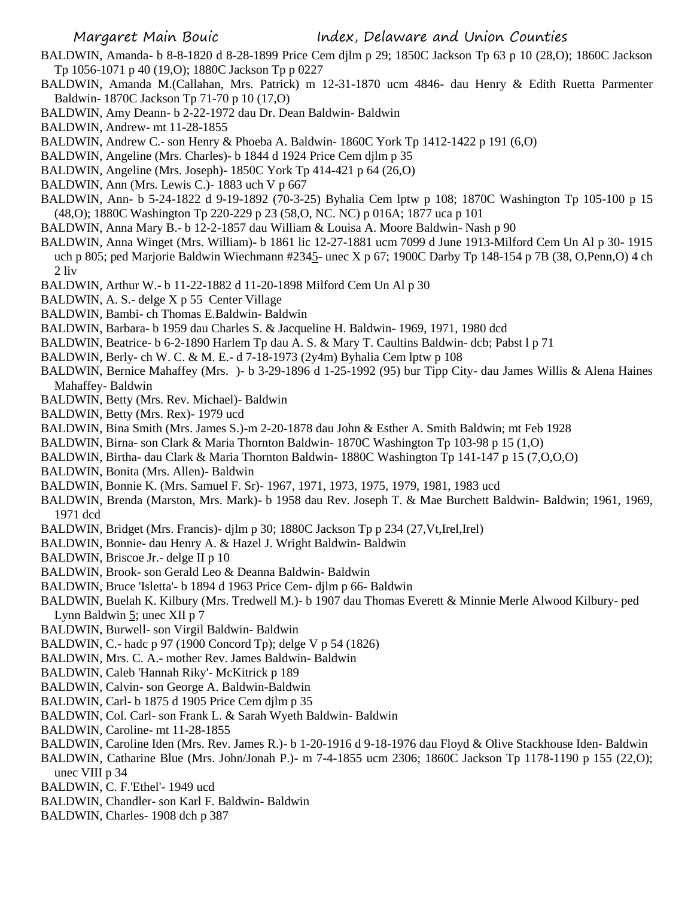- BALDWIN, Amanda- b 8-8-1820 d 8-28-1899 Price Cem djlm p 29; 1850C Jackson Tp 63 p 10 (28,O); 1860C Jackson Tp 1056-1071 p 40 (19,O); 1880C Jackson Tp p 0227
- BALDWIN, Amanda M.(Callahan, Mrs. Patrick) m 12-31-1870 ucm 4846- dau Henry & Edith Ruetta Parmenter Baldwin- 1870C Jackson Tp 71-70 p 10 (17,O)
- BALDWIN, Amy Deann- b 2-22-1972 dau Dr. Dean Baldwin- Baldwin
- BALDWIN, Andrew- mt 11-28-1855
- BALDWIN, Andrew C.- son Henry & Phoeba A. Baldwin- 1860C York Tp 1412-1422 p 191 (6,O)
- BALDWIN, Angeline (Mrs. Charles)- b 1844 d 1924 Price Cem djlm p 35
- BALDWIN, Angeline (Mrs. Joseph)- 1850C York Tp 414-421 p 64 (26,O)
- BALDWIN, Ann (Mrs. Lewis C.)- 1883 uch V p 667
- BALDWIN, Ann- b 5-24-1822 d 9-19-1892 (70-3-25) Byhalia Cem lptw p 108; 1870C Washington Tp 105-100 p 15 (48,O); 1880C Washington Tp 220-229 p 23 (58,O, NC. NC) p 016A; 1877 uca p 101
- BALDWIN, Anna Mary B.- b 12-2-1857 dau William & Louisa A. Moore Baldwin- Nash p 90
- BALDWIN, Anna Winget (Mrs. William)- b 1861 lic 12-27-1881 ucm 7099 d June 1913-Milford Cem Un Al p 30- 1915 uch p 805; ped Marjorie Baldwin Wiechmann #2345- unec X p 67; 1900C Darby Tp 148-154 p 7B (38, O,Penn,O) 4 ch 2 liv
- BALDWIN, Arthur W.- b 11-22-1882 d 11-20-1898 Milford Cem Un Al p 30
- BALDWIN, A. S.- delge X p 55 Center Village
- BALDWIN, Bambi- ch Thomas E.Baldwin- Baldwin
- BALDWIN, Barbara- b 1959 dau Charles S. & Jacqueline H. Baldwin- 1969, 1971, 1980 dcd
- BALDWIN, Beatrice- b 6-2-1890 Harlem Tp dau A. S. & Mary T. Caultins Baldwin- dcb; Pabst l p 71
- BALDWIN, Berly- ch W. C. & M. E.- d 7-18-1973 (2y4m) Byhalia Cem lptw p 108
- BALDWIN, Bernice Mahaffey (Mrs. )- b 3-29-1896 d 1-25-1992 (95) bur Tipp City- dau James Willis & Alena Haines Mahaffey- Baldwin
- BALDWIN, Betty (Mrs. Rev. Michael)- Baldwin
- BALDWIN, Betty (Mrs. Rex)- 1979 ucd
- BALDWIN, Bina Smith (Mrs. James S.)-m 2-20-1878 dau John & Esther A. Smith Baldwin; mt Feb 1928
- BALDWIN, Birna- son Clark & Maria Thornton Baldwin- 1870C Washington Tp 103-98 p 15 (1,O)
- BALDWIN, Birtha- dau Clark & Maria Thornton Baldwin- 1880C Washington Tp 141-147 p 15 (7,O,O,O)
- BALDWIN, Bonita (Mrs. Allen)- Baldwin
- BALDWIN, Bonnie K. (Mrs. Samuel F. Sr)- 1967, 1971, 1973, 1975, 1979, 1981, 1983 ucd
- BALDWIN, Brenda (Marston, Mrs. Mark)- b 1958 dau Rev. Joseph T. & Mae Burchett Baldwin- Baldwin; 1961, 1969, 1971 dcd
- BALDWIN, Bridget (Mrs. Francis) djlm p 30; 1880C Jackson Tp p 234 (27, Vt, Irel, Irel)
- BALDWIN, Bonnie- dau Henry A. & Hazel J. Wright Baldwin- Baldwin
- BALDWIN, Briscoe Jr.- delge II p 10
- BALDWIN, Brook- son Gerald Leo & Deanna Baldwin- Baldwin
- BALDWIN, Bruce 'Isletta'- b 1894 d 1963 Price Cem- djlm p 66- Baldwin
- BALDWIN, Buelah K. Kilbury (Mrs. Tredwell M.)- b 1907 dau Thomas Everett & Minnie Merle Alwood Kilbury- ped Lynn Baldwin  $\frac{5}{2}$ ; unec XII p 7
- BALDWIN, Burwell- son Virgil Baldwin- Baldwin
- BALDWIN, C.- hadc p 97 (1900 Concord Tp); delge V p 54 (1826)
- BALDWIN, Mrs. C. A.- mother Rev. James Baldwin- Baldwin
- BALDWIN, Caleb 'Hannah Riky'- McKitrick p 189
- BALDWIN, Calvin- son George A. Baldwin-Baldwin
- BALDWIN, Carl- b 1875 d 1905 Price Cem djlm p 35
- BALDWIN, Col. Carl- son Frank L. & Sarah Wyeth Baldwin- Baldwin
- BALDWIN, Caroline- mt 11-28-1855
- BALDWIN, Caroline Iden (Mrs. Rev. James R.)- b 1-20-1916 d 9-18-1976 dau Floyd & Olive Stackhouse Iden- Baldwin
- BALDWIN, Catharine Blue (Mrs. John/Jonah P.)- m 7-4-1855 ucm 2306; 1860C Jackson Tp 1178-1190 p 155 (22,O); unec VIII p 34
- BALDWIN, C. F.'Ethel'- 1949 ucd
- BALDWIN, Chandler- son Karl F. Baldwin- Baldwin
- BALDWIN, Charles- 1908 dch p 387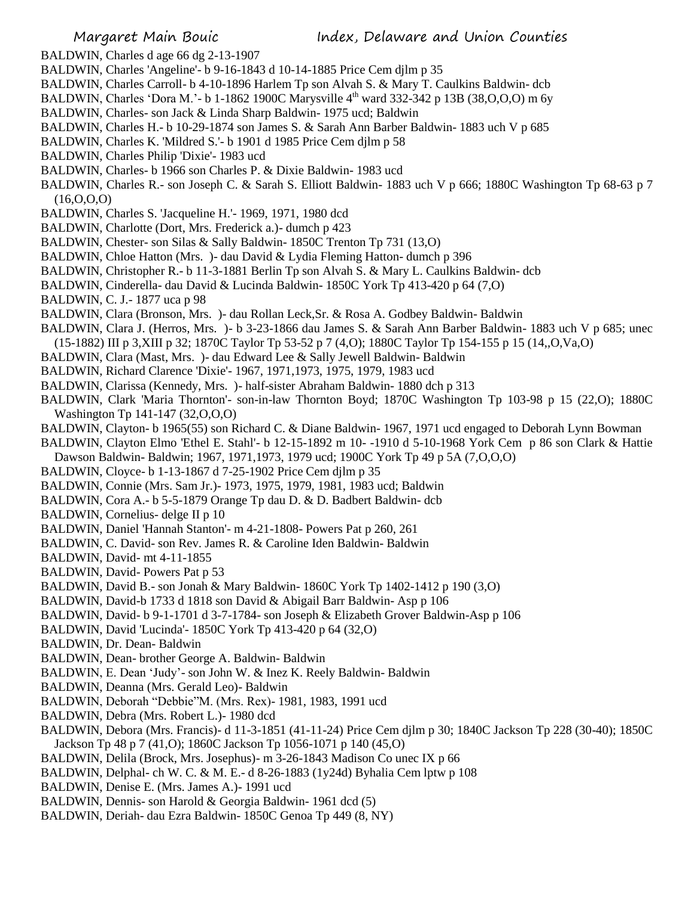- BALDWIN, Charles d age 66 dg 2-13-1907
- BALDWIN, Charles 'Angeline'- b 9-16-1843 d 10-14-1885 Price Cem djlm p 35
- BALDWIN, Charles Carroll- b 4-10-1896 Harlem Tp son Alvah S. & Mary T. Caulkins Baldwin- dcb
- BALDWIN, Charles 'Dora M.' b 1-1862 1900C Marysville  $4<sup>th</sup>$  ward 332-342 p 13B (38,0,0,0) m 6y
- BALDWIN, Charles- son Jack & Linda Sharp Baldwin- 1975 ucd; Baldwin
- BALDWIN, Charles H.- b 10-29-1874 son James S. & Sarah Ann Barber Baldwin- 1883 uch V p 685
- BALDWIN, Charles K. 'Mildred S.'- b 1901 d 1985 Price Cem djlm p 58
- BALDWIN, Charles Philip 'Dixie'- 1983 ucd
- BALDWIN, Charles- b 1966 son Charles P. & Dixie Baldwin- 1983 ucd
- BALDWIN, Charles R.- son Joseph C. & Sarah S. Elliott Baldwin- 1883 uch V p 666; 1880C Washington Tp 68-63 p 7  $(16, 0, 0, 0)$
- BALDWIN, Charles S. 'Jacqueline H.'- 1969, 1971, 1980 dcd
- BALDWIN, Charlotte (Dort, Mrs. Frederick a.)- dumch p 423
- BALDWIN, Chester- son Silas & Sally Baldwin- 1850C Trenton Tp 731 (13,O)
- BALDWIN, Chloe Hatton (Mrs. )- dau David & Lydia Fleming Hatton- dumch p 396
- BALDWIN, Christopher R.- b 11-3-1881 Berlin Tp son Alvah S. & Mary L. Caulkins Baldwin- dcb
- BALDWIN, Cinderella- dau David & Lucinda Baldwin- 1850C York Tp 413-420 p 64 (7,O)
- BALDWIN, C. J.- 1877 uca p 98
- BALDWIN, Clara (Bronson, Mrs. )- dau Rollan Leck,Sr. & Rosa A. Godbey Baldwin- Baldwin
- BALDWIN, Clara J. (Herros, Mrs. )- b 3-23-1866 dau James S. & Sarah Ann Barber Baldwin- 1883 uch V p 685; unec (15-1882) III p 3,XIII p 32; 1870C Taylor Tp 53-52 p 7 (4,O); 1880C Taylor Tp 154-155 p 15 (14,,O,Va,O)
- BALDWIN, Clara (Mast, Mrs. )- dau Edward Lee & Sally Jewell Baldwin- Baldwin
- BALDWIN, Richard Clarence 'Dixie'- 1967, 1971,1973, 1975, 1979, 1983 ucd
- BALDWIN, Clarissa (Kennedy, Mrs. )- half-sister Abraham Baldwin- 1880 dch p 313
- BALDWIN, Clark 'Maria Thornton'- son-in-law Thornton Boyd; 1870C Washington Tp 103-98 p 15 (22,O); 1880C Washington Tp 141-147 (32,O,O,O)
- BALDWIN, Clayton- b 1965(55) son Richard C. & Diane Baldwin- 1967, 1971 ucd engaged to Deborah Lynn Bowman
- BALDWIN, Clayton Elmo 'Ethel E. Stahl'- b 12-15-1892 m 10- -1910 d 5-10-1968 York Cem p 86 son Clark & Hattie
- Dawson Baldwin- Baldwin; 1967, 1971,1973, 1979 ucd; 1900C York Tp 49 p 5A (7,O,O,O)
- BALDWIN, Cloyce- b 1-13-1867 d 7-25-1902 Price Cem djlm p 35
- BALDWIN, Connie (Mrs. Sam Jr.)- 1973, 1975, 1979, 1981, 1983 ucd; Baldwin
- BALDWIN, Cora A.- b 5-5-1879 Orange Tp dau D. & D. Badbert Baldwin- dcb
- BALDWIN, Cornelius- delge II p 10
- BALDWIN, Daniel 'Hannah Stanton'- m 4-21-1808- Powers Pat p 260, 261
- BALDWIN, C. David- son Rev. James R. & Caroline Iden Baldwin- Baldwin
- BALDWIN, David- mt 4-11-1855
- BALDWIN, David- Powers Pat p 53
- BALDWIN, David B.- son Jonah & Mary Baldwin- 1860C York Tp 1402-1412 p 190 (3,O)
- BALDWIN, David-b 1733 d 1818 son David & Abigail Barr Baldwin- Asp p 106
- BALDWIN, David- b 9-1-1701 d 3-7-1784- son Joseph & Elizabeth Grover Baldwin-Asp p 106
- BALDWIN, David 'Lucinda'- 1850C York Tp 413-420 p 64 (32,O)
- BALDWIN, Dr. Dean- Baldwin
- BALDWIN, Dean- brother George A. Baldwin- Baldwin
- BALDWIN, E. Dean 'Judy'- son John W. & Inez K. Reely Baldwin- Baldwin
- BALDWIN, Deanna (Mrs. Gerald Leo)- Baldwin
- BALDWIN, Deborah "Debbie"M. (Mrs. Rex)- 1981, 1983, 1991 ucd
- BALDWIN, Debra (Mrs. Robert L.)- 1980 dcd
- BALDWIN, Debora (Mrs. Francis)- d 11-3-1851 (41-11-24) Price Cem djlm p 30; 1840C Jackson Tp 228 (30-40); 1850C Jackson Tp 48 p 7 (41,O); 1860C Jackson Tp 1056-1071 p 140 (45,O)
- BALDWIN, Delila (Brock, Mrs. Josephus)- m 3-26-1843 Madison Co unec IX p 66
- BALDWIN, Delphal- ch W. C. & M. E.- d 8-26-1883 (1y24d) Byhalia Cem lptw p 108
- BALDWIN, Denise E. (Mrs. James A.)- 1991 ucd
- BALDWIN, Dennis- son Harold & Georgia Baldwin- 1961 dcd (5)
- BALDWIN, Deriah- dau Ezra Baldwin- 1850C Genoa Tp 449 (8, NY)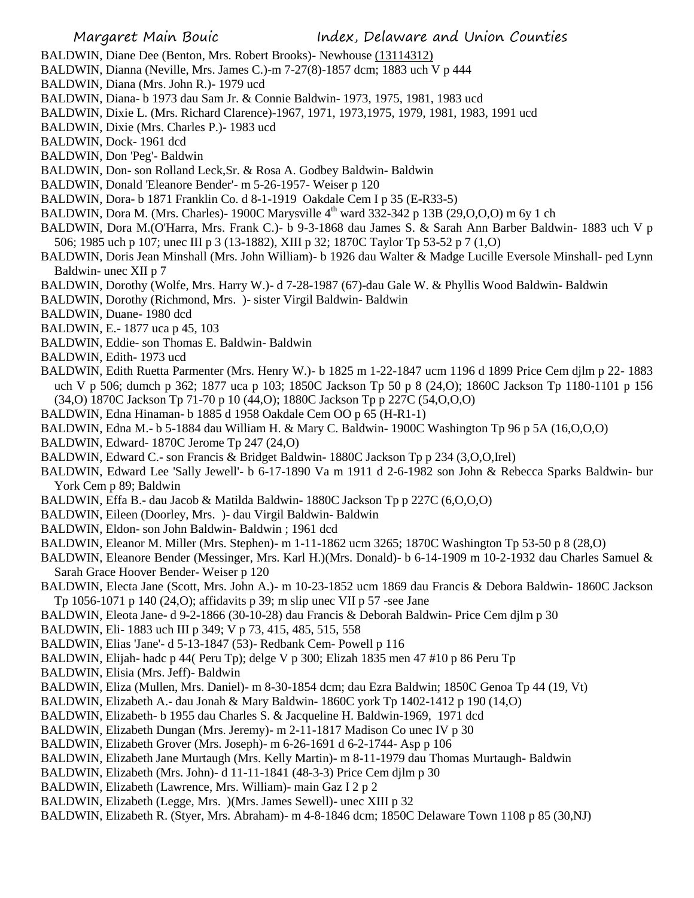- BALDWIN, Diane Dee (Benton, Mrs. Robert Brooks)- Newhouse (13114312)
- BALDWIN, Dianna (Neville, Mrs. James C.)-m 7-27(8)-1857 dcm; 1883 uch V p 444
- BALDWIN, Diana (Mrs. John R.)- 1979 ucd
- BALDWIN, Diana- b 1973 dau Sam Jr. & Connie Baldwin- 1973, 1975, 1981, 1983 ucd
- BALDWIN, Dixie L. (Mrs. Richard Clarence)-1967, 1971, 1973,1975, 1979, 1981, 1983, 1991 ucd
- BALDWIN, Dixie (Mrs. Charles P.)- 1983 ucd
- BALDWIN, Dock- 1961 dcd
- BALDWIN, Don 'Peg'- Baldwin
- BALDWIN, Don- son Rolland Leck,Sr. & Rosa A. Godbey Baldwin- Baldwin
- BALDWIN, Donald 'Eleanore Bender'- m 5-26-1957- Weiser p 120
- BALDWIN, Dora- b 1871 Franklin Co. d 8-1-1919 Oakdale Cem I p 35 (E-R33-5)
- BALDWIN, Dora M. (Mrs. Charles)-1900C Marysville  $4<sup>th</sup>$  ward 332-342 p 13B (29,0,0,0) m 6y 1 ch
- BALDWIN, Dora M.(O'Harra, Mrs. Frank C.)- b 9-3-1868 dau James S. & Sarah Ann Barber Baldwin- 1883 uch V p 506; 1985 uch p 107; unec III p 3 (13-1882), XIII p 32; 1870C Taylor Tp 53-52 p 7 (1,O)
- BALDWIN, Doris Jean Minshall (Mrs. John William)- b 1926 dau Walter & Madge Lucille Eversole Minshall- ped Lynn Baldwin- unec XII p 7
- BALDWIN, Dorothy (Wolfe, Mrs. Harry W.)- d 7-28-1987 (67)-dau Gale W. & Phyllis Wood Baldwin- Baldwin
- BALDWIN, Dorothy (Richmond, Mrs. )- sister Virgil Baldwin- Baldwin
- BALDWIN, Duane- 1980 dcd
- BALDWIN, E.- 1877 uca p 45, 103
- BALDWIN, Eddie- son Thomas E. Baldwin- Baldwin
- BALDWIN, Edith- 1973 ucd
- BALDWIN, Edith Ruetta Parmenter (Mrs. Henry W.)- b 1825 m 1-22-1847 ucm 1196 d 1899 Price Cem djlm p 22- 1883 uch V p 506; dumch p 362; 1877 uca p 103; 1850C Jackson Tp 50 p 8 (24,O); 1860C Jackson Tp 1180-1101 p 156 (34,O) 1870C Jackson Tp 71-70 p 10 (44,O); 1880C Jackson Tp p 227C (54,O,O,O)
- BALDWIN, Edna Hinaman- b 1885 d 1958 Oakdale Cem OO p 65 (H-R1-1)
- BALDWIN, Edna M.- b 5-1884 dau William H. & Mary C. Baldwin- 1900C Washington Tp 96 p 5A (16,O,O,O)
- BALDWIN, Edward- 1870C Jerome Tp 247 (24,O)
- BALDWIN, Edward C.- son Francis & Bridget Baldwin- 1880C Jackson Tp p 234 (3,O,O,Irel)
- BALDWIN, Edward Lee 'Sally Jewell'- b 6-17-1890 Va m 1911 d 2-6-1982 son John & Rebecca Sparks Baldwin- bur York Cem p 89; Baldwin
- BALDWIN, Effa B.- dau Jacob & Matilda Baldwin- 1880C Jackson Tp p 227C (6,O,O,O)
- BALDWIN, Eileen (Doorley, Mrs. )- dau Virgil Baldwin- Baldwin
- BALDWIN, Eldon- son John Baldwin- Baldwin ; 1961 dcd
- BALDWIN, Eleanor M. Miller (Mrs. Stephen)- m 1-11-1862 ucm 3265; 1870C Washington Tp 53-50 p 8 (28,O)
- BALDWIN, Eleanore Bender (Messinger, Mrs. Karl H.)(Mrs. Donald)- b 6-14-1909 m 10-2-1932 dau Charles Samuel & Sarah Grace Hoover Bender- Weiser p 120
- BALDWIN, Electa Jane (Scott, Mrs. John A.)- m 10-23-1852 ucm 1869 dau Francis & Debora Baldwin- 1860C Jackson Tp 1056-1071 p 140 (24,O); affidavits p 39; m slip unec VII p 57 -see Jane
- BALDWIN, Eleota Jane- d 9-2-1866 (30-10-28) dau Francis & Deborah Baldwin- Price Cem djlm p 30
- BALDWIN, Eli- 1883 uch III p 349; V p 73, 415, 485, 515, 558
- BALDWIN, Elias 'Jane'- d 5-13-1847 (53)- Redbank Cem- Powell p 116
- BALDWIN, Elijah- hadc p 44( Peru Tp); delge V p 300; Elizah 1835 men 47 #10 p 86 Peru Tp
- BALDWIN, Elisia (Mrs. Jeff)- Baldwin
- BALDWIN, Eliza (Mullen, Mrs. Daniel)- m 8-30-1854 dcm; dau Ezra Baldwin; 1850C Genoa Tp 44 (19, Vt)
- BALDWIN, Elizabeth A.- dau Jonah & Mary Baldwin- 1860C york Tp 1402-1412 p 190 (14,O)
- BALDWIN, Elizabeth- b 1955 dau Charles S. & Jacqueline H. Baldwin-1969, 1971 dcd
- BALDWIN, Elizabeth Dungan (Mrs. Jeremy)- m 2-11-1817 Madison Co unec IV p 30
- BALDWIN, Elizabeth Grover (Mrs. Joseph)- m 6-26-1691 d 6-2-1744- Asp p 106
- BALDWIN, Elizabeth Jane Murtaugh (Mrs. Kelly Martin)- m 8-11-1979 dau Thomas Murtaugh- Baldwin
- BALDWIN, Elizabeth (Mrs. John)- d 11-11-1841 (48-3-3) Price Cem djlm p 30
- BALDWIN, Elizabeth (Lawrence, Mrs. William)- main Gaz I 2 p 2
- BALDWIN, Elizabeth (Legge, Mrs. )(Mrs. James Sewell)- unec XIII p 32
- BALDWIN, Elizabeth R. (Styer, Mrs. Abraham)- m 4-8-1846 dcm; 1850C Delaware Town 1108 p 85 (30,NJ)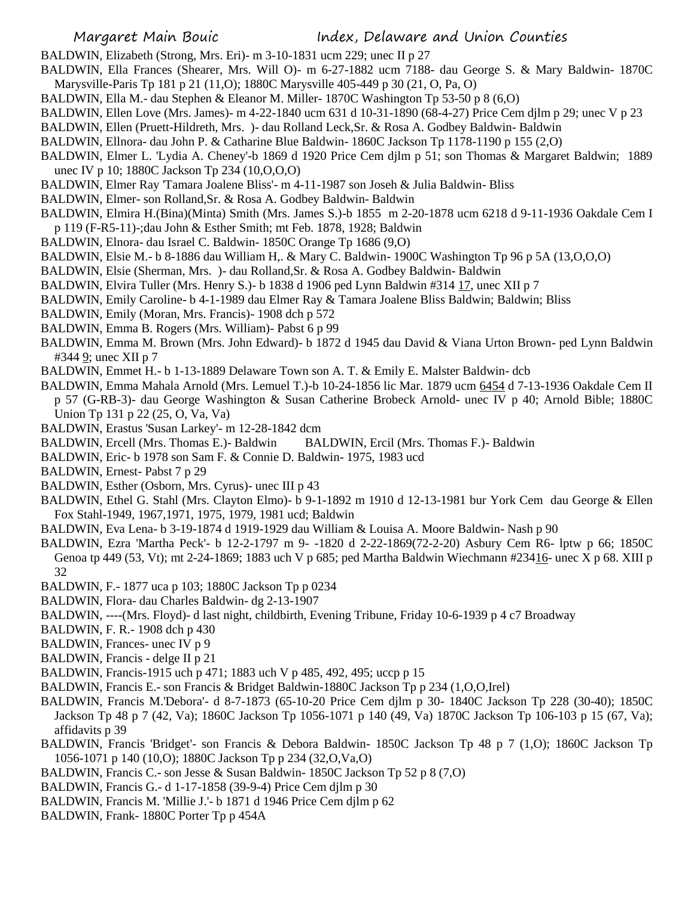BALDWIN, Elizabeth (Strong, Mrs. Eri)- m 3-10-1831 ucm 229; unec II p 27

- BALDWIN, Ella Frances (Shearer, Mrs. Will O)- m 6-27-1882 ucm 7188- dau George S. & Mary Baldwin- 1870C Marysville-Paris Tp 181 p 21 (11,O); 1880C Marysville 405-449 p 30 (21, O, Pa, O)
- BALDWIN, Ella M.- dau Stephen & Eleanor M. Miller- 1870C Washington Tp 53-50 p 8 (6,O)
- BALDWIN, Ellen Love (Mrs. James)- m 4-22-1840 ucm 631 d 10-31-1890 (68-4-27) Price Cem djlm p 29; unec V p 23
- BALDWIN, Ellen (Pruett-Hildreth, Mrs. )- dau Rolland Leck,Sr. & Rosa A. Godbey Baldwin- Baldwin
- BALDWIN, Ellnora- dau John P. & Catharine Blue Baldwin- 1860C Jackson Tp 1178-1190 p 155 (2,O)
- BALDWIN, Elmer L. 'Lydia A. Cheney'-b 1869 d 1920 Price Cem djlm p 51; son Thomas & Margaret Baldwin; 1889 unec IV p 10; 1880C Jackson Tp 234 (10,O,O,O)
- BALDWIN, Elmer Ray 'Tamara Joalene Bliss'- m 4-11-1987 son Joseh & Julia Baldwin- Bliss
- BALDWIN, Elmer- son Rolland,Sr. & Rosa A. Godbey Baldwin- Baldwin
- BALDWIN, Elmira H.(Bina)(Minta) Smith (Mrs. James S.)-b 1855 m 2-20-1878 ucm 6218 d 9-11-1936 Oakdale Cem I p 119 (F-R5-11)-;dau John & Esther Smith; mt Feb. 1878, 1928; Baldwin
- BALDWIN, Elnora- dau Israel C. Baldwin- 1850C Orange Tp 1686 (9,O)
- BALDWIN, Elsie M.- b 8-1886 dau William H,. & Mary C. Baldwin- 1900C Washington Tp 96 p 5A (13,O,O,O)
- BALDWIN, Elsie (Sherman, Mrs. )- dau Rolland,Sr. & Rosa A. Godbey Baldwin- Baldwin
- BALDWIN, Elvira Tuller (Mrs. Henry S.)- b 1838 d 1906 ped Lynn Baldwin #314 17, unec XII p 7
- BALDWIN, Emily Caroline- b 4-1-1989 dau Elmer Ray & Tamara Joalene Bliss Baldwin; Baldwin; Bliss
- BALDWIN, Emily (Moran, Mrs. Francis)- 1908 dch p 572
- BALDWIN, Emma B. Rogers (Mrs. William)- Pabst 6 p 99
- BALDWIN, Emma M. Brown (Mrs. John Edward)- b 1872 d 1945 dau David & Viana Urton Brown- ped Lynn Baldwin #344 <u>9</u>; unec XII p 7
- BALDWIN, Emmet H.- b 1-13-1889 Delaware Town son A. T. & Emily E. Malster Baldwin- dcb
- BALDWIN, Emma Mahala Arnold (Mrs. Lemuel T.)-b 10-24-1856 lic Mar. 1879 ucm 6454 d 7-13-1936 Oakdale Cem II p 57 (G-RB-3)- dau George Washington & Susan Catherine Brobeck Arnold- unec IV p 40; Arnold Bible; 1880C Union Tp 131 p 22 (25, O, Va, Va)
- BALDWIN, Erastus 'Susan Larkey'- m 12-28-1842 dcm
- BALDWIN, Ercell (Mrs. Thomas E.)- Baldwin BALDWIN, Ercil (Mrs. Thomas F.)- Baldwin
- BALDWIN, Eric- b 1978 son Sam F. & Connie D. Baldwin- 1975, 1983 ucd
- BALDWIN, Ernest- Pabst 7 p 29
- BALDWIN, Esther (Osborn, Mrs. Cyrus)- unec III p 43
- BALDWIN, Ethel G. Stahl (Mrs. Clayton Elmo)- b 9-1-1892 m 1910 d 12-13-1981 bur York Cem dau George & Ellen Fox Stahl-1949, 1967,1971, 1975, 1979, 1981 ucd; Baldwin
- BALDWIN, Eva Lena- b 3-19-1874 d 1919-1929 dau William & Louisa A. Moore Baldwin- Nash p 90
- BALDWIN, Ezra 'Martha Peck'- b 12-2-1797 m 9- -1820 d 2-22-1869(72-2-20) Asbury Cem R6- lptw p 66; 1850C Genoa tp 449 (53, Vt); mt 2-24-1869; 1883 uch V p 685; ped Martha Baldwin Wiechmann #23416- unec X p 68. XIII p 32
- BALDWIN, F.- 1877 uca p 103; 1880C Jackson Tp p 0234
- BALDWIN, Flora- dau Charles Baldwin- dg 2-13-1907
- BALDWIN, ----(Mrs. Floyd)- d last night, childbirth, Evening Tribune, Friday 10-6-1939 p 4 c7 Broadway
- BALDWIN, F. R.- 1908 dch p 430
- BALDWIN, Frances- unec IV p 9
- BALDWIN, Francis delge II p 21
- BALDWIN, Francis-1915 uch p 471; 1883 uch V p 485, 492, 495; uccp p 15
- BALDWIN, Francis E.- son Francis & Bridget Baldwin-1880C Jackson Tp p 234 (1,O,O,Irel)
- BALDWIN, Francis M.'Debora'- d 8-7-1873 (65-10-20 Price Cem djlm p 30- 1840C Jackson Tp 228 (30-40); 1850C
- Jackson Tp 48 p 7 (42, Va); 1860C Jackson Tp 1056-1071 p 140 (49, Va) 1870C Jackson Tp 106-103 p 15 (67, Va); affidavits p 39
- BALDWIN, Francis 'Bridget'- son Francis & Debora Baldwin- 1850C Jackson Tp 48 p 7 (1,O); 1860C Jackson Tp 1056-1071 p 140 (10,O); 1880C Jackson Tp p 234 (32,O,Va,O)
- BALDWIN, Francis C.- son Jesse & Susan Baldwin- 1850C Jackson Tp 52 p 8 (7,O)
- BALDWIN, Francis G.- d 1-17-1858 (39-9-4) Price Cem djlm p 30
- BALDWIN, Francis M. 'Millie J.'- b 1871 d 1946 Price Cem djlm p 62
- BALDWIN, Frank- 1880C Porter Tp p 454A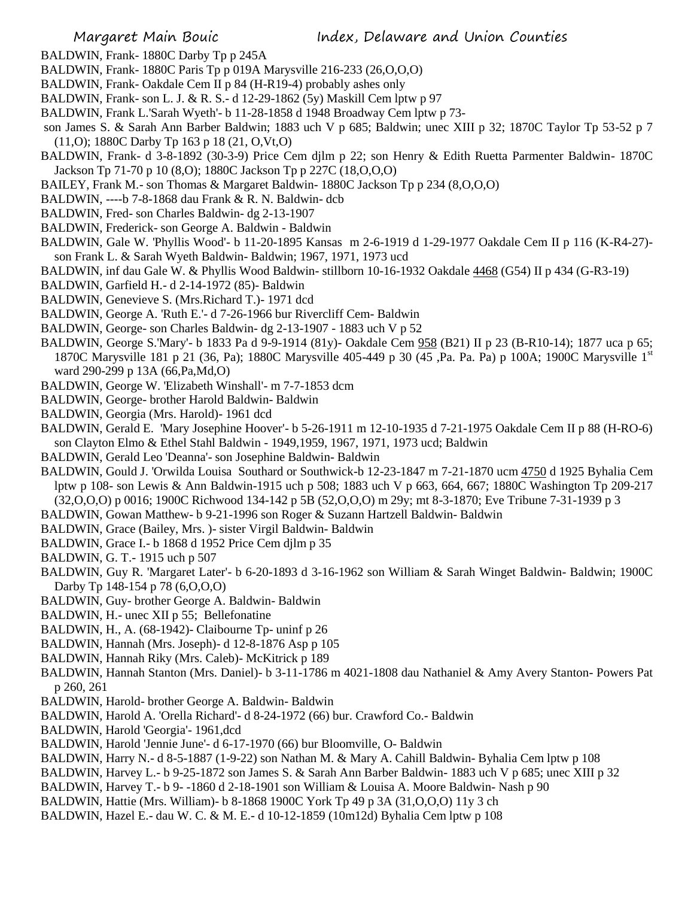- BALDWIN, Frank- 1880C Darby Tp p 245A
- BALDWIN, Frank- 1880C Paris Tp p 019A Marysville 216-233 (26,O,O,O)
- BALDWIN, Frank- Oakdale Cem II p 84 (H-R19-4) probably ashes only
- BALDWIN, Frank- son L. J. & R. S.- d 12-29-1862 (5y) Maskill Cem lptw p 97
- BALDWIN, Frank L.'Sarah Wyeth'- b 11-28-1858 d 1948 Broadway Cem lptw p 73-
- son James S. & Sarah Ann Barber Baldwin; 1883 uch V p 685; Baldwin; unec XIII p 32; 1870C Taylor Tp 53-52 p 7 (11,O); 1880C Darby Tp 163 p 18 (21, O,Vt,O)
- BALDWIN, Frank- d 3-8-1892 (30-3-9) Price Cem djlm p 22; son Henry & Edith Ruetta Parmenter Baldwin- 1870C Jackson Tp 71-70 p 10 (8,O); 1880C Jackson Tp p 227C (18,O,O,O)
- BAILEY, Frank M.- son Thomas & Margaret Baldwin- 1880C Jackson Tp p 234 (8,O,O,O)
- BALDWIN, ----b 7-8-1868 dau Frank & R. N. Baldwin- dcb
- BALDWIN, Fred- son Charles Baldwin- dg 2-13-1907
- BALDWIN, Frederick- son George A. Baldwin Baldwin
- BALDWIN, Gale W. 'Phyllis Wood'- b 11-20-1895 Kansas m 2-6-1919 d 1-29-1977 Oakdale Cem II p 116 (K-R4-27) son Frank L. & Sarah Wyeth Baldwin- Baldwin; 1967, 1971, 1973 ucd
- BALDWIN, inf dau Gale W. & Phyllis Wood Baldwin- stillborn 10-16-1932 Oakdale 4468 (G54) II p 434 (G-R3-19)
- BALDWIN, Garfield H.- d 2-14-1972 (85)- Baldwin
- BALDWIN, Genevieve S. (Mrs.Richard T.)- 1971 dcd
- BALDWIN, George A. 'Ruth E.'- d 7-26-1966 bur Rivercliff Cem- Baldwin
- BALDWIN, George- son Charles Baldwin- dg 2-13-1907 1883 uch V p 52
- BALDWIN, George S.'Mary'- b 1833 Pa d 9-9-1914 (81y)- Oakdale Cem 958 (B21) II p 23 (B-R10-14); 1877 uca p 65; 1870C Marysville 181 p 21 (36, Pa); 1880C Marysville 405-449 p 30 (45 ,Pa. Pa. Pa) p 100A; 1900C Marysville 1st ward 290-299 p 13A (66,Pa,Md,O)
- BALDWIN, George W. 'Elizabeth Winshall'- m 7-7-1853 dcm
- BALDWIN, George- brother Harold Baldwin- Baldwin
- BALDWIN, Georgia (Mrs. Harold)- 1961 dcd
- BALDWIN, Gerald E. 'Mary Josephine Hoover'- b 5-26-1911 m 12-10-1935 d 7-21-1975 Oakdale Cem II p 88 (H-RO-6) son Clayton Elmo & Ethel Stahl Baldwin - 1949,1959, 1967, 1971, 1973 ucd; Baldwin
- BALDWIN, Gerald Leo 'Deanna'- son Josephine Baldwin- Baldwin
- BALDWIN, Gould J. 'Orwilda Louisa Southard or Southwick-b 12-23-1847 m 7-21-1870 ucm 4750 d 1925 Byhalia Cem lptw p 108- son Lewis & Ann Baldwin-1915 uch p 508; 1883 uch V p 663, 664, 667; 1880C Washington Tp 209-217 (32,O,O,O) p 0016; 1900C Richwood 134-142 p 5B (52,O,O,O) m 29y; mt 8-3-1870; Eve Tribune 7-31-1939 p 3
- BALDWIN, Gowan Matthew- b 9-21-1996 son Roger & Suzann Hartzell Baldwin- Baldwin
- BALDWIN, Grace (Bailey, Mrs. )- sister Virgil Baldwin- Baldwin
- BALDWIN, Grace I.- b 1868 d 1952 Price Cem djlm p 35
- BALDWIN, G. T.- 1915 uch p 507
- BALDWIN, Guy R. 'Margaret Later'- b 6-20-1893 d 3-16-1962 son William & Sarah Winget Baldwin- Baldwin; 1900C Darby Tp 148-154 p 78 (6,O,O,O)
- BALDWIN, Guy- brother George A. Baldwin- Baldwin
- BALDWIN, H.- unec XII p 55; Bellefonatine
- BALDWIN, H., A. (68-1942)- Claibourne Tp- uninf p 26
- BALDWIN, Hannah (Mrs. Joseph)- d 12-8-1876 Asp p 105
- BALDWIN, Hannah Riky (Mrs. Caleb)- McKitrick p 189
- BALDWIN, Hannah Stanton (Mrs. Daniel)- b 3-11-1786 m 4021-1808 dau Nathaniel & Amy Avery Stanton- Powers Pat p 260, 261
- BALDWIN, Harold- brother George A. Baldwin- Baldwin
- BALDWIN, Harold A. 'Orella Richard'- d 8-24-1972 (66) bur. Crawford Co.- Baldwin
- BALDWIN, Harold 'Georgia'- 1961,dcd
- BALDWIN, Harold 'Jennie June'- d 6-17-1970 (66) bur Bloomville, O- Baldwin
- BALDWIN, Harry N.- d 8-5-1887 (1-9-22) son Nathan M. & Mary A. Cahill Baldwin- Byhalia Cem lptw p 108
- BALDWIN, Harvey L.- b 9-25-1872 son James S. & Sarah Ann Barber Baldwin- 1883 uch V p 685; unec XIII p 32
- BALDWIN, Harvey T.- b 9- -1860 d 2-18-1901 son William & Louisa A. Moore Baldwin- Nash p 90
- BALDWIN, Hattie (Mrs. William)- b 8-1868 1900C York Tp 49 p 3A (31,O,O,O) 11y 3 ch
- BALDWIN, Hazel E.- dau W. C. & M. E.- d 10-12-1859 (10m12d) Byhalia Cem lptw p 108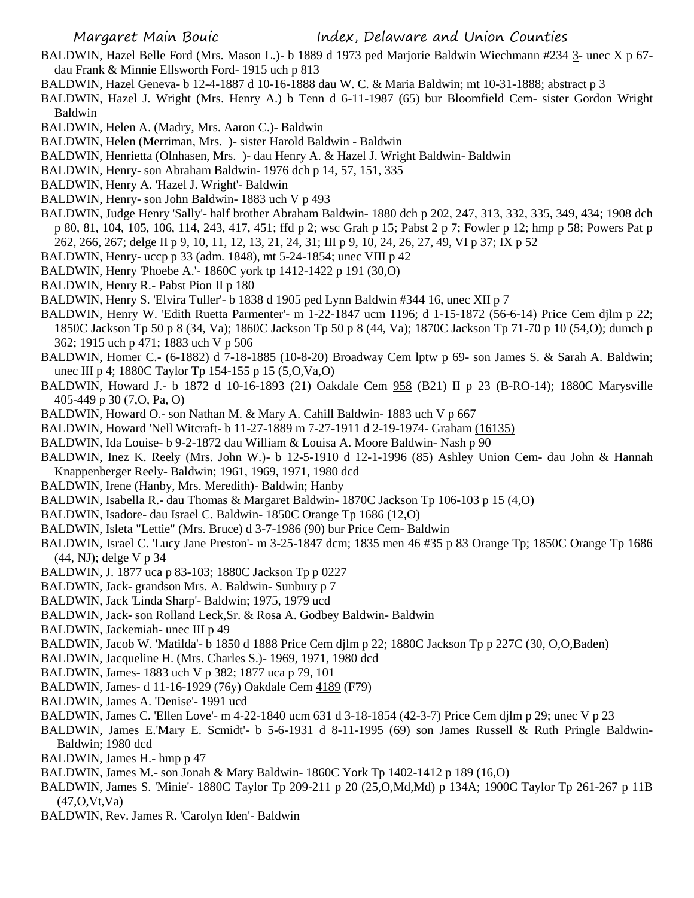- BALDWIN, Hazel Belle Ford (Mrs. Mason L.)- b 1889 d 1973 ped Marjorie Baldwin Wiechmann #234 3- unec X p 67 dau Frank & Minnie Ellsworth Ford- 1915 uch p 813
- BALDWIN, Hazel Geneva- b 12-4-1887 d 10-16-1888 dau W. C. & Maria Baldwin; mt 10-31-1888; abstract p 3
- BALDWIN, Hazel J. Wright (Mrs. Henry A.) b Tenn d 6-11-1987 (65) bur Bloomfield Cem- sister Gordon Wright Baldwin
- BALDWIN, Helen A. (Madry, Mrs. Aaron C.)- Baldwin
- BALDWIN, Helen (Merriman, Mrs. )- sister Harold Baldwin Baldwin
- BALDWIN, Henrietta (Olnhasen, Mrs. )- dau Henry A. & Hazel J. Wright Baldwin- Baldwin
- BALDWIN, Henry- son Abraham Baldwin- 1976 dch p 14, 57, 151, 335
- BALDWIN, Henry A. 'Hazel J. Wright'- Baldwin
- BALDWIN, Henry- son John Baldwin- 1883 uch V p 493
- BALDWIN, Judge Henry 'Sally'- half brother Abraham Baldwin- 1880 dch p 202, 247, 313, 332, 335, 349, 434; 1908 dch p 80, 81, 104, 105, 106, 114, 243, 417, 451; ffd p 2; wsc Grah p 15; Pabst 2 p 7; Fowler p 12; hmp p 58; Powers Pat p 262, 266, 267; delge II p 9, 10, 11, 12, 13, 21, 24, 31; III p 9, 10, 24, 26, 27, 49, VI p 37; IX p 52
- BALDWIN, Henry- uccp p 33 (adm. 1848), mt 5-24-1854; unec VIII p 42
- BALDWIN, Henry 'Phoebe A.'- 1860C york tp 1412-1422 p 191 (30,O)
- BALDWIN, Henry R.- Pabst Pion II p 180
- BALDWIN, Henry S. 'Elvira Tuller'- b 1838 d 1905 ped Lynn Baldwin #344 16, unec XII p 7
- BALDWIN, Henry W. 'Edith Ruetta Parmenter'- m 1-22-1847 ucm 1196; d 1-15-1872 (56-6-14) Price Cem djlm p 22; 1850C Jackson Tp 50 p 8 (34, Va); 1860C Jackson Tp 50 p 8 (44, Va); 1870C Jackson Tp 71-70 p 10 (54,O); dumch p 362; 1915 uch p 471; 1883 uch V p 506
- BALDWIN, Homer C.- (6-1882) d 7-18-1885 (10-8-20) Broadway Cem lptw p 69- son James S. & Sarah A. Baldwin; unec III p 4; 1880C Taylor Tp 154-155 p 15 (5,O,Va,O)
- BALDWIN, Howard J.- b 1872 d 10-16-1893 (21) Oakdale Cem 958 (B21) II p 23 (B-RO-14); 1880C Marysville 405-449 p 30 (7,O, Pa, O)
- BALDWIN, Howard O.- son Nathan M. & Mary A. Cahill Baldwin- 1883 uch V p 667
- BALDWIN, Howard 'Nell Witcraft- b 11-27-1889 m 7-27-1911 d 2-19-1974- Graham (16135)
- BALDWIN, Ida Louise- b 9-2-1872 dau William & Louisa A. Moore Baldwin- Nash p 90
- BALDWIN, Inez K. Reely (Mrs. John W.)- b 12-5-1910 d 12-1-1996 (85) Ashley Union Cem- dau John & Hannah Knappenberger Reely- Baldwin; 1961, 1969, 1971, 1980 dcd
- BALDWIN, Irene (Hanby, Mrs. Meredith)- Baldwin; Hanby
- BALDWIN, Isabella R.- dau Thomas & Margaret Baldwin- 1870C Jackson Tp 106-103 p 15 (4,O)
- BALDWIN, Isadore- dau Israel C. Baldwin- 1850C Orange Tp 1686 (12,O)
- BALDWIN, Isleta "Lettie" (Mrs. Bruce) d 3-7-1986 (90) bur Price Cem- Baldwin
- BALDWIN, Israel C. 'Lucy Jane Preston'- m 3-25-1847 dcm; 1835 men 46 #35 p 83 Orange Tp; 1850C Orange Tp 1686 (44, NJ); delge V p 34
- BALDWIN, J. 1877 uca p 83-103; 1880C Jackson Tp p 0227
- BALDWIN, Jack- grandson Mrs. A. Baldwin- Sunbury p 7
- BALDWIN, Jack 'Linda Sharp'- Baldwin; 1975, 1979 ucd
- BALDWIN, Jack- son Rolland Leck,Sr. & Rosa A. Godbey Baldwin- Baldwin
- BALDWIN, Jackemiah- unec III p 49
- BALDWIN, Jacob W. 'Matilda'- b 1850 d 1888 Price Cem djlm p 22; 1880C Jackson Tp p 227C (30, O,O,Baden)
- BALDWIN, Jacqueline H. (Mrs. Charles S.)- 1969, 1971, 1980 dcd
- BALDWIN, James- 1883 uch V p 382; 1877 uca p 79, 101
- BALDWIN, James- d 11-16-1929 (76y) Oakdale Cem 4189 (F79)
- BALDWIN, James A. 'Denise'- 1991 ucd
- BALDWIN, James C. 'Ellen Love'- m 4-22-1840 ucm 631 d 3-18-1854 (42-3-7) Price Cem djlm p 29; unec V p 23
- BALDWIN, James E.'Mary E. Scmidt'- b 5-6-1931 d 8-11-1995 (69) son James Russell & Ruth Pringle Baldwin-Baldwin; 1980 dcd
- BALDWIN, James H.- hmp p 47
- BALDWIN, James M.- son Jonah & Mary Baldwin- 1860C York Tp 1402-1412 p 189 (16,O)
- BALDWIN, James S. 'Minie'- 1880C Taylor Tp 209-211 p 20 (25,O,Md,Md) p 134A; 1900C Taylor Tp 261-267 p 11B (47,O,Vt,Va)
- BALDWIN, Rev. James R. 'Carolyn Iden'- Baldwin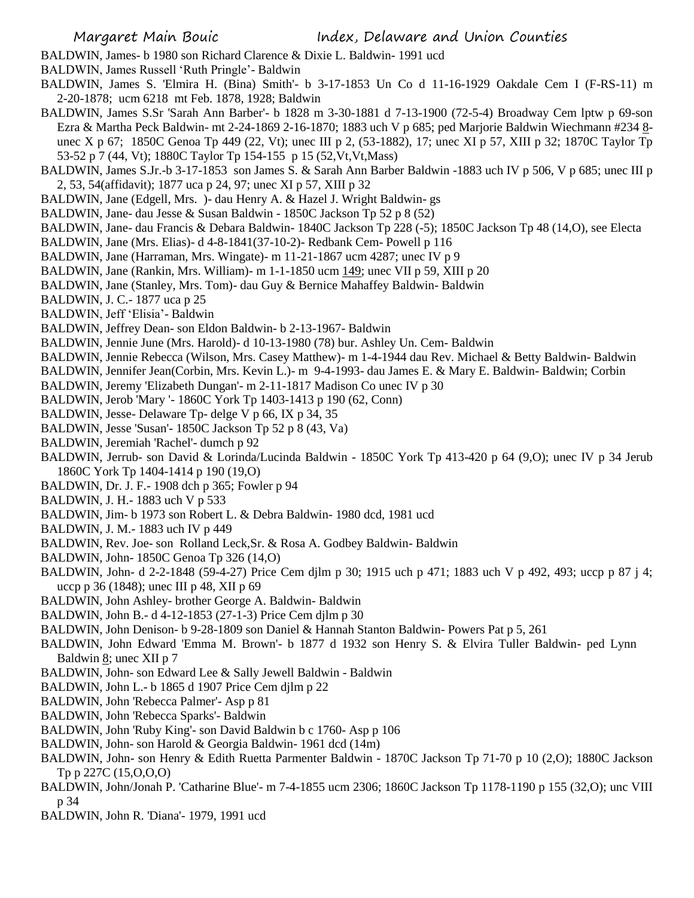- BALDWIN, James- b 1980 son Richard Clarence & Dixie L. Baldwin- 1991 ucd
- BALDWIN, James Russell 'Ruth Pringle'- Baldwin
- BALDWIN, James S. 'Elmira H. (Bina) Smith'- b 3-17-1853 Un Co d 11-16-1929 Oakdale Cem I (F-RS-11) m 2-20-1878; ucm 6218 mt Feb. 1878, 1928; Baldwin
- BALDWIN, James S.Sr 'Sarah Ann Barber'- b 1828 m 3-30-1881 d 7-13-1900 (72-5-4) Broadway Cem lptw p 69-son Ezra & Martha Peck Baldwin- mt 2-24-1869 2-16-1870; 1883 uch V p 685; ped Marjorie Baldwin Wiechmann #234 8 unec X p 67; 1850C Genoa Tp 449 (22, Vt); unec III p 2, (53-1882), 17; unec XI p 57, XIII p 32; 1870C Taylor Tp 53-52 p 7 (44, Vt); 1880C Taylor Tp 154-155 p 15 (52,Vt,Vt,Mass)
- BALDWIN, James S.Jr.-b 3-17-1853 son James S. & Sarah Ann Barber Baldwin -1883 uch IV p 506, V p 685; unec III p 2, 53, 54(affidavit); 1877 uca p 24, 97; unec XI p 57, XIII p 32
- BALDWIN, Jane (Edgell, Mrs. )- dau Henry A. & Hazel J. Wright Baldwin- gs
- BALDWIN, Jane- dau Jesse & Susan Baldwin 1850C Jackson Tp 52 p 8 (52)
- BALDWIN, Jane- dau Francis & Debara Baldwin- 1840C Jackson Tp 228 (-5); 1850C Jackson Tp 48 (14,O), see Electa
- BALDWIN, Jane (Mrs. Elias)- d 4-8-1841(37-10-2)- Redbank Cem- Powell p 116
- BALDWIN, Jane (Harraman, Mrs. Wingate)- m 11-21-1867 ucm 4287; unec IV p 9
- BALDWIN, Jane (Rankin, Mrs. William)- m 1-1-1850 ucm 149; unec VII p 59, XIII p 20
- BALDWIN, Jane (Stanley, Mrs. Tom)- dau Guy & Bernice Mahaffey Baldwin- Baldwin
- BALDWIN, J. C.- 1877 uca p 25
- BALDWIN, Jeff 'Elisia'- Baldwin
- BALDWIN, Jeffrey Dean- son Eldon Baldwin- b 2-13-1967- Baldwin
- BALDWIN, Jennie June (Mrs. Harold)- d 10-13-1980 (78) bur. Ashley Un. Cem- Baldwin
- BALDWIN, Jennie Rebecca (Wilson, Mrs. Casey Matthew)- m 1-4-1944 dau Rev. Michael & Betty Baldwin- Baldwin
- BALDWIN, Jennifer Jean(Corbin, Mrs. Kevin L.)- m 9-4-1993- dau James E. & Mary E. Baldwin- Baldwin; Corbin
- BALDWIN, Jeremy 'Elizabeth Dungan'- m 2-11-1817 Madison Co unec IV p 30
- BALDWIN, Jerob 'Mary '- 1860C York Tp 1403-1413 p 190 (62, Conn)
- BALDWIN, Jesse- Delaware Tp- delge V p 66, IX p 34, 35
- BALDWIN, Jesse 'Susan'- 1850C Jackson Tp 52 p 8 (43, Va)
- BALDWIN, Jeremiah 'Rachel'- dumch p 92
- BALDWIN, Jerrub- son David & Lorinda/Lucinda Baldwin 1850C York Tp 413-420 p 64 (9,O); unec IV p 34 Jerub 1860C York Tp 1404-1414 p 190 (19,O)
- BALDWIN, Dr. J. F.- 1908 dch p 365; Fowler p 94
- BALDWIN, J. H.- 1883 uch V p 533
- BALDWIN, Jim- b 1973 son Robert L. & Debra Baldwin- 1980 dcd, 1981 ucd
- BALDWIN, J. M.- 1883 uch IV p 449
- BALDWIN, Rev. Joe- son Rolland Leck,Sr. & Rosa A. Godbey Baldwin- Baldwin
- BALDWIN, John- 1850C Genoa Tp 326 (14,O)
- BALDWIN, John- d 2-2-1848 (59-4-27) Price Cem djlm p 30; 1915 uch p 471; 1883 uch V p 492, 493; uccp p 87 j 4; uccp p 36 (1848); unec III p 48, XII p 69
- BALDWIN, John Ashley- brother George A. Baldwin- Baldwin
- BALDWIN, John B.- d 4-12-1853 (27-1-3) Price Cem djlm p 30
- BALDWIN, John Denison- b 9-28-1809 son Daniel & Hannah Stanton Baldwin- Powers Pat p 5, 261
- BALDWIN, John Edward 'Emma M. Brown'- b 1877 d 1932 son Henry S. & Elvira Tuller Baldwin- ped Lynn Baldwin 8; unec XII p 7
- BALDWIN, John- son Edward Lee & Sally Jewell Baldwin Baldwin
- BALDWIN, John L.- b 1865 d 1907 Price Cem djlm p 22
- BALDWIN, John 'Rebecca Palmer'- Asp p 81
- BALDWIN, John 'Rebecca Sparks'- Baldwin
- BALDWIN, John 'Ruby King'- son David Baldwin b c 1760- Asp p 106
- BALDWIN, John- son Harold & Georgia Baldwin- 1961 dcd (14m)
- BALDWIN, John- son Henry & Edith Ruetta Parmenter Baldwin 1870C Jackson Tp 71-70 p 10 (2,O); 1880C Jackson Tp p 227C (15,O,O,O)
- BALDWIN, John/Jonah P. 'Catharine Blue'- m 7-4-1855 ucm 2306; 1860C Jackson Tp 1178-1190 p 155 (32,O); unc VIII p 34
- BALDWIN, John R. 'Diana'- 1979, 1991 ucd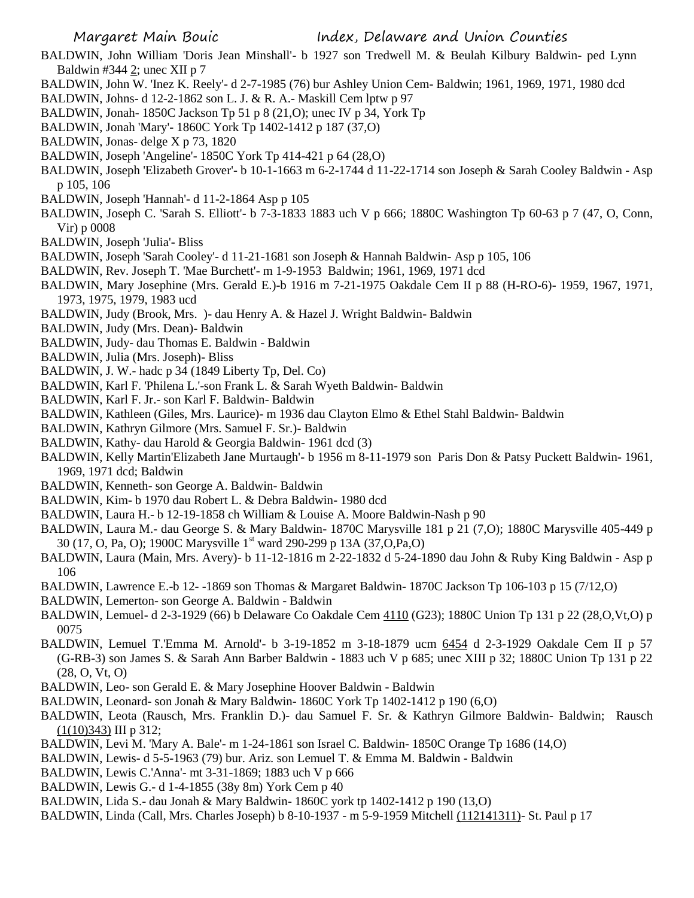- BALDWIN, John William 'Doris Jean Minshall'- b 1927 son Tredwell M. & Beulah Kilbury Baldwin- ped Lynn Baldwin #344 2; unec XII p 7
- BALDWIN, John W. 'Inez K. Reely'- d 2-7-1985 (76) bur Ashley Union Cem- Baldwin; 1961, 1969, 1971, 1980 dcd
- BALDWIN, Johns- d 12-2-1862 son L. J. & R. A.- Maskill Cem lptw p 97
- BALDWIN, Jonah- 1850C Jackson Tp 51 p 8 (21,O); unec IV p 34, York Tp
- BALDWIN, Jonah 'Mary'- 1860C York Tp 1402-1412 p 187 (37,O)
- BALDWIN, Jonas- delge X p 73, 1820
- BALDWIN, Joseph 'Angeline'- 1850C York Tp 414-421 p 64 (28,O)
- BALDWIN, Joseph 'Elizabeth Grover'- b 10-1-1663 m 6-2-1744 d 11-22-1714 son Joseph & Sarah Cooley Baldwin Asp p 105, 106
- BALDWIN, Joseph 'Hannah'- d 11-2-1864 Asp p 105
- BALDWIN, Joseph C. 'Sarah S. Elliott'- b 7-3-1833 1883 uch V p 666; 1880C Washington Tp 60-63 p 7 (47, O, Conn, Vir) p 0008
- BALDWIN, Joseph 'Julia'- Bliss
- BALDWIN, Joseph 'Sarah Cooley'- d 11-21-1681 son Joseph & Hannah Baldwin- Asp p 105, 106
- BALDWIN, Rev. Joseph T. 'Mae Burchett'- m 1-9-1953 Baldwin; 1961, 1969, 1971 dcd
- BALDWIN, Mary Josephine (Mrs. Gerald E.)-b 1916 m 7-21-1975 Oakdale Cem II p 88 (H-RO-6)- 1959, 1967, 1971, 1973, 1975, 1979, 1983 ucd
- BALDWIN, Judy (Brook, Mrs. )- dau Henry A. & Hazel J. Wright Baldwin- Baldwin
- BALDWIN, Judy (Mrs. Dean)- Baldwin
- BALDWIN, Judy- dau Thomas E. Baldwin Baldwin
- BALDWIN, Julia (Mrs. Joseph)- Bliss
- BALDWIN, J. W.- hadc p 34 (1849 Liberty Tp, Del. Co)
- BALDWIN, Karl F. 'Philena L.'-son Frank L. & Sarah Wyeth Baldwin- Baldwin
- BALDWIN, Karl F. Jr.- son Karl F. Baldwin- Baldwin
- BALDWIN, Kathleen (Giles, Mrs. Laurice)- m 1936 dau Clayton Elmo & Ethel Stahl Baldwin- Baldwin
- BALDWIN, Kathryn Gilmore (Mrs. Samuel F. Sr.)- Baldwin
- BALDWIN, Kathy- dau Harold & Georgia Baldwin- 1961 dcd (3)
- BALDWIN, Kelly Martin'Elizabeth Jane Murtaugh'- b 1956 m 8-11-1979 son Paris Don & Patsy Puckett Baldwin- 1961, 1969, 1971 dcd; Baldwin
- BALDWIN, Kenneth- son George A. Baldwin- Baldwin
- BALDWIN, Kim- b 1970 dau Robert L. & Debra Baldwin- 1980 dcd
- BALDWIN, Laura H.- b 12-19-1858 ch William & Louise A. Moore Baldwin-Nash p 90
- BALDWIN, Laura M.- dau George S. & Mary Baldwin- 1870C Marysville 181 p 21 (7,O); 1880C Marysville 405-449 p 30 (17, O, Pa, O); 1900C Marysville 1<sup>st</sup> ward 290-299 p 13A (37, O, Pa, O)
- BALDWIN, Laura (Main, Mrs. Avery)- b 11-12-1816 m 2-22-1832 d 5-24-1890 dau John & Ruby King Baldwin Asp p 106
- BALDWIN, Lawrence E.-b 12- -1869 son Thomas & Margaret Baldwin- 1870C Jackson Tp 106-103 p 15 (7/12,O)
- BALDWIN, Lemerton- son George A. Baldwin Baldwin
- BALDWIN, Lemuel- d 2-3-1929 (66) b Delaware Co Oakdale Cem 4110 (G23); 1880C Union Tp 131 p 22 (28,O,Vt,O) p 0075
- BALDWIN, Lemuel T.'Emma M. Arnold'- b 3-19-1852 m 3-18-1879 ucm 6454 d 2-3-1929 Oakdale Cem II p 57 (G-RB-3) son James S. & Sarah Ann Barber Baldwin - 1883 uch V p 685; unec XIII p 32; 1880C Union Tp 131 p 22 (28, O, Vt, O)
- BALDWIN, Leo- son Gerald E. & Mary Josephine Hoover Baldwin Baldwin
- BALDWIN, Leonard- son Jonah & Mary Baldwin- 1860C York Tp 1402-1412 p 190 (6,O)
- BALDWIN, Leota (Rausch, Mrs. Franklin D.)- dau Samuel F. Sr. & Kathryn Gilmore Baldwin- Baldwin; Rausch  $(1(10)343)$  III p 312;
- BALDWIN, Levi M. 'Mary A. Bale'- m 1-24-1861 son Israel C. Baldwin- 1850C Orange Tp 1686 (14,O)
- BALDWIN, Lewis- d 5-5-1963 (79) bur. Ariz. son Lemuel T. & Emma M. Baldwin Baldwin
- BALDWIN, Lewis C.'Anna'- mt 3-31-1869; 1883 uch V p 666
- BALDWIN, Lewis G.- d 1-4-1855 (38y 8m) York Cem p 40
- BALDWIN, Lida S.- dau Jonah & Mary Baldwin- 1860C york tp 1402-1412 p 190 (13,O)
- BALDWIN, Linda (Call, Mrs. Charles Joseph) b 8-10-1937 m 5-9-1959 Mitchell (112141311)- St. Paul p 17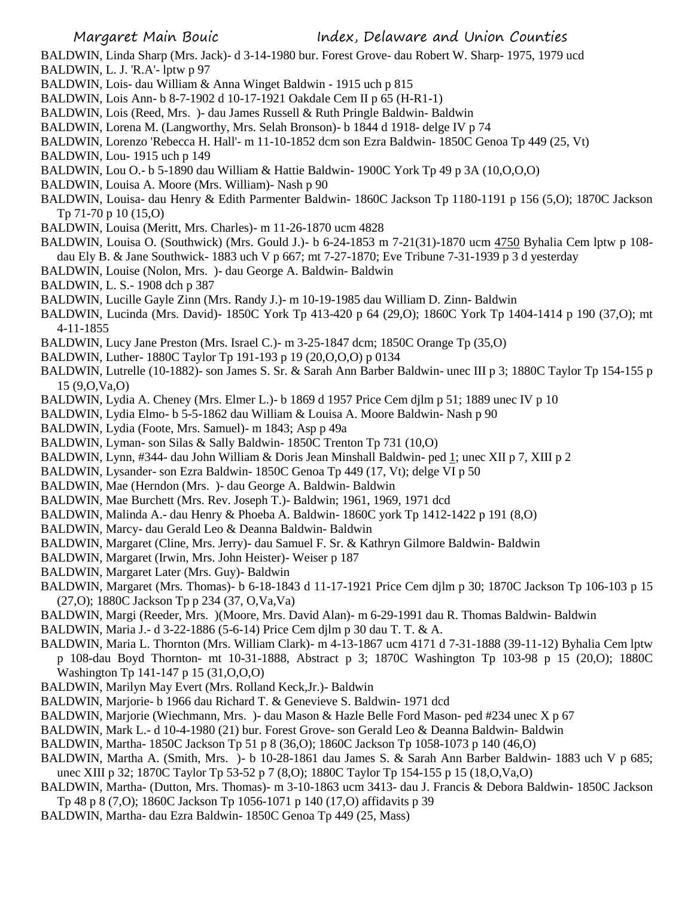BALDWIN, Linda Sharp (Mrs. Jack)- d 3-14-1980 bur. Forest Grove- dau Robert W. Sharp- 1975, 1979 ucd BALDWIN, L. J. 'R.A'- lptw p 97

- BALDWIN, Lois- dau William & Anna Winget Baldwin 1915 uch p 815
- BALDWIN, Lois Ann- b 8-7-1902 d 10-17-1921 Oakdale Cem II p 65 (H-R1-1)
- BALDWIN, Lois (Reed, Mrs. )- dau James Russell & Ruth Pringle Baldwin- Baldwin
- BALDWIN, Lorena M. (Langworthy, Mrs. Selah Bronson)- b 1844 d 1918- delge IV p 74
- BALDWIN, Lorenzo 'Rebecca H. Hall'- m 11-10-1852 dcm son Ezra Baldwin- 1850C Genoa Tp 449 (25, Vt)
- BALDWIN, Lou- 1915 uch p 149
- BALDWIN, Lou O.- b 5-1890 dau William & Hattie Baldwin- 1900C York Tp 49 p 3A (10,O,O,O)
- BALDWIN, Louisa A. Moore (Mrs. William)- Nash p 90
- BALDWIN, Louisa- dau Henry & Edith Parmenter Baldwin- 1860C Jackson Tp 1180-1191 p 156 (5,O); 1870C Jackson Tp 71-70 p 10 (15,O)
- BALDWIN, Louisa (Meritt, Mrs. Charles)- m 11-26-1870 ucm 4828
- BALDWIN, Louisa O. (Southwick) (Mrs. Gould J.)- b 6-24-1853 m 7-21(31)-1870 ucm 4750 Byhalia Cem lptw p 108 dau Ely B. & Jane Southwick- 1883 uch V p 667; mt 7-27-1870; Eve Tribune 7-31-1939 p 3 d yesterday
- BALDWIN, Louise (Nolon, Mrs. )- dau George A. Baldwin- Baldwin
- BALDWIN, L. S.- 1908 dch p 387
- BALDWIN, Lucille Gayle Zinn (Mrs. Randy J.)- m 10-19-1985 dau William D. Zinn- Baldwin
- BALDWIN, Lucinda (Mrs. David)- 1850C York Tp 413-420 p 64 (29,O); 1860C York Tp 1404-1414 p 190 (37,O); mt 4-11-1855
- BALDWIN, Lucy Jane Preston (Mrs. Israel C.)- m 3-25-1847 dcm; 1850C Orange Tp (35,O)
- BALDWIN, Luther- 1880C Taylor Tp 191-193 p 19 (20,O,O,O) p 0134
- BALDWIN, Lutrelle (10-1882)- son James S. Sr. & Sarah Ann Barber Baldwin- unec III p 3; 1880C Taylor Tp 154-155 p 15 (9,O,Va,O)
- BALDWIN, Lydia A. Cheney (Mrs. Elmer L.)- b 1869 d 1957 Price Cem djlm p 51; 1889 unec IV p 10
- BALDWIN, Lydia Elmo- b 5-5-1862 dau William & Louisa A. Moore Baldwin- Nash p 90
- BALDWIN, Lydia (Foote, Mrs. Samuel)- m 1843; Asp p 49a
- BALDWIN, Lyman- son Silas & Sally Baldwin- 1850C Trenton Tp 731 (10,O)
- BALDWIN, Lynn, #344- dau John William & Doris Jean Minshall Baldwin- ped 1; unec XII p 7, XIII p 2
- BALDWIN, Lysander- son Ezra Baldwin- 1850C Genoa Tp 449 (17, Vt); delge VI p 50
- BALDWIN, Mae (Herndon (Mrs. )- dau George A. Baldwin- Baldwin
- BALDWIN, Mae Burchett (Mrs. Rev. Joseph T.)- Baldwin; 1961, 1969, 1971 dcd
- BALDWIN, Malinda A.- dau Henry & Phoeba A. Baldwin- 1860C york Tp 1412-1422 p 191 (8,O)
- BALDWIN, Marcy- dau Gerald Leo & Deanna Baldwin- Baldwin
- BALDWIN, Margaret (Cline, Mrs. Jerry)- dau Samuel F. Sr. & Kathryn Gilmore Baldwin- Baldwin
- BALDWIN, Margaret (Irwin, Mrs. John Heister)- Weiser p 187
- BALDWIN, Margaret Later (Mrs. Guy)- Baldwin
- BALDWIN, Margaret (Mrs. Thomas)- b 6-18-1843 d 11-17-1921 Price Cem djlm p 30; 1870C Jackson Tp 106-103 p 15 (27,O); 1880C Jackson Tp p 234 (37, O,Va,Va)
- BALDWIN, Margi (Reeder, Mrs. )(Moore, Mrs. David Alan)- m 6-29-1991 dau R. Thomas Baldwin- Baldwin
- BALDWIN, Maria J.- d 3-22-1886 (5-6-14) Price Cem djlm p 30 dau T. T. & A.
- BALDWIN, Maria L. Thornton (Mrs. William Clark)- m 4-13-1867 ucm 4171 d 7-31-1888 (39-11-12) Byhalia Cem lptw p 108-dau Boyd Thornton- mt 10-31-1888, Abstract p 3; 1870C Washington Tp 103-98 p 15 (20,O); 1880C Washington Tp 141-147 p 15 (31, O, O, O)
- BALDWIN, Marilyn May Evert (Mrs. Rolland Keck,Jr.)- Baldwin
- BALDWIN, Marjorie- b 1966 dau Richard T. & Genevieve S. Baldwin- 1971 dcd
- BALDWIN, Marjorie (Wiechmann, Mrs. )- dau Mason & Hazle Belle Ford Mason- ped #234 unec X p 67
- BALDWIN, Mark L.- d 10-4-1980 (21) bur. Forest Grove- son Gerald Leo & Deanna Baldwin- Baldwin
- BALDWIN, Martha- 1850C Jackson Tp 51 p 8 (36,O); 1860C Jackson Tp 1058-1073 p 140 (46,O)
- BALDWIN, Martha A. (Smith, Mrs. )- b 10-28-1861 dau James S. & Sarah Ann Barber Baldwin- 1883 uch V p 685; unec XIII p 32; 1870C Taylor Tp 53-52 p 7 (8,O); 1880C Taylor Tp 154-155 p 15 (18,O,Va,O)
- BALDWIN, Martha- (Dutton, Mrs. Thomas)- m 3-10-1863 ucm 3413- dau J. Francis & Debora Baldwin- 1850C Jackson Tp 48 p 8 (7,O); 1860C Jackson Tp 1056-1071 p 140 (17,O) affidavits p 39
- BALDWIN, Martha- dau Ezra Baldwin- 1850C Genoa Tp 449 (25, Mass)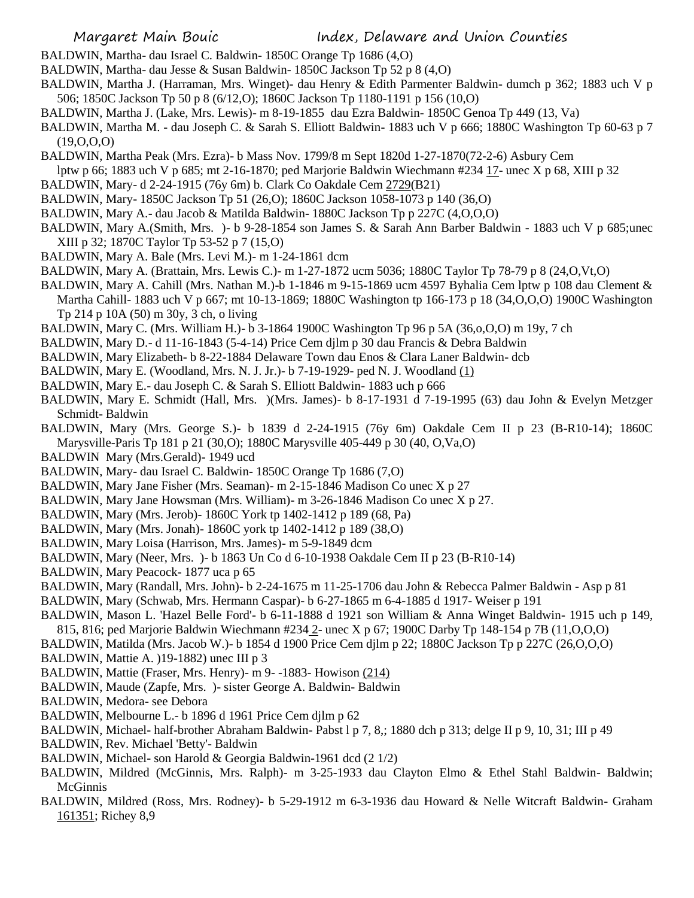- BALDWIN, Martha- dau Israel C. Baldwin- 1850C Orange Tp 1686 (4,O)
- BALDWIN, Martha- dau Jesse & Susan Baldwin- 1850C Jackson Tp 52 p 8 (4,O)
- BALDWIN, Martha J. (Harraman, Mrs. Winget)- dau Henry & Edith Parmenter Baldwin- dumch p 362; 1883 uch V p 506; 1850C Jackson Tp 50 p 8 (6/12,O); 1860C Jackson Tp 1180-1191 p 156 (10,O)
- BALDWIN, Martha J. (Lake, Mrs. Lewis)- m 8-19-1855 dau Ezra Baldwin- 1850C Genoa Tp 449 (13, Va)
- BALDWIN, Martha M. dau Joseph C. & Sarah S. Elliott Baldwin- 1883 uch V p 666; 1880C Washington Tp 60-63 p 7 (19,O,O,O)
- BALDWIN, Martha Peak (Mrs. Ezra)- b Mass Nov. 1799/8 m Sept 1820d 1-27-1870(72-2-6) Asbury Cem
- lptw p 66; 1883 uch V p 685; mt 2-16-1870; ped Marjorie Baldwin Wiechmann #234 17- unec X p 68, XIII p 32
- BALDWIN, Mary- d 2-24-1915 (76y 6m) b. Clark Co Oakdale Cem 2729(B21)
- BALDWIN, Mary- 1850C Jackson Tp 51 (26,O); 1860C Jackson 1058-1073 p 140 (36,O)
- BALDWIN, Mary A.- dau Jacob & Matilda Baldwin- 1880C Jackson Tp p 227C (4,O,O,O)
- BALDWIN, Mary A.(Smith, Mrs. )- b 9-28-1854 son James S. & Sarah Ann Barber Baldwin 1883 uch V p 685;unec XIII p 32; 1870C Taylor Tp 53-52 p 7 (15,O)
- BALDWIN, Mary A. Bale (Mrs. Levi M.)- m 1-24-1861 dcm
- BALDWIN, Mary A. (Brattain, Mrs. Lewis C.)- m 1-27-1872 ucm 5036; 1880C Taylor Tp 78-79 p 8 (24,O,Vt,O)
- BALDWIN, Mary A. Cahill (Mrs. Nathan M.)-b 1-1846 m 9-15-1869 ucm 4597 Byhalia Cem lptw p 108 dau Clement & Martha Cahill- 1883 uch V p 667; mt 10-13-1869; 1880C Washington tp 166-173 p 18 (34,O,O,O) 1900C Washington Tp 214 p 10A (50) m 30y, 3 ch, o living
- BALDWIN, Mary C. (Mrs. William H.)- b 3-1864 1900C Washington Tp 96 p 5A (36,o,O,O) m 19y, 7 ch
- BALDWIN, Mary D.- d 11-16-1843 (5-4-14) Price Cem djlm p 30 dau Francis & Debra Baldwin
- BALDWIN, Mary Elizabeth- b 8-22-1884 Delaware Town dau Enos & Clara Laner Baldwin- dcb
- BALDWIN, Mary E. (Woodland, Mrs. N. J. Jr.)- b 7-19-1929- ped N. J. Woodland (1)
- BALDWIN, Mary E.- dau Joseph C. & Sarah S. Elliott Baldwin- 1883 uch p 666
- BALDWIN, Mary E. Schmidt (Hall, Mrs. )(Mrs. James)- b 8-17-1931 d 7-19-1995 (63) dau John & Evelyn Metzger Schmidt- Baldwin
- BALDWIN, Mary (Mrs. George S.)- b 1839 d 2-24-1915 (76y 6m) Oakdale Cem II p 23 (B-R10-14); 1860C Marysville-Paris Tp 181 p 21 (30,O); 1880C Marysville 405-449 p 30 (40, O,Va,O)
- BALDWIN Mary (Mrs.Gerald)- 1949 ucd
- BALDWIN, Mary- dau Israel C. Baldwin- 1850C Orange Tp 1686 (7,O)
- BALDWIN, Mary Jane Fisher (Mrs. Seaman)- m 2-15-1846 Madison Co unec X p 27
- BALDWIN, Mary Jane Howsman (Mrs. William)- m 3-26-1846 Madison Co unec X p 27.
- BALDWIN, Mary (Mrs. Jerob)- 1860C York tp 1402-1412 p 189 (68, Pa)
- BALDWIN, Mary (Mrs. Jonah)- 1860C york tp 1402-1412 p 189 (38,O)
- BALDWIN, Mary Loisa (Harrison, Mrs. James)- m 5-9-1849 dcm
- BALDWIN, Mary (Neer, Mrs. )- b 1863 Un Co d 6-10-1938 Oakdale Cem II p 23 (B-R10-14)
- BALDWIN, Mary Peacock- 1877 uca p 65
- BALDWIN, Mary (Randall, Mrs. John)- b 2-24-1675 m 11-25-1706 dau John & Rebecca Palmer Baldwin Asp p 81
- BALDWIN, Mary (Schwab, Mrs. Hermann Caspar)- b 6-27-1865 m 6-4-1885 d 1917- Weiser p 191
- BALDWIN, Mason L. 'Hazel Belle Ford'- b 6-11-1888 d 1921 son William & Anna Winget Baldwin- 1915 uch p 149, 815, 816; ped Marjorie Baldwin Wiechmann #234 2- unec X p 67; 1900C Darby Tp 148-154 p 7B (11,O,O,O)
- BALDWIN, Matilda (Mrs. Jacob W.)- b 1854 d 1900 Price Cem djlm p 22; 1880C Jackson Tp p 227C (26,O,O,O)
- BALDWIN, Mattie A. )19-1882) unec III p 3
- BALDWIN, Mattie (Fraser, Mrs. Henry)- m 9- -1883- Howison (214)
- BALDWIN, Maude (Zapfe, Mrs. )- sister George A. Baldwin- Baldwin
- BALDWIN, Medora- see Debora
- BALDWIN, Melbourne L.- b 1896 d 1961 Price Cem djlm p 62
- BALDWIN, Michael- half-brother Abraham Baldwin- Pabst l p 7, 8,; 1880 dch p 313; delge II p 9, 10, 31; III p 49
- BALDWIN, Rev. Michael 'Betty'- Baldwin
- BALDWIN, Michael- son Harold & Georgia Baldwin-1961 dcd (2 1/2)
- BALDWIN, Mildred (McGinnis, Mrs. Ralph)- m 3-25-1933 dau Clayton Elmo & Ethel Stahl Baldwin- Baldwin; McGinnis
- BALDWIN, Mildred (Ross, Mrs. Rodney)- b 5-29-1912 m 6-3-1936 dau Howard & Nelle Witcraft Baldwin- Graham 161351; Richey 8,9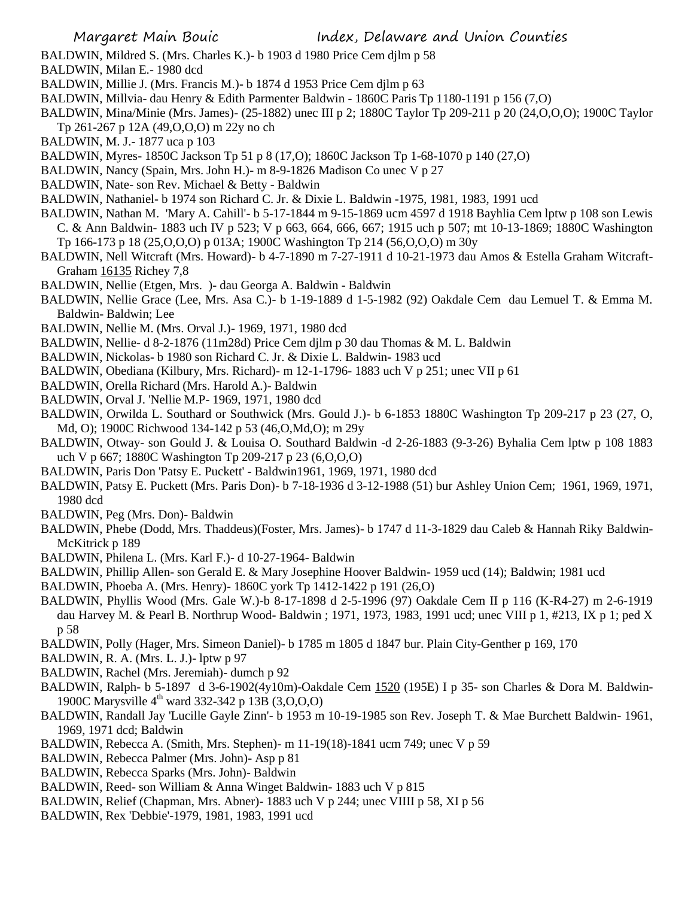- BALDWIN, Mildred S. (Mrs. Charles K.)- b 1903 d 1980 Price Cem djlm p 58
- BALDWIN, Milan E.- 1980 dcd
- BALDWIN, Millie J. (Mrs. Francis M.)- b 1874 d 1953 Price Cem djlm p 63
- BALDWIN, Millvia- dau Henry & Edith Parmenter Baldwin 1860C Paris Tp 1180-1191 p 156 (7,O)
- BALDWIN, Mina/Minie (Mrs. James)- (25-1882) unec III p 2; 1880C Taylor Tp 209-211 p 20 (24,O,O,O); 1900C Taylor
- Tp 261-267 p 12A (49,O,O,O) m 22y no ch
- BALDWIN, M. J.- 1877 uca p 103
- BALDWIN, Myres- 1850C Jackson Tp 51 p 8 (17,O); 1860C Jackson Tp 1-68-1070 p 140 (27,O)
- BALDWIN, Nancy (Spain, Mrs. John H.)- m 8-9-1826 Madison Co unec V p 27
- BALDWIN, Nate- son Rev. Michael & Betty Baldwin
- BALDWIN, Nathaniel- b 1974 son Richard C. Jr. & Dixie L. Baldwin -1975, 1981, 1983, 1991 ucd
- BALDWIN, Nathan M. 'Mary A. Cahill'- b 5-17-1844 m 9-15-1869 ucm 4597 d 1918 Bayhlia Cem lptw p 108 son Lewis C. & Ann Baldwin- 1883 uch IV p 523; V p 663, 664, 666, 667; 1915 uch p 507; mt 10-13-1869; 1880C Washington
- Tp 166-173 p 18 (25,O,O,O) p 013A; 1900C Washington Tp 214 (56,O,O,O) m 30y
- BALDWIN, Nell Witcraft (Mrs. Howard)- b 4-7-1890 m 7-27-1911 d 10-21-1973 dau Amos & Estella Graham Witcraft-Graham 16135 Richey 7,8
- BALDWIN, Nellie (Etgen, Mrs. )- dau Georga A. Baldwin Baldwin
- BALDWIN, Nellie Grace (Lee, Mrs. Asa C.)- b 1-19-1889 d 1-5-1982 (92) Oakdale Cem dau Lemuel T. & Emma M. Baldwin- Baldwin; Lee
- BALDWIN, Nellie M. (Mrs. Orval J.)- 1969, 1971, 1980 dcd
- BALDWIN, Nellie- d 8-2-1876 (11m28d) Price Cem djlm p 30 dau Thomas & M. L. Baldwin
- BALDWIN, Nickolas- b 1980 son Richard C. Jr. & Dixie L. Baldwin- 1983 ucd
- BALDWIN, Obediana (Kilbury, Mrs. Richard)- m 12-1-1796- 1883 uch V p 251; unec VII p 61
- BALDWIN, Orella Richard (Mrs. Harold A.)- Baldwin
- BALDWIN, Orval J. 'Nellie M.P- 1969, 1971, 1980 dcd
- BALDWIN, Orwilda L. Southard or Southwick (Mrs. Gould J.)- b 6-1853 1880C Washington Tp 209-217 p 23 (27, O, Md, O); 1900C Richwood 134-142 p 53 (46,O,Md,O); m 29y
- BALDWIN, Otway- son Gould J. & Louisa O. Southard Baldwin -d 2-26-1883 (9-3-26) Byhalia Cem lptw p 108 1883 uch V p 667; 1880C Washington Tp 209-217 p 23 (6,O,O,O)
- BALDWIN, Paris Don 'Patsy E. Puckett' Baldwin1961, 1969, 1971, 1980 dcd
- BALDWIN, Patsy E. Puckett (Mrs. Paris Don)- b 7-18-1936 d 3-12-1988 (51) bur Ashley Union Cem; 1961, 1969, 1971, 1980 dcd
- BALDWIN, Peg (Mrs. Don)- Baldwin
- BALDWIN, Phebe (Dodd, Mrs. Thaddeus)(Foster, Mrs. James)- b 1747 d 11-3-1829 dau Caleb & Hannah Riky Baldwin-McKitrick p 189
- BALDWIN, Philena L. (Mrs. Karl F.)- d 10-27-1964- Baldwin
- BALDWIN, Phillip Allen- son Gerald E. & Mary Josephine Hoover Baldwin- 1959 ucd (14); Baldwin; 1981 ucd
- BALDWIN, Phoeba A. (Mrs. Henry)- 1860C york Tp 1412-1422 p 191 (26,O)
- BALDWIN, Phyllis Wood (Mrs. Gale W.)-b 8-17-1898 d 2-5-1996 (97) Oakdale Cem II p 116 (K-R4-27) m 2-6-1919 dau Harvey M. & Pearl B. Northrup Wood- Baldwin ; 1971, 1973, 1983, 1991 ucd; unec VIII p 1, #213, IX p 1; ped X p 58
- BALDWIN, Polly (Hager, Mrs. Simeon Daniel)- b 1785 m 1805 d 1847 bur. Plain City-Genther p 169, 170
- BALDWIN, R. A. (Mrs. L. J.)- lptw p 97
- BALDWIN, Rachel (Mrs. Jeremiah)- dumch p 92
- BALDWIN, Ralph- b 5-1897 d 3-6-1902(4y10m)-Oakdale Cem 1520 (195E) I p 35- son Charles & Dora M. Baldwin-1900C Marysville  $4^{th}$  ward 332-342 p 13B (3,0,0,0)
- BALDWIN, Randall Jay 'Lucille Gayle Zinn'- b 1953 m 10-19-1985 son Rev. Joseph T. & Mae Burchett Baldwin- 1961, 1969, 1971 dcd; Baldwin
- BALDWIN, Rebecca A. (Smith, Mrs. Stephen)- m 11-19(18)-1841 ucm 749; unec V p 59
- BALDWIN, Rebecca Palmer (Mrs. John)- Asp p 81
- BALDWIN, Rebecca Sparks (Mrs. John)- Baldwin
- BALDWIN, Reed- son William & Anna Winget Baldwin- 1883 uch V p 815
- BALDWIN, Relief (Chapman, Mrs. Abner)- 1883 uch V p 244; unec VIIII p 58, XI p 56
- BALDWIN, Rex 'Debbie'-1979, 1981, 1983, 1991 ucd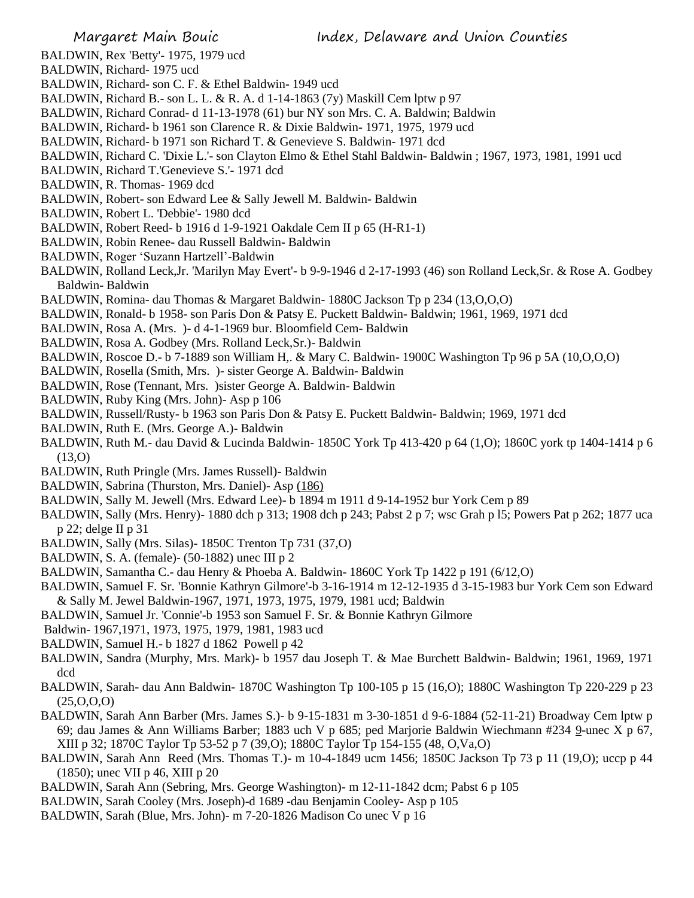BALDWIN, Rex 'Betty'- 1975, 1979 ucd

- BALDWIN, Richard- 1975 ucd
- BALDWIN, Richard- son C. F. & Ethel Baldwin- 1949 ucd
- BALDWIN, Richard B.- son L. L. & R. A. d 1-14-1863 (7y) Maskill Cem lptw p 97
- BALDWIN, Richard Conrad- d 11-13-1978 (61) bur NY son Mrs. C. A. Baldwin; Baldwin
- BALDWIN, Richard- b 1961 son Clarence R. & Dixie Baldwin- 1971, 1975, 1979 ucd
- BALDWIN, Richard- b 1971 son Richard T. & Genevieve S. Baldwin- 1971 dcd
- BALDWIN, Richard C. 'Dixie L.'- son Clayton Elmo & Ethel Stahl Baldwin- Baldwin ; 1967, 1973, 1981, 1991 ucd
- BALDWIN, Richard T.'Genevieve S.'- 1971 dcd
- BALDWIN, R. Thomas- 1969 dcd
- BALDWIN, Robert- son Edward Lee & Sally Jewell M. Baldwin- Baldwin
- BALDWIN, Robert L. 'Debbie'- 1980 dcd
- BALDWIN, Robert Reed- b 1916 d 1-9-1921 Oakdale Cem II p 65 (H-R1-1)
- BALDWIN, Robin Renee- dau Russell Baldwin- Baldwin
- BALDWIN, Roger 'Suzann Hartzell'-Baldwin
- BALDWIN, Rolland Leck,Jr. 'Marilyn May Evert'- b 9-9-1946 d 2-17-1993 (46) son Rolland Leck,Sr. & Rose A. Godbey Baldwin- Baldwin
- BALDWIN, Romina- dau Thomas & Margaret Baldwin- 1880C Jackson Tp p 234 (13,O,O,O)
- BALDWIN, Ronald- b 1958- son Paris Don & Patsy E. Puckett Baldwin- Baldwin; 1961, 1969, 1971 dcd
- BALDWIN, Rosa A. (Mrs. )- d 4-1-1969 bur. Bloomfield Cem- Baldwin
- BALDWIN, Rosa A. Godbey (Mrs. Rolland Leck,Sr.)- Baldwin
- BALDWIN, Roscoe D.- b 7-1889 son William H,. & Mary C. Baldwin- 1900C Washington Tp 96 p 5A (10,0,0,0)
- BALDWIN, Rosella (Smith, Mrs. )- sister George A. Baldwin- Baldwin
- BALDWIN, Rose (Tennant, Mrs. )sister George A. Baldwin- Baldwin
- BALDWIN, Ruby King (Mrs. John)- Asp p 106
- BALDWIN, Russell/Rusty- b 1963 son Paris Don & Patsy E. Puckett Baldwin- Baldwin; 1969, 1971 dcd
- BALDWIN, Ruth E. (Mrs. George A.)- Baldwin
- BALDWIN, Ruth M.- dau David & Lucinda Baldwin- 1850C York Tp 413-420 p 64 (1,O); 1860C york tp 1404-1414 p 6 (13,O)
- BALDWIN, Ruth Pringle (Mrs. James Russell)- Baldwin
- BALDWIN, Sabrina (Thurston, Mrs. Daniel)- Asp (186)
- BALDWIN, Sally M. Jewell (Mrs. Edward Lee)- b 1894 m 1911 d 9-14-1952 bur York Cem p 89
- BALDWIN, Sally (Mrs. Henry)- 1880 dch p 313; 1908 dch p 243; Pabst 2 p 7; wsc Grah p l5; Powers Pat p 262; 1877 uca p 22; delge II p 31
- BALDWIN, Sally (Mrs. Silas)- 1850C Trenton Tp 731 (37,O)
- BALDWIN, S. A. (female)- (50-1882) unec III p 2
- BALDWIN, Samantha C.- dau Henry & Phoeba A. Baldwin- 1860C York Tp 1422 p 191 (6/12,O)
- BALDWIN, Samuel F. Sr. 'Bonnie Kathryn Gilmore'-b 3-16-1914 m 12-12-1935 d 3-15-1983 bur York Cem son Edward & Sally M. Jewel Baldwin-1967, 1971, 1973, 1975, 1979, 1981 ucd; Baldwin
- BALDWIN, Samuel Jr. 'Connie'-b 1953 son Samuel F. Sr. & Bonnie Kathryn Gilmore
- Baldwin- 1967,1971, 1973, 1975, 1979, 1981, 1983 ucd
- BALDWIN, Samuel H.- b 1827 d 1862 Powell p 42
- BALDWIN, Sandra (Murphy, Mrs. Mark)- b 1957 dau Joseph T. & Mae Burchett Baldwin- Baldwin; 1961, 1969, 1971 dcd
- BALDWIN, Sarah- dau Ann Baldwin- 1870C Washington Tp 100-105 p 15 (16,O); 1880C Washington Tp 220-229 p 23  $(25, 0, 0, 0)$
- BALDWIN, Sarah Ann Barber (Mrs. James S.)- b 9-15-1831 m 3-30-1851 d 9-6-1884 (52-11-21) Broadway Cem lptw p 69; dau James & Ann Williams Barber; 1883 uch V p 685; ped Marjorie Baldwin Wiechmann #234 9-unec X p 67, XIII p 32; 1870C Taylor Tp 53-52 p 7 (39,O); 1880C Taylor Tp 154-155 (48, O,Va,O)
- BALDWIN, Sarah Ann Reed (Mrs. Thomas T.)- m 10-4-1849 ucm 1456; 1850C Jackson Tp 73 p 11 (19,O); uccp p 44 (1850); unec VII p 46, XIII p 20
- BALDWIN, Sarah Ann (Sebring, Mrs. George Washington)- m 12-11-1842 dcm; Pabst 6 p 105
- BALDWIN, Sarah Cooley (Mrs. Joseph)-d 1689 -dau Benjamin Cooley- Asp p 105
- BALDWIN, Sarah (Blue, Mrs. John)- m 7-20-1826 Madison Co unec V p 16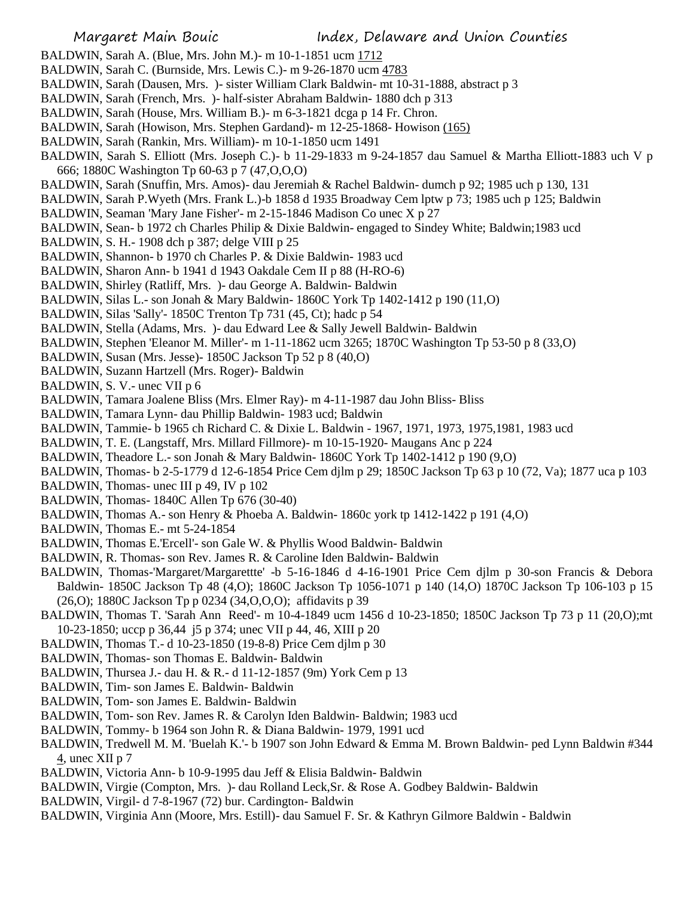- BALDWIN, Sarah A. (Blue, Mrs. John M.)- m 10-1-1851 ucm 1712
- BALDWIN, Sarah C. (Burnside, Mrs. Lewis C.)- m 9-26-1870 ucm 4783
- BALDWIN, Sarah (Dausen, Mrs. )- sister William Clark Baldwin- mt 10-31-1888, abstract p 3
- BALDWIN, Sarah (French, Mrs. )- half-sister Abraham Baldwin- 1880 dch p 313
- BALDWIN, Sarah (House, Mrs. William B.)- m 6-3-1821 dcga p 14 Fr. Chron.
- BALDWIN, Sarah (Howison, Mrs. Stephen Gardand)- m 12-25-1868- Howison (165)
- BALDWIN, Sarah (Rankin, Mrs. William)- m 10-1-1850 ucm 1491
- BALDWIN, Sarah S. Elliott (Mrs. Joseph C.)- b 11-29-1833 m 9-24-1857 dau Samuel & Martha Elliott-1883 uch V p 666; 1880C Washington Tp 60-63 p 7 (47,O,O,O)
- BALDWIN, Sarah (Snuffin, Mrs. Amos)- dau Jeremiah & Rachel Baldwin- dumch p 92; 1985 uch p 130, 131
- BALDWIN, Sarah P.Wyeth (Mrs. Frank L.)-b 1858 d 1935 Broadway Cem lptw p 73; 1985 uch p 125; Baldwin
- BALDWIN, Seaman 'Mary Jane Fisher'- m 2-15-1846 Madison Co unec X p 27
- BALDWIN, Sean- b 1972 ch Charles Philip & Dixie Baldwin- engaged to Sindey White; Baldwin;1983 ucd
- BALDWIN, S. H.- 1908 dch p 387; delge VIII p 25
- BALDWIN, Shannon- b 1970 ch Charles P. & Dixie Baldwin- 1983 ucd
- BALDWIN, Sharon Ann- b 1941 d 1943 Oakdale Cem II p 88 (H-RO-6)
- BALDWIN, Shirley (Ratliff, Mrs. )- dau George A. Baldwin- Baldwin
- BALDWIN, Silas L.- son Jonah & Mary Baldwin- 1860C York Tp 1402-1412 p 190 (11,O)
- BALDWIN, Silas 'Sally'- 1850C Trenton Tp 731 (45, Ct); hadc p 54
- BALDWIN, Stella (Adams, Mrs. )- dau Edward Lee & Sally Jewell Baldwin- Baldwin
- BALDWIN, Stephen 'Eleanor M. Miller'- m 1-11-1862 ucm 3265; 1870C Washington Tp 53-50 p 8 (33,O)
- BALDWIN, Susan (Mrs. Jesse)- 1850C Jackson Tp 52 p 8 (40,O)
- BALDWIN, Suzann Hartzell (Mrs. Roger)- Baldwin
- BALDWIN, S. V.- unec VII p 6
- BALDWIN, Tamara Joalene Bliss (Mrs. Elmer Ray)- m 4-11-1987 dau John Bliss- Bliss
- BALDWIN, Tamara Lynn- dau Phillip Baldwin- 1983 ucd; Baldwin
- BALDWIN, Tammie- b 1965 ch Richard C. & Dixie L. Baldwin 1967, 1971, 1973, 1975,1981, 1983 ucd
- BALDWIN, T. E. (Langstaff, Mrs. Millard Fillmore)- m 10-15-1920- Maugans Anc p 224
- BALDWIN, Theadore L.- son Jonah & Mary Baldwin- 1860C York Tp 1402-1412 p 190 (9,O)
- BALDWIN, Thomas- b 2-5-1779 d 12-6-1854 Price Cem djlm p 29; 1850C Jackson Tp 63 p 10 (72, Va); 1877 uca p 103
- BALDWIN, Thomas- unec III p 49, IV p 102
- BALDWIN, Thomas- 1840C Allen Tp 676 (30-40)
- BALDWIN, Thomas A.- son Henry & Phoeba A. Baldwin- 1860c york tp 1412-1422 p 191 (4,O)
- BALDWIN, Thomas E.- mt 5-24-1854
- BALDWIN, Thomas E.'Ercell'- son Gale W. & Phyllis Wood Baldwin- Baldwin
- BALDWIN, R. Thomas- son Rev. James R. & Caroline Iden Baldwin- Baldwin
- BALDWIN, Thomas-'Margaret/Margarettte' -b 5-16-1846 d 4-16-1901 Price Cem djlm p 30-son Francis & Debora Baldwin- 1850C Jackson Tp 48 (4,O); 1860C Jackson Tp 1056-1071 p 140 (14,O) 1870C Jackson Tp 106-103 p 15 (26,O); 1880C Jackson Tp p 0234 (34,O,O,O); affidavits p 39
- BALDWIN, Thomas T. 'Sarah Ann Reed'- m 10-4-1849 ucm 1456 d 10-23-1850; 1850C Jackson Tp 73 p 11 (20,O);mt 10-23-1850; uccp p 36,44 j5 p 374; unec VII p 44, 46, XIII p 20
- BALDWIN, Thomas T.- d 10-23-1850 (19-8-8) Price Cem djlm p 30
- BALDWIN, Thomas- son Thomas E. Baldwin- Baldwin
- BALDWIN, Thursea J.- dau H. & R.- d 11-12-1857 (9m) York Cem p 13
- BALDWIN, Tim- son James E. Baldwin- Baldwin
- BALDWIN, Tom- son James E. Baldwin- Baldwin
- BALDWIN, Tom- son Rev. James R. & Carolyn Iden Baldwin- Baldwin; 1983 ucd
- BALDWIN, Tommy- b 1964 son John R. & Diana Baldwin- 1979, 1991 ucd
- BALDWIN, Tredwell M. M. 'Buelah K.'- b 1907 son John Edward & Emma M. Brown Baldwin- ped Lynn Baldwin #344 4, unec XII p 7
- BALDWIN, Victoria Ann- b 10-9-1995 dau Jeff & Elisia Baldwin- Baldwin
- BALDWIN, Virgie (Compton, Mrs. )- dau Rolland Leck,Sr. & Rose A. Godbey Baldwin- Baldwin
- BALDWIN, Virgil- d 7-8-1967 (72) bur. Cardington- Baldwin
- BALDWIN, Virginia Ann (Moore, Mrs. Estill)- dau Samuel F. Sr. & Kathryn Gilmore Baldwin Baldwin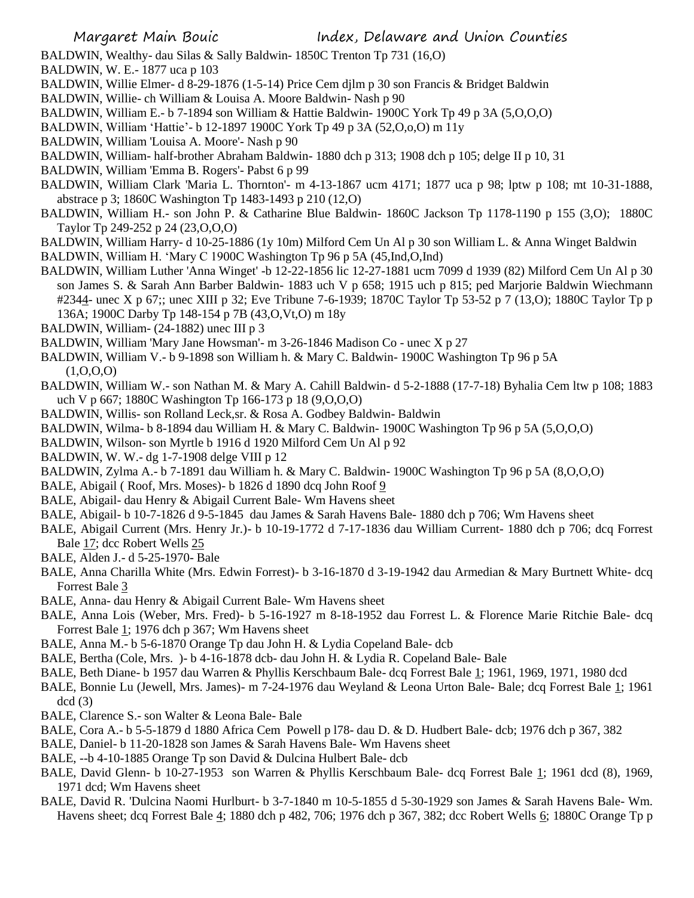BALDWIN, Wealthy- dau Silas & Sally Baldwin- 1850C Trenton Tp 731 (16,O)

- BALDWIN, W. E.- 1877 uca p 103
- BALDWIN, Willie Elmer- d 8-29-1876 (1-5-14) Price Cem djlm p 30 son Francis & Bridget Baldwin
- BALDWIN, Willie- ch William & Louisa A. Moore Baldwin- Nash p 90
- BALDWIN, William E.- b 7-1894 son William & Hattie Baldwin- 1900C York Tp 49 p 3A (5,O,O,O)
- BALDWIN, William 'Hattie'- b 12-1897 1900C York Tp 49 p 3A (52,O,o,O) m 11y
- BALDWIN, William 'Louisa A. Moore'- Nash p 90
- BALDWIN, William- half-brother Abraham Baldwin- 1880 dch p 313; 1908 dch p 105; delge II p 10, 31
- BALDWIN, William 'Emma B. Rogers'- Pabst 6 p 99
- BALDWIN, William Clark 'Maria L. Thornton'- m 4-13-1867 ucm 4171; 1877 uca p 98; lptw p 108; mt 10-31-1888, abstrace p 3; 1860C Washington Tp 1483-1493 p 210 (12,O)
- BALDWIN, William H.- son John P. & Catharine Blue Baldwin- 1860C Jackson Tp 1178-1190 p 155 (3,O); 1880C Taylor Tp 249-252 p 24 (23,O,O,O)
- BALDWIN, William Harry- d 10-25-1886 (1y 10m) Milford Cem Un Al p 30 son William L. & Anna Winget Baldwin
- BALDWIN, William H. 'Mary C 1900C Washington Tp 96 p 5A (45,Ind,O,Ind)
- BALDWIN, William Luther 'Anna Winget' -b 12-22-1856 lic 12-27-1881 ucm 7099 d 1939 (82) Milford Cem Un Al p 30 son James S. & Sarah Ann Barber Baldwin- 1883 uch V p 658; 1915 uch p 815; ped Marjorie Baldwin Wiechmann #2344- unec X p 67;; unec XIII p 32; Eve Tribune 7-6-1939; 1870C Taylor Tp 53-52 p 7 (13,O); 1880C Taylor Tp p 136A; 1900C Darby Tp 148-154 p 7B (43,O,Vt,O) m 18y
- BALDWIN, William- (24-1882) unec III p 3
- BALDWIN, William 'Mary Jane Howsman'- m 3-26-1846 Madison Co unec X p 27
- BALDWIN, William V.- b 9-1898 son William h. & Mary C. Baldwin- 1900C Washington Tp 96 p 5A  $(1,0,0,0)$
- BALDWIN, William W.- son Nathan M. & Mary A. Cahill Baldwin- d 5-2-1888 (17-7-18) Byhalia Cem ltw p 108; 1883 uch V p 667; 1880C Washington Tp 166-173 p 18 (9,O,O,O)
- BALDWIN, Willis- son Rolland Leck,sr. & Rosa A. Godbey Baldwin- Baldwin
- BALDWIN, Wilma- b 8-1894 dau William H. & Mary C. Baldwin- 1900C Washington Tp 96 p 5A (5,O,O,O)
- BALDWIN, Wilson- son Myrtle b 1916 d 1920 Milford Cem Un Al p 92
- BALDWIN, W. W.- dg 1-7-1908 delge VIII p 12
- BALDWIN, Zylma A.- b 7-1891 dau William h. & Mary C. Baldwin- 1900C Washington Tp 96 p 5A (8,O,O,O)
- BALE, Abigail ( Roof, Mrs. Moses)- b 1826 d 1890 dcq John Roof 9
- BALE, Abigail- dau Henry & Abigail Current Bale- Wm Havens sheet
- BALE, Abigail- b 10-7-1826 d 9-5-1845 dau James & Sarah Havens Bale- 1880 dch p 706; Wm Havens sheet
- BALE, Abigail Current (Mrs. Henry Jr.)- b 10-19-1772 d 7-17-1836 dau William Current- 1880 dch p 706; dcq Forrest Bale 17; dcc Robert Wells 25
- BALE, Alden J.- d 5-25-1970- Bale
- BALE, Anna Charilla White (Mrs. Edwin Forrest)- b 3-16-1870 d 3-19-1942 dau Armedian & Mary Burtnett White- dcq Forrest Bale 3
- BALE, Anna- dau Henry & Abigail Current Bale- Wm Havens sheet
- BALE, Anna Lois (Weber, Mrs. Fred)- b 5-16-1927 m 8-18-1952 dau Forrest L. & Florence Marie Ritchie Bale- dcq Forrest Bale 1; 1976 dch p 367; Wm Havens sheet
- BALE, Anna M.- b 5-6-1870 Orange Tp dau John H. & Lydia Copeland Bale- dcb
- BALE, Bertha (Cole, Mrs. )- b 4-16-1878 dcb- dau John H. & Lydia R. Copeland Bale- Bale
- BALE, Beth Diane- b 1957 dau Warren & Phyllis Kerschbaum Bale- dcq Forrest Bale 1; 1961, 1969, 1971, 1980 dcd
- BALE, Bonnie Lu (Jewell, Mrs. James)- m 7-24-1976 dau Weyland & Leona Urton Bale- Bale; dcq Forrest Bale 1; 1961  $dcd(3)$
- BALE, Clarence S.- son Walter & Leona Bale- Bale
- BALE, Cora A.- b 5-5-1879 d 1880 Africa Cem Powell p l78- dau D. & D. Hudbert Bale- dcb; 1976 dch p 367, 382
- BALE, Daniel- b 11-20-1828 son James & Sarah Havens Bale- Wm Havens sheet
- BALE, --b 4-10-1885 Orange Tp son David & Dulcina Hulbert Bale- dcb
- BALE, David Glenn- b 10-27-1953 son Warren & Phyllis Kerschbaum Bale- dcq Forrest Bale 1; 1961 dcd (8), 1969, 1971 dcd; Wm Havens sheet
- BALE, David R. 'Dulcina Naomi Hurlburt- b 3-7-1840 m 10-5-1855 d 5-30-1929 son James & Sarah Havens Bale- Wm. Havens sheet; dcq Forrest Bale 4; 1880 dch p 482, 706; 1976 dch p 367, 382; dcc Robert Wells 6; 1880C Orange Tp p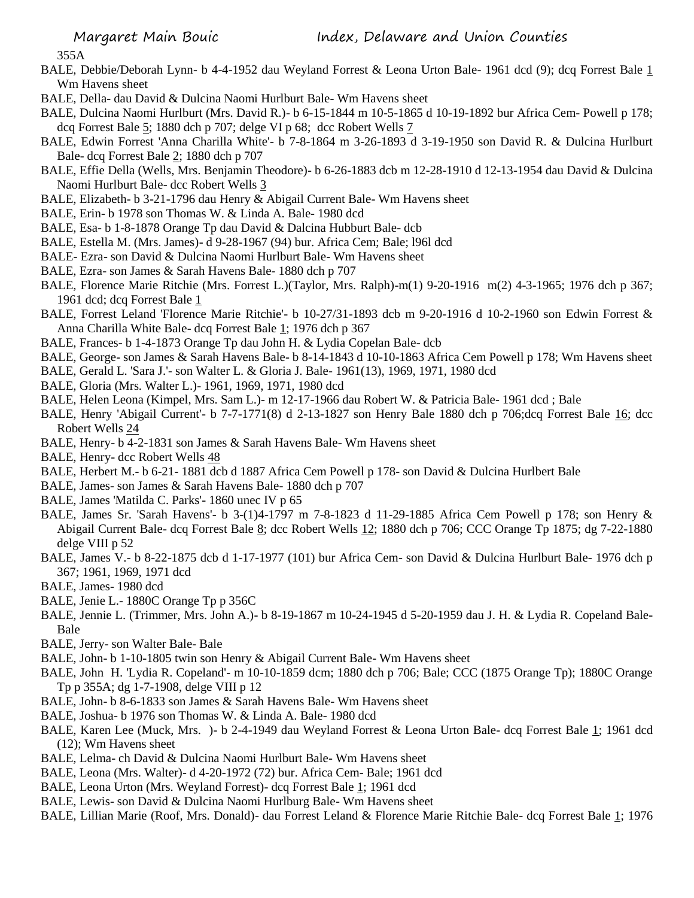355A

- BALE, Debbie/Deborah Lynn- b 4-4-1952 dau Weyland Forrest & Leona Urton Bale- 1961 dcd (9); dcq Forrest Bale 1 Wm Havens sheet
- BALE, Della- dau David & Dulcina Naomi Hurlburt Bale- Wm Havens sheet
- BALE, Dulcina Naomi Hurlburt (Mrs. David R.)- b 6-15-1844 m 10-5-1865 d 10-19-1892 bur Africa Cem- Powell p 178; dcq Forrest Bale 5; 1880 dch p 707; delge VI p 68; dcc Robert Wells 7
- BALE, Edwin Forrest 'Anna Charilla White'- b 7-8-1864 m 3-26-1893 d 3-19-1950 son David R. & Dulcina Hurlburt Bale- dcq Forrest Bale 2; 1880 dch p 707
- BALE, Effie Della (Wells, Mrs. Benjamin Theodore)- b 6-26-1883 dcb m 12-28-1910 d 12-13-1954 dau David & Dulcina Naomi Hurlburt Bale- dcc Robert Wells 3
- BALE, Elizabeth- b 3-21-1796 dau Henry & Abigail Current Bale- Wm Havens sheet
- BALE, Erin- b 1978 son Thomas W. & Linda A. Bale- 1980 dcd
- BALE, Esa- b 1-8-1878 Orange Tp dau David & Dalcina Hubburt Bale- dcb
- BALE, Estella M. (Mrs. James)- d 9-28-1967 (94) bur. Africa Cem; Bale; l96l dcd
- BALE- Ezra- son David & Dulcina Naomi Hurlburt Bale- Wm Havens sheet
- BALE, Ezra- son James & Sarah Havens Bale- 1880 dch p 707
- BALE, Florence Marie Ritchie (Mrs. Forrest L.)(Taylor, Mrs. Ralph)-m(1) 9-20-1916 m(2) 4-3-1965; 1976 dch p 367; 1961 dcd; dcq Forrest Bale 1
- BALE, Forrest Leland 'Florence Marie Ritchie'- b 10-27/31-1893 dcb m 9-20-1916 d 10-2-1960 son Edwin Forrest & Anna Charilla White Bale- dcq Forrest Bale 1; 1976 dch p 367
- BALE, Frances- b 1-4-1873 Orange Tp dau John H. & Lydia Copelan Bale- dcb
- BALE, George- son James & Sarah Havens Bale- b 8-14-1843 d 10-10-1863 Africa Cem Powell p 178; Wm Havens sheet
- BALE, Gerald L. 'Sara J.'- son Walter L. & Gloria J. Bale- 1961(13), 1969, 1971, 1980 dcd
- BALE, Gloria (Mrs. Walter L.)- 1961, 1969, 1971, 1980 dcd
- BALE, Helen Leona (Kimpel, Mrs. Sam L.)- m 12-17-1966 dau Robert W. & Patricia Bale- 1961 dcd ; Bale
- BALE, Henry 'Abigail Current'- b 7-7-1771(8) d 2-13-1827 son Henry Bale 1880 dch p 706;dcq Forrest Bale 16; dcc Robert Wells 24
- BALE, Henry- b 4-2-1831 son James & Sarah Havens Bale- Wm Havens sheet
- BALE, Henry- dcc Robert Wells 48
- BALE, Herbert M.- b 6-21- 1881 dcb d 1887 Africa Cem Powell p 178- son David & Dulcina Hurlbert Bale
- BALE, James- son James & Sarah Havens Bale- 1880 dch p 707
- BALE, James 'Matilda C. Parks'- 1860 unec IV p 65
- BALE, James Sr. 'Sarah Havens'- b 3-(1)4-1797 m 7-8-1823 d 11-29-1885 Africa Cem Powell p 178; son Henry & Abigail Current Bale- dcq Forrest Bale 8; dcc Robert Wells 12; 1880 dch p 706; CCC Orange Tp 1875; dg 7-22-1880 delge VIII p 52
- BALE, James V.- b 8-22-1875 dcb d 1-17-1977 (101) bur Africa Cem- son David & Dulcina Hurlburt Bale- 1976 dch p 367; 1961, 1969, 1971 dcd
- BALE, James- 1980 dcd
- BALE, Jenie L.- 1880C Orange Tp p 356C
- BALE, Jennie L. (Trimmer, Mrs. John A.)- b 8-19-1867 m 10-24-1945 d 5-20-1959 dau J. H. & Lydia R. Copeland Bale-Bale
- BALE, Jerry- son Walter Bale- Bale
- BALE, John- b 1-10-1805 twin son Henry & Abigail Current Bale- Wm Havens sheet
- BALE, John H. 'Lydia R. Copeland'- m 10-10-1859 dcm; 1880 dch p 706; Bale; CCC (1875 Orange Tp); 1880C Orange Tp p 355A; dg 1-7-1908, delge VIII p 12
- BALE, John- b 8-6-1833 son James & Sarah Havens Bale- Wm Havens sheet
- BALE, Joshua- b 1976 son Thomas W. & Linda A. Bale- 1980 dcd
- BALE, Karen Lee (Muck, Mrs. )- b 2-4-1949 dau Weyland Forrest & Leona Urton Bale- dcq Forrest Bale 1; 1961 dcd (12); Wm Havens sheet
- BALE, Lelma- ch David & Dulcina Naomi Hurlburt Bale- Wm Havens sheet
- BALE, Leona (Mrs. Walter)- d 4-20-1972 (72) bur. Africa Cem- Bale; 1961 dcd
- BALE, Leona Urton (Mrs. Weyland Forrest)- dcq Forrest Bale 1; 1961 dcd
- BALE, Lewis- son David & Dulcina Naomi Hurlburg Bale- Wm Havens sheet
- BALE, Lillian Marie (Roof, Mrs. Donald)- dau Forrest Leland & Florence Marie Ritchie Bale- dcq Forrest Bale 1; 1976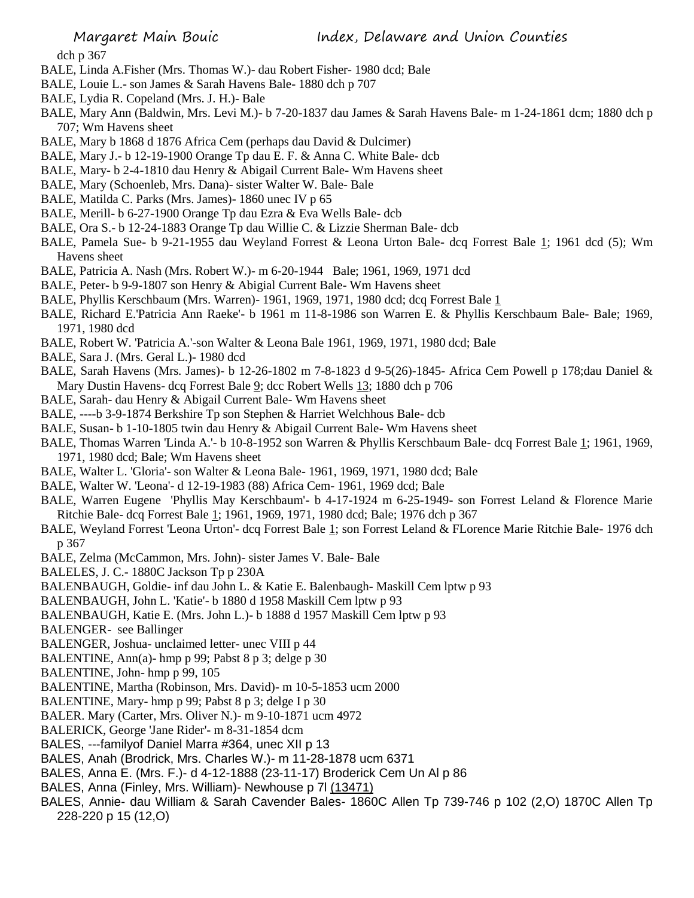dch p 367

- BALE, Linda A.Fisher (Mrs. Thomas W.)- dau Robert Fisher- 1980 dcd; Bale
- BALE, Louie L.- son James & Sarah Havens Bale- 1880 dch p 707
- BALE, Lydia R. Copeland (Mrs. J. H.)- Bale
- BALE, Mary Ann (Baldwin, Mrs. Levi M.)- b 7-20-1837 dau James & Sarah Havens Bale- m 1-24-1861 dcm; 1880 dch p 707; Wm Havens sheet
- BALE, Mary b 1868 d 1876 Africa Cem (perhaps dau David & Dulcimer)
- BALE, Mary J.- b 12-19-1900 Orange Tp dau E. F. & Anna C. White Bale- dcb
- BALE, Mary- b 2-4-1810 dau Henry & Abigail Current Bale- Wm Havens sheet
- BALE, Mary (Schoenleb, Mrs. Dana)- sister Walter W. Bale- Bale
- BALE, Matilda C. Parks (Mrs. James)- 1860 unec IV p 65
- BALE, Merill- b 6-27-1900 Orange Tp dau Ezra & Eva Wells Bale- dcb
- BALE, Ora S.- b 12-24-1883 Orange Tp dau Willie C. & Lizzie Sherman Bale- dcb
- BALE, Pamela Sue- b 9-21-1955 dau Weyland Forrest & Leona Urton Bale- dcq Forrest Bale 1; 1961 dcd (5); Wm Havens sheet
- BALE, Patricia A. Nash (Mrs. Robert W.)- m 6-20-1944 Bale; 1961, 1969, 1971 dcd
- BALE, Peter- b 9-9-1807 son Henry & Abigial Current Bale- Wm Havens sheet
- BALE, Phyllis Kerschbaum (Mrs. Warren)- 1961, 1969, 1971, 1980 dcd; dcq Forrest Bale 1
- BALE, Richard E.'Patricia Ann Raeke'- b 1961 m 11-8-1986 son Warren E. & Phyllis Kerschbaum Bale- Bale; 1969, 1971, 1980 dcd
- BALE, Robert W. 'Patricia A.'-son Walter & Leona Bale 1961, 1969, 1971, 1980 dcd; Bale
- BALE, Sara J. (Mrs. Geral L.)- 1980 dcd
- BALE, Sarah Havens (Mrs. James)- b 12-26-1802 m 7-8-1823 d 9-5(26)-1845- Africa Cem Powell p 178;dau Daniel & Mary Dustin Havens- dcq Forrest Bale 9; dcc Robert Wells 13; 1880 dch p 706
- BALE, Sarah- dau Henry & Abigail Current Bale- Wm Havens sheet
- BALE, ----b 3-9-1874 Berkshire Tp son Stephen & Harriet Welchhous Bale- dcb
- BALE, Susan- b 1-10-1805 twin dau Henry & Abigail Current Bale- Wm Havens sheet
- BALE, Thomas Warren 'Linda A.'- b 10-8-1952 son Warren & Phyllis Kerschbaum Bale- dcq Forrest Bale 1; 1961, 1969, 1971, 1980 dcd; Bale; Wm Havens sheet
- BALE, Walter L. 'Gloria'- son Walter & Leona Bale- 1961, 1969, 1971, 1980 dcd; Bale
- BALE, Walter W. 'Leona'- d 12-19-1983 (88) Africa Cem- 1961, 1969 dcd; Bale
- BALE, Warren Eugene 'Phyllis May Kerschbaum'- b 4-17-1924 m 6-25-1949- son Forrest Leland & Florence Marie Ritchie Bale- dcq Forrest Bale 1; 1961, 1969, 1971, 1980 dcd; Bale; 1976 dch p 367
- BALE, Weyland Forrest 'Leona Urton'- dcq Forrest Bale 1; son Forrest Leland & FLorence Marie Ritchie Bale- 1976 dch p 367
- BALE, Zelma (McCammon, Mrs. John)- sister James V. Bale- Bale
- BALELES, J. C.- 1880C Jackson Tp p 230A
- BALENBAUGH, Goldie- inf dau John L. & Katie E. Balenbaugh- Maskill Cem lptw p 93
- BALENBAUGH, John L. 'Katie'- b 1880 d 1958 Maskill Cem lptw p 93
- BALENBAUGH, Katie E. (Mrs. John L.)- b 1888 d 1957 Maskill Cem lptw p 93
- BALENGER- see Ballinger
- BALENGER, Joshua- unclaimed letter- unec VIII p 44
- BALENTINE, Ann(a)- hmp p 99; Pabst 8 p 3; delge p 30
- BALENTINE, John- hmp p 99, 105
- BALENTINE, Martha (Robinson, Mrs. David)- m 10-5-1853 ucm 2000
- BALENTINE, Mary- hmp p 99; Pabst 8 p 3; delge I p 30
- BALER. Mary (Carter, Mrs. Oliver N.)- m 9-10-1871 ucm 4972
- BALERICK, George 'Jane Rider'- m 8-31-1854 dcm
- BALES, ---familyof Daniel Marra #364, unec XII p 13
- BALES, Anah (Brodrick, Mrs. Charles W.)- m 11-28-1878 ucm 6371
- BALES, Anna E. (Mrs. F.)- d 4-12-1888 (23-11-17) Broderick Cem Un Al p 86
- BALES, Anna (Finley, Mrs. William) Newhouse p 7l (13471)
- BALES, Annie- dau William & Sarah Cavender Bales- 1860C Allen Tp 739-746 p 102 (2,O) 1870C Allen Tp 228-220 p 15 (12,O)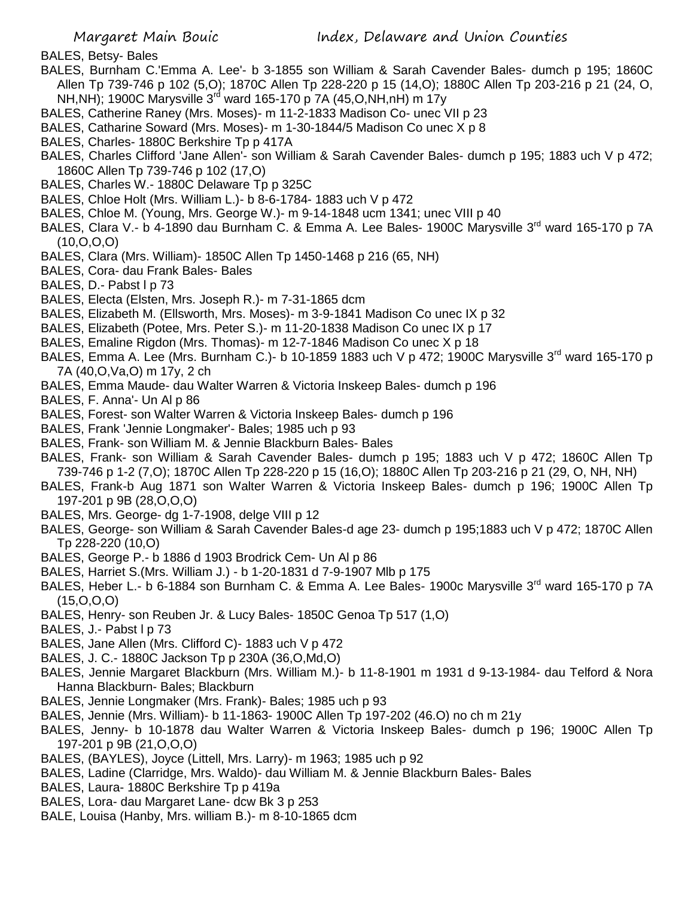- BALES, Betsy- Bales
- BALES, Burnham C.'Emma A. Lee'- b 3-1855 son William & Sarah Cavender Bales- dumch p 195; 1860C Allen Tp 739-746 p 102 (5,O); 1870C Allen Tp 228-220 p 15 (14,O); 1880C Allen Tp 203-216 p 21 (24, O, NH,NH); 1900C Marysville 3rd ward 165-170 p 7A (45,O,NH,nH) m 17y
- BALES, Catherine Raney (Mrs. Moses)- m 11-2-1833 Madison Co- unec VII p 23
- BALES, Catharine Soward (Mrs. Moses)- m 1-30-1844/5 Madison Co unec X p 8
- BALES, Charles- 1880C Berkshire Tp p 417A
- BALES, Charles Clifford 'Jane Allen'- son William & Sarah Cavender Bales- dumch p 195; 1883 uch V p 472; 1860C Allen Tp 739-746 p 102 (17,O)
- BALES, Charles W.- 1880C Delaware Tp p 325C
- BALES, Chloe Holt (Mrs. William L.)- b 8-6-1784- 1883 uch V p 472
- BALES, Chloe M. (Young, Mrs. George W.)- m 9-14-1848 ucm 1341; unec VIII p 40
- BALES, Clara V.- b 4-1890 dau Burnham C. & Emma A. Lee Bales- 1900C Marysville 3<sup>rd</sup> ward 165-170 p 7A (10,O,O,O)
- BALES, Clara (Mrs. William)- 1850C Allen Tp 1450-1468 p 216 (65, NH)
- BALES, Cora- dau Frank Bales- Bales
- BALES, D. Pabst  $1 p 73$
- BALES, Electa (Elsten, Mrs. Joseph R.)- m 7-31-1865 dcm
- BALES, Elizabeth M. (Ellsworth, Mrs. Moses)- m 3-9-1841 Madison Co unec IX p 32
- BALES, Elizabeth (Potee, Mrs. Peter S.)- m 11-20-1838 Madison Co unec IX p 17
- BALES, Emaline Rigdon (Mrs. Thomas)- m 12-7-1846 Madison Co unec X p 18
- BALES, Emma A. Lee (Mrs. Burnham C.)- b 10-1859 1883 uch V p 472; 1900C Marysville 3<sup>rd</sup> ward 165-170 p 7A (40,O,Va,O) m 17y, 2 ch
- BALES, Emma Maude- dau Walter Warren & Victoria Inskeep Bales- dumch p 196
- BALES, F. Anna'- Un Al p 86
- BALES, Forest- son Walter Warren & Victoria Inskeep Bales- dumch p 196
- BALES, Frank 'Jennie Longmaker'- Bales; 1985 uch p 93
- BALES, Frank- son William M. & Jennie Blackburn Bales- Bales
- BALES, Frank- son William & Sarah Cavender Bales- dumch p 195; 1883 uch V p 472; 1860C Allen Tp 739-746 p 1-2 (7,O); 1870C Allen Tp 228-220 p 15 (16,O); 1880C Allen Tp 203-216 p 21 (29, O, NH, NH)
- BALES, Frank-b Aug 1871 son Walter Warren & Victoria Inskeep Bales- dumch p 196; 1900C Allen Tp 197-201 p 9B (28,O,O,O)
- BALES, Mrs. George- dg 1-7-1908, delge VIII p 12
- BALES, George- son William & Sarah Cavender Bales-d age 23- dumch p 195;1883 uch V p 472; 1870C Allen Tp 228-220 (10,O)
- BALES, George P.- b 1886 d 1903 Brodrick Cem- Un Al p 86
- BALES, Harriet S.(Mrs. William J.) b 1-20-1831 d 7-9-1907 Mlb p 175
- BALES, Heber L.- b 6-1884 son Burnham C. & Emma A. Lee Bales- 1900c Marysville 3<sup>rd</sup> ward 165-170 p 7A (15,O,O,O)
- BALES, Henry- son Reuben Jr. & Lucy Bales- 1850C Genoa Tp 517 (1,O)
- BALES, J.- Pabst I p 73
- BALES, Jane Allen (Mrs. Clifford C)- 1883 uch V p 472
- BALES, J. C.- 1880C Jackson Tp p 230A (36,O,Md,O)
- BALES, Jennie Margaret Blackburn (Mrs. William M.)- b 11-8-1901 m 1931 d 9-13-1984- dau Telford & Nora Hanna Blackburn- Bales; Blackburn
- BALES, Jennie Longmaker (Mrs. Frank)- Bales; 1985 uch p 93
- BALES, Jennie (Mrs. William)- b 11-1863- 1900C Allen Tp 197-202 (46.O) no ch m 21y
- BALES, Jenny- b 10-1878 dau Walter Warren & Victoria Inskeep Bales- dumch p 196; 1900C Allen Tp 197-201 p 9B (21,O,O,O)
- BALES, (BAYLES), Joyce (Littell, Mrs. Larry)- m 1963; 1985 uch p 92
- BALES, Ladine (Clarridge, Mrs. Waldo)- dau William M. & Jennie Blackburn Bales- Bales
- BALES, Laura- 1880C Berkshire Tp p 419a
- BALES, Lora- dau Margaret Lane- dcw Bk 3 p 253
- BALE, Louisa (Hanby, Mrs. william B.)- m 8-10-1865 dcm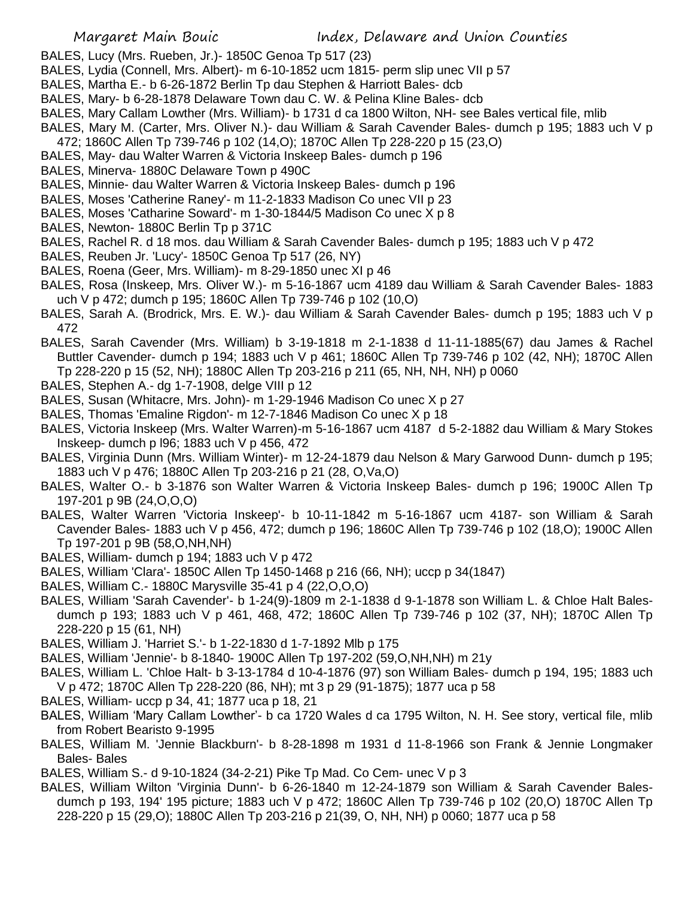- BALES, Lucy (Mrs. Rueben, Jr.)- 1850C Genoa Tp 517 (23)
- BALES, Lydia (Connell, Mrs. Albert)- m 6-10-1852 ucm 1815- perm slip unec VII p 57
- BALES, Martha E.- b 6-26-1872 Berlin Tp dau Stephen & Harriott Bales- dcb
- BALES, Mary- b 6-28-1878 Delaware Town dau C. W. & Pelina Kline Bales- dcb
- BALES, Mary Callam Lowther (Mrs. William)- b 1731 d ca 1800 Wilton, NH- see Bales vertical file, mlib
- BALES, Mary M. (Carter, Mrs. Oliver N.)- dau William & Sarah Cavender Bales- dumch p 195; 1883 uch V p
- 472; 1860C Allen Tp 739-746 p 102 (14,O); 1870C Allen Tp 228-220 p 15 (23,O)
- BALES, May- dau Walter Warren & Victoria Inskeep Bales- dumch p 196
- BALES, Minerva- 1880C Delaware Town p 490C
- BALES, Minnie- dau Walter Warren & Victoria Inskeep Bales- dumch p 196
- BALES, Moses 'Catherine Raney'- m 11-2-1833 Madison Co unec VII p 23
- BALES, Moses 'Catharine Soward'- m 1-30-1844/5 Madison Co unec X p 8
- BALES, Newton- 1880C Berlin Tp p 371C
- BALES, Rachel R. d 18 mos. dau William & Sarah Cavender Bales- dumch p 195; 1883 uch V p 472
- BALES, Reuben Jr. 'Lucy'- 1850C Genoa Tp 517 (26, NY)
- BALES, Roena (Geer, Mrs. William)- m 8-29-1850 unec XI p 46
- BALES, Rosa (Inskeep, Mrs. Oliver W.)- m 5-16-1867 ucm 4189 dau William & Sarah Cavender Bales- 1883 uch V p 472; dumch p 195; 1860C Allen Tp 739-746 p 102 (10,O)
- BALES, Sarah A. (Brodrick, Mrs. E. W.)- dau William & Sarah Cavender Bales- dumch p 195; 1883 uch V p 472
- BALES, Sarah Cavender (Mrs. William) b 3-19-1818 m 2-1-1838 d 11-11-1885(67) dau James & Rachel Buttler Cavender- dumch p 194; 1883 uch V p 461; 1860C Allen Tp 739-746 p 102 (42, NH); 1870C Allen Tp 228-220 p 15 (52, NH); 1880C Allen Tp 203-216 p 211 (65, NH, NH, NH) p 0060
- BALES, Stephen A.- dg 1-7-1908, delge VIII p 12
- BALES, Susan (Whitacre, Mrs. John)- m 1-29-1946 Madison Co unec X p 27
- BALES, Thomas 'Emaline Rigdon'- m 12-7-1846 Madison Co unec X p 18
- BALES, Victoria Inskeep (Mrs. Walter Warren)-m 5-16-1867 ucm 4187 d 5-2-1882 dau William & Mary Stokes Inskeep- dumch p l96; 1883 uch V p 456, 472
- BALES, Virginia Dunn (Mrs. William Winter)- m 12-24-1879 dau Nelson & Mary Garwood Dunn- dumch p 195; 1883 uch V p 476; 1880C Allen Tp 203-216 p 21 (28, O,Va,O)
- BALES, Walter O.- b 3-1876 son Walter Warren & Victoria Inskeep Bales- dumch p 196; 1900C Allen Tp 197-201 p 9B (24,O,O,O)
- BALES, Walter Warren 'Victoria Inskeep'- b 10-11-1842 m 5-16-1867 ucm 4187- son William & Sarah Cavender Bales- 1883 uch V p 456, 472; dumch p 196; 1860C Allen Tp 739-746 p 102 (18,O); 1900C Allen Tp 197-201 p 9B (58,O,NH,NH)
- BALES, William- dumch p 194; 1883 uch V p 472
- BALES, William 'Clara'- 1850C Allen Tp 1450-1468 p 216 (66, NH); uccp p 34(1847)
- BALES, William C.- 1880C Marysville 35-41 p 4 (22,O,O,O)
- BALES, William 'Sarah Cavender'- b 1-24(9)-1809 m 2-1-1838 d 9-1-1878 son William L. & Chloe Halt Balesdumch p 193; 1883 uch V p 461, 468, 472; 1860C Allen Tp 739-746 p 102 (37, NH); 1870C Allen Tp 228-220 p 15 (61, NH)
- BALES, William J. 'Harriet S.'- b 1-22-1830 d 1-7-1892 Mlb p 175
- BALES, William 'Jennie'- b 8-1840- 1900C Allen Tp 197-202 (59,O,NH,NH) m 21y
- BALES, William L. 'Chloe Halt- b 3-13-1784 d 10-4-1876 (97) son William Bales- dumch p 194, 195; 1883 uch V p 472; 1870C Allen Tp 228-220 (86, NH); mt 3 p 29 (91-1875); 1877 uca p 58
- BALES, William- uccp p 34, 41; 1877 uca p 18, 21
- BALES, William 'Mary Callam Lowther'- b ca 1720 Wales d ca 1795 Wilton, N. H. See story, vertical file, mlib from Robert Bearisto 9-1995
- BALES, William M. 'Jennie Blackburn'- b 8-28-1898 m 1931 d 11-8-1966 son Frank & Jennie Longmaker Bales- Bales
- BALES, William S.- d 9-10-1824 (34-2-21) Pike Tp Mad. Co Cem- unec V p 3
- BALES, William Wilton 'Virginia Dunn'- b 6-26-1840 m 12-24-1879 son William & Sarah Cavender Balesdumch p 193, 194' 195 picture; 1883 uch V p 472; 1860C Allen Tp 739-746 p 102 (20,O) 1870C Allen Tp 228-220 p 15 (29,O); 1880C Allen Tp 203-216 p 21(39, O, NH, NH) p 0060; 1877 uca p 58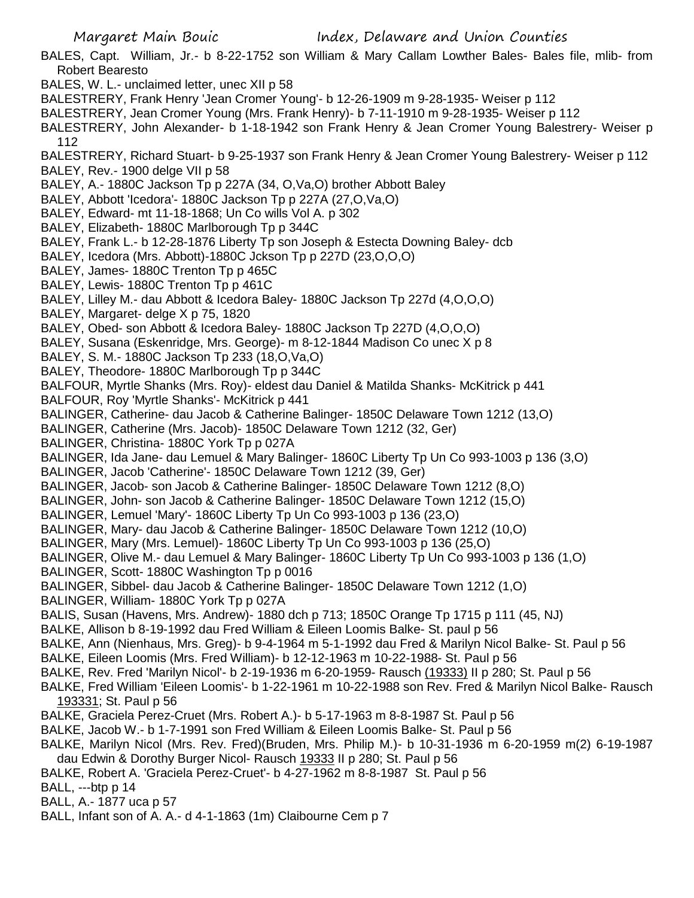- BALES, Capt. William, Jr.- b 8-22-1752 son William & Mary Callam Lowther Bales- Bales file, mlib- from Robert Bearesto
- BALES, W. L.- unclaimed letter, unec XII p 58
- BALESTRERY, Frank Henry 'Jean Cromer Young'- b 12-26-1909 m 9-28-1935- Weiser p 112
- BALESTRERY, Jean Cromer Young (Mrs. Frank Henry)- b 7-11-1910 m 9-28-1935- Weiser p 112
- BALESTRERY, John Alexander- b 1-18-1942 son Frank Henry & Jean Cromer Young Balestrery- Weiser p 112
- BALESTRERY, Richard Stuart- b 9-25-1937 son Frank Henry & Jean Cromer Young Balestrery- Weiser p 112 BALEY, Rev.- 1900 delge VII p 58
- BALEY, A.- 1880C Jackson Tp p 227A (34, O,Va,O) brother Abbott Baley
- BALEY, Abbott 'Icedora'- 1880C Jackson Tp p 227A (27,O,Va,O)
- BALEY, Edward- mt 11-18-1868; Un Co wills Vol A. p 302
- BALEY, Elizabeth- 1880C Marlborough Tp p 344C
- BALEY, Frank L.- b 12-28-1876 Liberty Tp son Joseph & Estecta Downing Baley- dcb
- BALEY, Icedora (Mrs. Abbott)-1880C Jckson Tp p 227D (23,O,O,O)
- BALEY, James- 1880C Trenton Tp p 465C
- BALEY, Lewis- 1880C Trenton Tp p 461C
- BALEY, Lilley M.- dau Abbott & Icedora Baley- 1880C Jackson Tp 227d (4,O,O,O)
- BALEY, Margaret- delge X p 75, 1820
- BALEY, Obed- son Abbott & Icedora Baley- 1880C Jackson Tp 227D (4,O,O,O)
- BALEY, Susana (Eskenridge, Mrs. George)- m 8-12-1844 Madison Co unec X p 8
- BALEY, S. M.- 1880C Jackson Tp 233 (18,O,Va,O)
- BALEY, Theodore- 1880C Marlborough Tp p 344C
- BALFOUR, Myrtle Shanks (Mrs. Roy)- eldest dau Daniel & Matilda Shanks- McKitrick p 441
- BALFOUR, Roy 'Myrtle Shanks'- McKitrick p 441
- BALINGER, Catherine- dau Jacob & Catherine Balinger- 1850C Delaware Town 1212 (13,O)
- BALINGER, Catherine (Mrs. Jacob)- 1850C Delaware Town 1212 (32, Ger)
- BALINGER, Christina- 1880C York Tp p 027A
- BALINGER, Ida Jane- dau Lemuel & Mary Balinger- 1860C Liberty Tp Un Co 993-1003 p 136 (3,O)
- BALINGER, Jacob 'Catherine'- 1850C Delaware Town 1212 (39, Ger)
- BALINGER, Jacob- son Jacob & Catherine Balinger- 1850C Delaware Town 1212 (8,O)
- BALINGER, John- son Jacob & Catherine Balinger- 1850C Delaware Town 1212 (15,O)
- BALINGER, Lemuel 'Mary'- 1860C Liberty Tp Un Co 993-1003 p 136 (23,O)
- BALINGER, Mary- dau Jacob & Catherine Balinger- 1850C Delaware Town 1212 (10,O)
- BALINGER, Mary (Mrs. Lemuel)- 1860C Liberty Tp Un Co 993-1003 p 136 (25,O)
- BALINGER, Olive M.- dau Lemuel & Mary Balinger- 1860C Liberty Tp Un Co 993-1003 p 136 (1,O)
- BALINGER, Scott- 1880C Washington Tp p 0016
- BALINGER, Sibbel- dau Jacob & Catherine Balinger- 1850C Delaware Town 1212 (1,O)
- BALINGER, William- 1880C York Tp p 027A
- BALIS, Susan (Havens, Mrs. Andrew)- 1880 dch p 713; 1850C Orange Tp 1715 p 111 (45, NJ)
- BALKE, Allison b 8-19-1992 dau Fred William & Eileen Loomis Balke- St. paul p 56
- BALKE, Ann (Nienhaus, Mrs. Greg)- b 9-4-1964 m 5-1-1992 dau Fred & Marilyn Nicol Balke- St. Paul p 56
- BALKE, Eileen Loomis (Mrs. Fred William)- b 12-12-1963 m 10-22-1988- St. Paul p 56
- BALKE, Rev. Fred 'Marilyn Nicol'- b 2-19-1936 m 6-20-1959- Rausch (19333) II p 280; St. Paul p 56
- BALKE, Fred William 'Eileen Loomis'- b 1-22-1961 m 10-22-1988 son Rev. Fred & Marilyn Nicol Balke- Rausch 193331; St. Paul p 56
- BALKE, Graciela Perez-Cruet (Mrs. Robert A.)- b 5-17-1963 m 8-8-1987 St. Paul p 56
- BALKE, Jacob W.- b 1-7-1991 son Fred William & Eileen Loomis Balke- St. Paul p 56
- BALKE, Marilyn Nicol (Mrs. Rev. Fred)(Bruden, Mrs. Philip M.)- b 10-31-1936 m 6-20-1959 m(2) 6-19-1987
- dau Edwin & Dorothy Burger Nicol- Rausch 19333 II p 280; St. Paul p 56
- BALKE, Robert A. 'Graciela Perez-Cruet'- b 4-27-1962 m 8-8-1987 St. Paul p 56
- BALL, ---btp p 14
- BALL, A.- 1877 uca p 57
- BALL, Infant son of A. A.- d 4-1-1863 (1m) Claibourne Cem p 7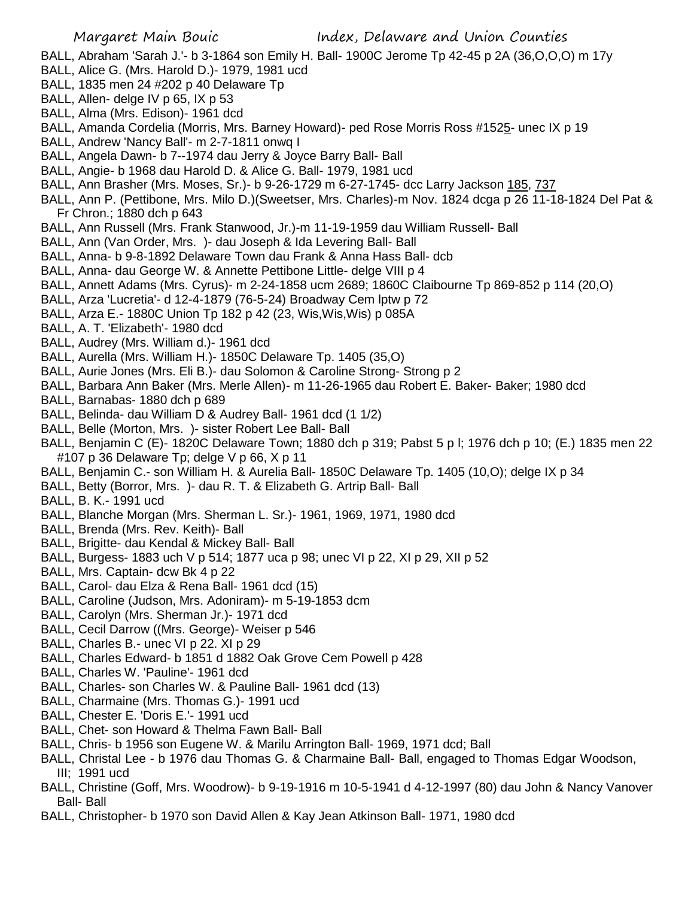- BALL, Abraham 'Sarah J.'- b 3-1864 son Emily H. Ball- 1900C Jerome Tp 42-45 p 2A (36,O,O,O) m 17y
- BALL, Alice G. (Mrs. Harold D.)- 1979, 1981 ucd
- BALL, 1835 men 24 #202 p 40 Delaware Tp
- BALL, Allen- delge IV p 65, IX p 53
- BALL, Alma (Mrs. Edison)- 1961 dcd
- BALL, Amanda Cordelia (Morris, Mrs. Barney Howard)- ped Rose Morris Ross #1525- unec IX p 19
- BALL, Andrew 'Nancy Ball'- m 2-7-1811 onwq I
- BALL, Angela Dawn- b 7--1974 dau Jerry & Joyce Barry Ball- Ball
- BALL, Angie- b 1968 dau Harold D. & Alice G. Ball- 1979, 1981 ucd
- BALL, Ann Brasher (Mrs. Moses, Sr.)- b 9-26-1729 m 6-27-1745- dcc Larry Jackson 185, 737
- BALL, Ann P. (Pettibone, Mrs. Milo D.)(Sweetser, Mrs. Charles)-m Nov. 1824 dcga p 26 11-18-1824 Del Pat & Fr Chron.; 1880 dch p 643
- BALL, Ann Russell (Mrs. Frank Stanwood, Jr.)-m 11-19-1959 dau William Russell- Ball
- BALL, Ann (Van Order, Mrs. )- dau Joseph & Ida Levering Ball- Ball
- BALL, Anna- b 9-8-1892 Delaware Town dau Frank & Anna Hass Ball- dcb
- BALL, Anna- dau George W. & Annette Pettibone Little- delge VIII p 4
- BALL, Annett Adams (Mrs. Cyrus)- m 2-24-1858 ucm 2689; 1860C Claibourne Tp 869-852 p 114 (20,O)
- BALL, Arza 'Lucretia'- d 12-4-1879 (76-5-24) Broadway Cem lptw p 72
- BALL, Arza E.- 1880C Union Tp 182 p 42 (23, Wis,Wis,Wis) p 085A
- BALL, A. T. 'Elizabeth'- 1980 dcd
- BALL, Audrey (Mrs. William d.)- 1961 dcd
- BALL, Aurella (Mrs. William H.)- 1850C Delaware Tp. 1405 (35,O)
- BALL, Aurie Jones (Mrs. Eli B.)- dau Solomon & Caroline Strong- Strong p 2
- BALL, Barbara Ann Baker (Mrs. Merle Allen)- m 11-26-1965 dau Robert E. Baker- Baker; 1980 dcd
- BALL, Barnabas- 1880 dch p 689
- BALL, Belinda- dau William D & Audrey Ball- 1961 dcd (1 1/2)
- BALL, Belle (Morton, Mrs. )- sister Robert Lee Ball- Ball
- BALL, Benjamin C (E)- 1820C Delaware Town; 1880 dch p 319; Pabst 5 p l; 1976 dch p 10; (E.) 1835 men 22 #107 p 36 Delaware Tp; delge V p 66, X p 11
- BALL, Benjamin C.- son William H. & Aurelia Ball- 1850C Delaware Tp. 1405 (10,O); delge IX p 34
- BALL, Betty (Borror, Mrs. )- dau R. T. & Elizabeth G. Artrip Ball- Ball
- BALL, B. K.- 1991 ucd
- BALL, Blanche Morgan (Mrs. Sherman L. Sr.)- 1961, 1969, 1971, 1980 dcd
- BALL, Brenda (Mrs. Rev. Keith)- Ball
- BALL, Brigitte- dau Kendal & Mickey Ball- Ball
- BALL, Burgess- 1883 uch V p 514; 1877 uca p 98; unec VI p 22, XI p 29, XII p 52
- BALL, Mrs. Captain- dcw Bk 4 p 22
- BALL, Carol- dau Elza & Rena Ball- 1961 dcd (15)
- BALL, Caroline (Judson, Mrs. Adoniram)- m 5-19-1853 dcm
- BALL, Carolyn (Mrs. Sherman Jr.)- 1971 dcd
- BALL, Cecil Darrow ((Mrs. George)- Weiser p 546
- BALL, Charles B.- unec VI p 22. XI p 29
- BALL, Charles Edward- b 1851 d 1882 Oak Grove Cem Powell p 428
- BALL, Charles W. 'Pauline'- 1961 dcd
- BALL, Charles- son Charles W. & Pauline Ball- 1961 dcd (13)
- BALL, Charmaine (Mrs. Thomas G.)- 1991 ucd
- BALL, Chester E. 'Doris E.'- 1991 ucd
- BALL, Chet- son Howard & Thelma Fawn Ball- Ball
- BALL, Chris- b 1956 son Eugene W. & Marilu Arrington Ball- 1969, 1971 dcd; Ball
- BALL, Christal Lee b 1976 dau Thomas G. & Charmaine Ball- Ball, engaged to Thomas Edgar Woodson, III; 1991 ucd
- BALL, Christine (Goff, Mrs. Woodrow)- b 9-19-1916 m 10-5-1941 d 4-12-1997 (80) dau John & Nancy Vanover Ball- Ball
- BALL, Christopher- b 1970 son David Allen & Kay Jean Atkinson Ball- 1971, 1980 dcd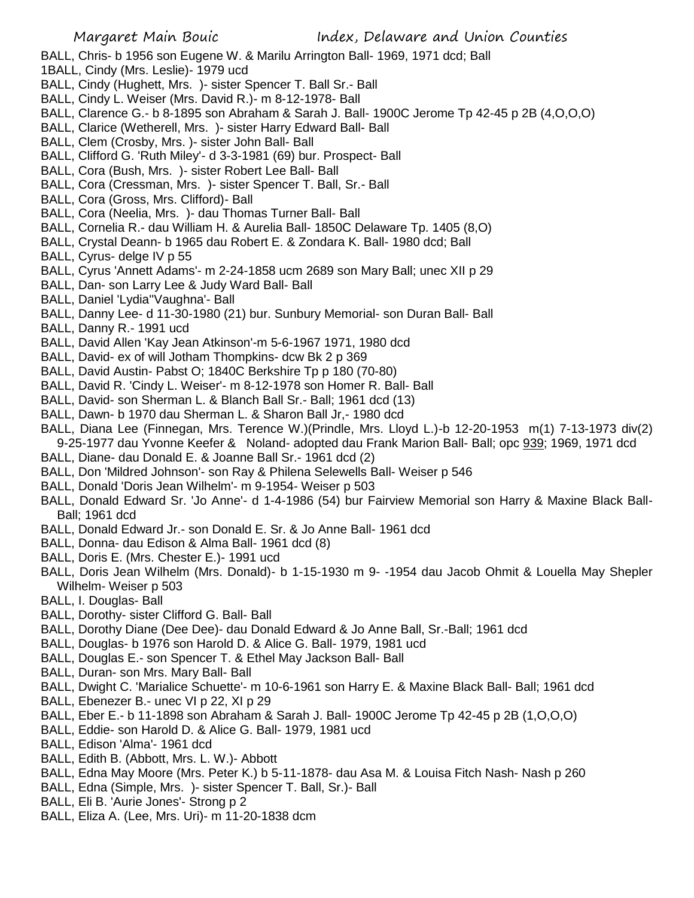- BALL, Chris- b 1956 son Eugene W. & Marilu Arrington Ball- 1969, 1971 dcd; Ball
- 1BALL, Cindy (Mrs. Leslie)- 1979 ucd
- BALL, Cindy (Hughett, Mrs. )- sister Spencer T. Ball Sr.- Ball
- BALL, Cindy L. Weiser (Mrs. David R.)- m 8-12-1978- Ball
- BALL, Clarence G.- b 8-1895 son Abraham & Sarah J. Ball- 1900C Jerome Tp 42-45 p 2B (4,O,O,O)
- BALL, Clarice (Wetherell, Mrs. )- sister Harry Edward Ball- Ball
- BALL, Clem (Crosby, Mrs. )- sister John Ball- Ball
- BALL, Clifford G. 'Ruth Miley'- d 3-3-1981 (69) bur. Prospect- Ball
- BALL, Cora (Bush, Mrs. )- sister Robert Lee Ball- Ball
- BALL, Cora (Cressman, Mrs. )- sister Spencer T. Ball, Sr.- Ball
- BALL, Cora (Gross, Mrs. Clifford)- Ball
- BALL, Cora (Neelia, Mrs. )- dau Thomas Turner Ball- Ball
- BALL, Cornelia R.- dau William H. & Aurelia Ball- 1850C Delaware Tp. 1405 (8,O)
- BALL, Crystal Deann- b 1965 dau Robert E. & Zondara K. Ball- 1980 dcd; Ball
- BALL, Cyrus- delge IV p 55
- BALL, Cyrus 'Annett Adams'- m 2-24-1858 ucm 2689 son Mary Ball; unec XII p 29
- BALL, Dan- son Larry Lee & Judy Ward Ball- Ball
- BALL, Daniel 'Lydia''Vaughna'- Ball
- BALL, Danny Lee- d 11-30-1980 (21) bur. Sunbury Memorial- son Duran Ball- Ball
- BALL, Danny R.- 1991 ucd
- BALL, David Allen 'Kay Jean Atkinson'-m 5-6-1967 1971, 1980 dcd
- BALL, David- ex of will Jotham Thompkins- dcw Bk 2 p 369
- BALL, David Austin- Pabst O; 1840C Berkshire Tp p 180 (70-80)
- BALL, David R. 'Cindy L. Weiser'- m 8-12-1978 son Homer R. Ball- Ball
- BALL, David- son Sherman L. & Blanch Ball Sr.- Ball; 1961 dcd (13)
- BALL, Dawn- b 1970 dau Sherman L. & Sharon Ball Jr,- 1980 dcd
- BALL, Diana Lee (Finnegan, Mrs. Terence W.)(Prindle, Mrs. Lloyd L.)-b 12-20-1953 m(1) 7-13-1973 div(2) 9-25-1977 dau Yvonne Keefer & Noland- adopted dau Frank Marion Ball- Ball; opc 939; 1969, 1971 dcd
- BALL, Diane- dau Donald E. & Joanne Ball Sr.- 1961 dcd (2)
- BALL, Don 'Mildred Johnson'- son Ray & Philena Selewells Ball- Weiser p 546
- BALL, Donald 'Doris Jean Wilhelm'- m 9-1954- Weiser p 503
- BALL, Donald Edward Sr. 'Jo Anne'- d 1-4-1986 (54) bur Fairview Memorial son Harry & Maxine Black Ball-Ball; 1961 dcd
- BALL, Donald Edward Jr.- son Donald E. Sr. & Jo Anne Ball- 1961 dcd
- BALL, Donna- dau Edison & Alma Ball- 1961 dcd (8)
- BALL, Doris E. (Mrs. Chester E.)- 1991 ucd
- BALL, Doris Jean Wilhelm (Mrs. Donald)- b 1-15-1930 m 9- -1954 dau Jacob Ohmit & Louella May Shepler Wilhelm- Weiser p 503
- BALL, I. Douglas- Ball
- BALL, Dorothy- sister Clifford G. Ball- Ball
- BALL, Dorothy Diane (Dee Dee)- dau Donald Edward & Jo Anne Ball, Sr.-Ball; 1961 dcd
- BALL, Douglas- b 1976 son Harold D. & Alice G. Ball- 1979, 1981 ucd
- BALL, Douglas E.- son Spencer T. & Ethel May Jackson Ball- Ball
- BALL, Duran- son Mrs. Mary Ball- Ball
- BALL, Dwight C. 'Marialice Schuette'- m 10-6-1961 son Harry E. & Maxine Black Ball- Ball; 1961 dcd
- BALL, Ebenezer B.- unec VI p 22, XI p 29
- BALL, Eber E.- b 11-1898 son Abraham & Sarah J. Ball- 1900C Jerome Tp 42-45 p 2B (1,O,O,O)
- BALL, Eddie- son Harold D. & Alice G. Ball- 1979, 1981 ucd
- BALL, Edison 'Alma'- 1961 dcd
- BALL, Edith B. (Abbott, Mrs. L. W.)- Abbott
- BALL, Edna May Moore (Mrs. Peter K.) b 5-11-1878- dau Asa M. & Louisa Fitch Nash- Nash p 260
- BALL, Edna (Simple, Mrs. )- sister Spencer T. Ball, Sr.)- Ball
- BALL, Eli B. 'Aurie Jones'- Strong p 2
- BALL, Eliza A. (Lee, Mrs. Uri)- m 11-20-1838 dcm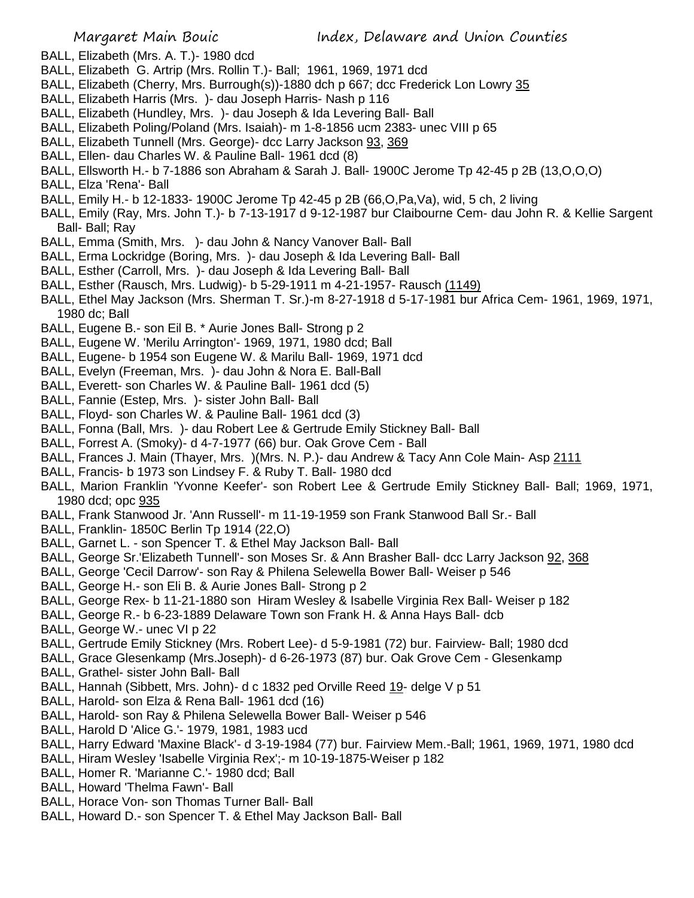- BALL, Elizabeth (Mrs. A. T.)- 1980 dcd
- BALL, Elizabeth G. Artrip (Mrs. Rollin T.)- Ball; 1961, 1969, 1971 dcd
- BALL, Elizabeth (Cherry, Mrs. Burrough(s))-1880 dch p 667; dcc Frederick Lon Lowry 35
- BALL, Elizabeth Harris (Mrs. )- dau Joseph Harris- Nash p 116
- BALL, Elizabeth (Hundley, Mrs. )- dau Joseph & Ida Levering Ball- Ball
- BALL, Elizabeth Poling/Poland (Mrs. Isaiah)- m 1-8-1856 ucm 2383- unec VIII p 65
- BALL, Elizabeth Tunnell (Mrs. George)- dcc Larry Jackson 93, 369
- BALL, Ellen- dau Charles W. & Pauline Ball- 1961 dcd (8)
- BALL, Ellsworth H.- b 7-1886 son Abraham & Sarah J. Ball- 1900C Jerome Tp 42-45 p 2B (13,O,O,O)
- BALL, Elza 'Rena'- Ball
- BALL, Emily H.- b 12-1833- 1900C Jerome Tp 42-45 p 2B (66,O,Pa,Va), wid, 5 ch, 2 living
- BALL, Emily (Ray, Mrs. John T.)- b 7-13-1917 d 9-12-1987 bur Claibourne Cem- dau John R. & Kellie Sargent Ball- Ball; Ray
- BALL, Emma (Smith, Mrs. )- dau John & Nancy Vanover Ball- Ball
- BALL, Erma Lockridge (Boring, Mrs. )- dau Joseph & Ida Levering Ball- Ball
- BALL, Esther (Carroll, Mrs. )- dau Joseph & Ida Levering Ball- Ball
- BALL, Esther (Rausch, Mrs. Ludwig)- b 5-29-1911 m 4-21-1957- Rausch (1149)
- BALL, Ethel May Jackson (Mrs. Sherman T. Sr.)-m 8-27-1918 d 5-17-1981 bur Africa Cem- 1961, 1969, 1971, 1980 dc; Ball
- BALL, Eugene B.- son Eil B. \* Aurie Jones Ball- Strong p 2
- BALL, Eugene W. 'Merilu Arrington'- 1969, 1971, 1980 dcd; Ball
- BALL, Eugene- b 1954 son Eugene W. & Marilu Ball- 1969, 1971 dcd
- BALL, Evelyn (Freeman, Mrs. )- dau John & Nora E. Ball-Ball
- BALL, Everett- son Charles W. & Pauline Ball- 1961 dcd (5)
- BALL, Fannie (Estep, Mrs. )- sister John Ball- Ball
- BALL, Floyd- son Charles W. & Pauline Ball- 1961 dcd (3)
- BALL, Fonna (Ball, Mrs. )- dau Robert Lee & Gertrude Emily Stickney Ball- Ball
- BALL, Forrest A. (Smoky)- d 4-7-1977 (66) bur. Oak Grove Cem Ball
- BALL, Frances J. Main (Thayer, Mrs. )(Mrs. N. P.)- dau Andrew & Tacy Ann Cole Main- Asp 2111
- BALL, Francis- b 1973 son Lindsey F. & Ruby T. Ball- 1980 dcd
- BALL, Marion Franklin 'Yvonne Keefer'- son Robert Lee & Gertrude Emily Stickney Ball- Ball; 1969, 1971, 1980 dcd; opc 935
- BALL, Frank Stanwood Jr. 'Ann Russell'- m 11-19-1959 son Frank Stanwood Ball Sr.- Ball
- BALL, Franklin- 1850C Berlin Tp 1914 (22,O)
- BALL, Garnet L. son Spencer T. & Ethel May Jackson Ball- Ball
- BALL, George Sr.'Elizabeth Tunnell'- son Moses Sr. & Ann Brasher Ball- dcc Larry Jackson 92, 368
- BALL, George 'Cecil Darrow'- son Ray & Philena Selewella Bower Ball- Weiser p 546
- BALL, George H.- son Eli B. & Aurie Jones Ball- Strong p 2
- BALL, George Rex- b 11-21-1880 son Hiram Wesley & Isabelle Virginia Rex Ball- Weiser p 182
- BALL, George R.- b 6-23-1889 Delaware Town son Frank H. & Anna Hays Ball- dcb
- BALL, George W.- unec VI p 22
- BALL, Gertrude Emily Stickney (Mrs. Robert Lee)- d 5-9-1981 (72) bur. Fairview- Ball; 1980 dcd
- BALL, Grace Glesenkamp (Mrs.Joseph)- d 6-26-1973 (87) bur. Oak Grove Cem Glesenkamp
- BALL, Grathel- sister John Ball- Ball
- BALL, Hannah (Sibbett, Mrs. John)- d c 1832 ped Orville Reed 19- delge V p 51
- BALL, Harold- son Elza & Rena Ball- 1961 dcd (16)
- BALL, Harold- son Ray & Philena Selewella Bower Ball- Weiser p 546
- BALL, Harold D 'Alice G.'- 1979, 1981, 1983 ucd
- BALL, Harry Edward 'Maxine Black'- d 3-19-1984 (77) bur. Fairview Mem.-Ball; 1961, 1969, 1971, 1980 dcd
- BALL, Hiram Wesley 'Isabelle Virginia Rex';- m 10-19-1875-Weiser p 182
- BALL, Homer R. 'Marianne C.'- 1980 dcd; Ball
- BALL, Howard 'Thelma Fawn'- Ball
- BALL, Horace Von- son Thomas Turner Ball- Ball
- BALL, Howard D.- son Spencer T. & Ethel May Jackson Ball- Ball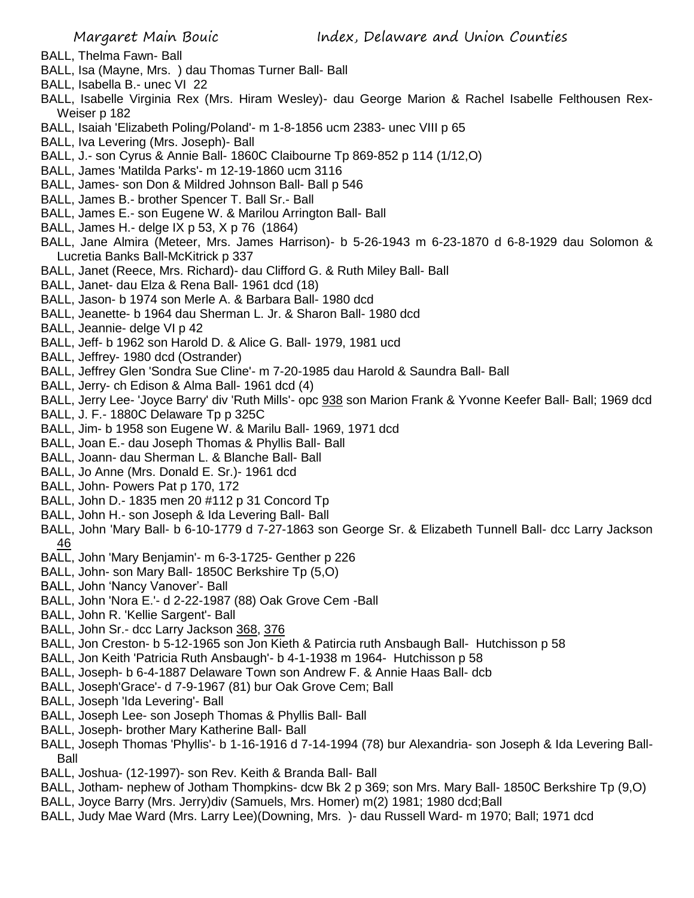- BALL, Thelma Fawn- Ball
- BALL, Isa (Mayne, Mrs. ) dau Thomas Turner Ball- Ball
- BALL, Isabella B.- unec VI 22
- BALL, Isabelle Virginia Rex (Mrs. Hiram Wesley)- dau George Marion & Rachel Isabelle Felthousen Rex-Weiser p 182
- BALL, Isaiah 'Elizabeth Poling/Poland'- m 1-8-1856 ucm 2383- unec VIII p 65
- BALL, Iva Levering (Mrs. Joseph)- Ball
- BALL, J.- son Cyrus & Annie Ball- 1860C Claibourne Tp 869-852 p 114 (1/12,O)
- BALL, James 'Matilda Parks'- m 12-19-1860 ucm 3116
- BALL, James- son Don & Mildred Johnson Ball- Ball p 546
- BALL, James B.- brother Spencer T. Ball Sr.- Ball
- BALL, James E.- son Eugene W. & Marilou Arrington Ball- Ball
- BALL, James H.- delge IX p 53, X p 76 (1864)
- BALL, Jane Almira (Meteer, Mrs. James Harrison)- b 5-26-1943 m 6-23-1870 d 6-8-1929 dau Solomon & Lucretia Banks Ball-McKitrick p 337
- BALL, Janet (Reece, Mrs. Richard)- dau Clifford G. & Ruth Miley Ball- Ball
- BALL, Janet- dau Elza & Rena Ball- 1961 dcd (18)
- BALL, Jason- b 1974 son Merle A. & Barbara Ball- 1980 dcd
- BALL, Jeanette- b 1964 dau Sherman L. Jr. & Sharon Ball- 1980 dcd
- BALL, Jeannie- delge VI p 42
- BALL, Jeff- b 1962 son Harold D. & Alice G. Ball- 1979, 1981 ucd
- BALL, Jeffrey- 1980 dcd (Ostrander)
- BALL, Jeffrey Glen 'Sondra Sue Cline'- m 7-20-1985 dau Harold & Saundra Ball- Ball
- BALL, Jerry- ch Edison & Alma Ball- 1961 dcd (4)
- BALL, Jerry Lee- 'Joyce Barry' div 'Ruth Mills'- opc 938 son Marion Frank & Yvonne Keefer Ball- Ball; 1969 dcd
- BALL, J. F.- 1880C Delaware Tp p 325C
- BALL, Jim- b 1958 son Eugene W. & Marilu Ball- 1969, 1971 dcd
- BALL, Joan E.- dau Joseph Thomas & Phyllis Ball- Ball
- BALL, Joann- dau Sherman L. & Blanche Ball- Ball
- BALL, Jo Anne (Mrs. Donald E. Sr.)- 1961 dcd
- BALL, John- Powers Pat p 170, 172
- BALL, John D.- 1835 men 20 #112 p 31 Concord Tp
- BALL, John H.- son Joseph & Ida Levering Ball- Ball
- BALL, John 'Mary Ball- b 6-10-1779 d 7-27-1863 son George Sr. & Elizabeth Tunnell Ball- dcc Larry Jackson 46
- BALL, John 'Mary Benjamin'- m 6-3-1725- Genther p 226
- BALL, John- son Mary Ball- 1850C Berkshire Tp (5,O)
- BALL, John 'Nancy Vanover'- Ball
- BALL, John 'Nora E.'- d 2-22-1987 (88) Oak Grove Cem -Ball
- BALL, John R. 'Kellie Sargent'- Ball
- BALL, John Sr.- dcc Larry Jackson 368, 376
- BALL, Jon Creston- b 5-12-1965 son Jon Kieth & Patircia ruth Ansbaugh Ball- Hutchisson p 58
- BALL, Jon Keith 'Patricia Ruth Ansbaugh'- b 4-1-1938 m 1964- Hutchisson p 58
- BALL, Joseph- b 6-4-1887 Delaware Town son Andrew F. & Annie Haas Ball- dcb
- BALL, Joseph'Grace'- d 7-9-1967 (81) bur Oak Grove Cem; Ball
- BALL, Joseph 'Ida Levering'- Ball
- BALL, Joseph Lee- son Joseph Thomas & Phyllis Ball- Ball
- BALL, Joseph- brother Mary Katherine Ball- Ball
- BALL, Joseph Thomas 'Phyllis'- b 1-16-1916 d 7-14-1994 (78) bur Alexandria- son Joseph & Ida Levering Ball-Ball
- BALL, Joshua- (12-1997)- son Rev. Keith & Branda Ball- Ball
- BALL, Jotham- nephew of Jotham Thompkins- dcw Bk 2 p 369; son Mrs. Mary Ball- 1850C Berkshire Tp (9,O)
- BALL, Joyce Barry (Mrs. Jerry)div (Samuels, Mrs. Homer) m(2) 1981; 1980 dcd;Ball
- BALL, Judy Mae Ward (Mrs. Larry Lee)(Downing, Mrs. )- dau Russell Ward- m 1970; Ball; 1971 dcd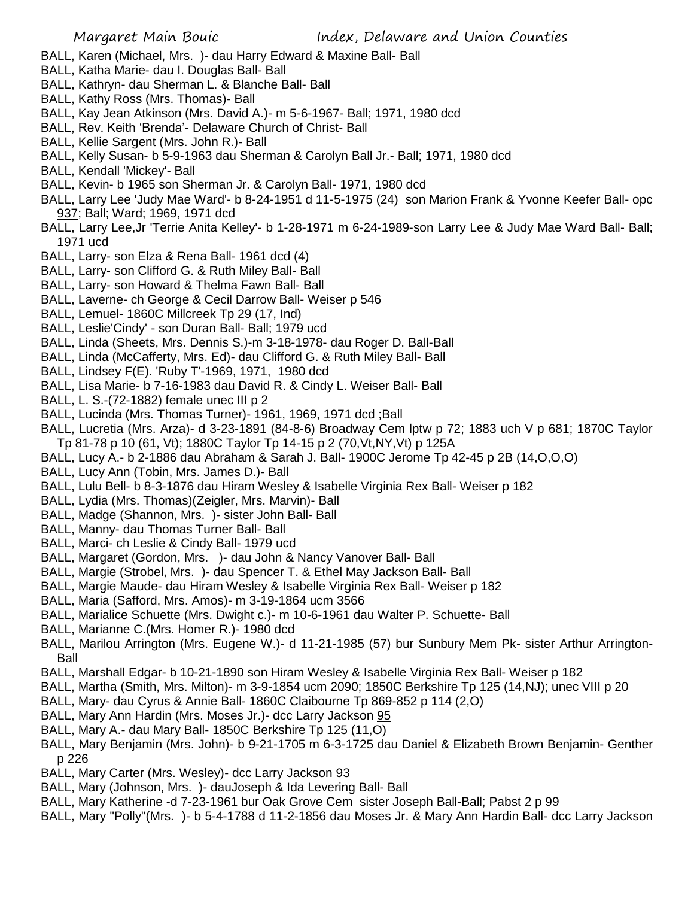- BALL, Karen (Michael, Mrs. )- dau Harry Edward & Maxine Ball- Ball
- BALL, Katha Marie- dau I. Douglas Ball- Ball
- BALL, Kathryn- dau Sherman L. & Blanche Ball- Ball
- BALL, Kathy Ross (Mrs. Thomas)- Ball
- BALL, Kay Jean Atkinson (Mrs. David A.)- m 5-6-1967- Ball; 1971, 1980 dcd
- BALL, Rev. Keith 'Brenda'- Delaware Church of Christ- Ball
- BALL, Kellie Sargent (Mrs. John R.)- Ball
- BALL, Kelly Susan- b 5-9-1963 dau Sherman & Carolyn Ball Jr.- Ball; 1971, 1980 dcd
- BALL, Kendall 'Mickey'- Ball
- BALL, Kevin- b 1965 son Sherman Jr. & Carolyn Ball- 1971, 1980 dcd
- BALL, Larry Lee 'Judy Mae Ward'- b 8-24-1951 d 11-5-1975 (24) son Marion Frank & Yvonne Keefer Ball- opc 937; Ball; Ward; 1969, 1971 dcd
- BALL, Larry Lee,Jr 'Terrie Anita Kelley'- b 1-28-1971 m 6-24-1989-son Larry Lee & Judy Mae Ward Ball- Ball; 1971 ucd
- BALL, Larry- son Elza & Rena Ball- 1961 dcd (4)
- BALL, Larry- son Clifford G. & Ruth Miley Ball- Ball
- BALL, Larry- son Howard & Thelma Fawn Ball- Ball
- BALL, Laverne- ch George & Cecil Darrow Ball- Weiser p 546
- BALL, Lemuel- 1860C Millcreek Tp 29 (17, Ind)
- BALL, Leslie'Cindy' son Duran Ball- Ball; 1979 ucd
- BALL, Linda (Sheets, Mrs. Dennis S.)-m 3-18-1978- dau Roger D. Ball-Ball
- BALL, Linda (McCafferty, Mrs. Ed)- dau Clifford G. & Ruth Miley Ball- Ball
- BALL, Lindsey F(E). 'Ruby T'-1969, 1971, 1980 dcd
- BALL, Lisa Marie- b 7-16-1983 dau David R. & Cindy L. Weiser Ball- Ball
- BALL, L. S.-(72-1882) female unec III p 2
- BALL, Lucinda (Mrs. Thomas Turner)- 1961, 1969, 1971 dcd ;Ball
- BALL, Lucretia (Mrs. Arza)- d 3-23-1891 (84-8-6) Broadway Cem lptw p 72; 1883 uch V p 681; 1870C Taylor Tp 81-78 p 10 (61, Vt); 1880C Taylor Tp 14-15 p 2 (70,Vt,NY,Vt) p 125A
- BALL, Lucy A.- b 2-1886 dau Abraham & Sarah J. Ball- 1900C Jerome Tp 42-45 p 2B (14,O,O,O)
- BALL, Lucy Ann (Tobin, Mrs. James D.)- Ball
- BALL, Lulu Bell- b 8-3-1876 dau Hiram Wesley & Isabelle Virginia Rex Ball- Weiser p 182
- BALL, Lydia (Mrs. Thomas)(Zeigler, Mrs. Marvin)- Ball
- BALL, Madge (Shannon, Mrs. )- sister John Ball- Ball
- BALL, Manny- dau Thomas Turner Ball- Ball
- BALL, Marci- ch Leslie & Cindy Ball- 1979 ucd
- BALL, Margaret (Gordon, Mrs. )- dau John & Nancy Vanover Ball- Ball
- BALL, Margie (Strobel, Mrs. )- dau Spencer T. & Ethel May Jackson Ball- Ball
- BALL, Margie Maude- dau Hiram Wesley & Isabelle Virginia Rex Ball- Weiser p 182
- BALL, Maria (Safford, Mrs. Amos)- m 3-19-1864 ucm 3566
- BALL, Marialice Schuette (Mrs. Dwight c.)- m 10-6-1961 dau Walter P. Schuette- Ball
- BALL, Marianne C.(Mrs. Homer R.)- 1980 dcd
- BALL, Marilou Arrington (Mrs. Eugene W.)- d 11-21-1985 (57) bur Sunbury Mem Pk- sister Arthur Arrington-Ball
- BALL, Marshall Edgar- b 10-21-1890 son Hiram Wesley & Isabelle Virginia Rex Ball- Weiser p 182
- BALL, Martha (Smith, Mrs. Milton)- m 3-9-1854 ucm 2090; 1850C Berkshire Tp 125 (14,NJ); unec VIII p 20
- BALL, Mary- dau Cyrus & Annie Ball- 1860C Claibourne Tp 869-852 p 114 (2,O)
- BALL, Mary Ann Hardin (Mrs. Moses Jr.)- dcc Larry Jackson 95
- BALL, Mary A.- dau Mary Ball- 1850C Berkshire Tp 125 (11,O)
- BALL, Mary Benjamin (Mrs. John)- b 9-21-1705 m 6-3-1725 dau Daniel & Elizabeth Brown Benjamin- Genther p 226
- BALL, Mary Carter (Mrs. Wesley) dcc Larry Jackson 93
- BALL, Mary (Johnson, Mrs. )- dauJoseph & Ida Levering Ball- Ball
- BALL, Mary Katherine -d 7-23-1961 bur Oak Grove Cem sister Joseph Ball-Ball; Pabst 2 p 99
- BALL, Mary "Polly"(Mrs. )- b 5-4-1788 d 11-2-1856 dau Moses Jr. & Mary Ann Hardin Ball- dcc Larry Jackson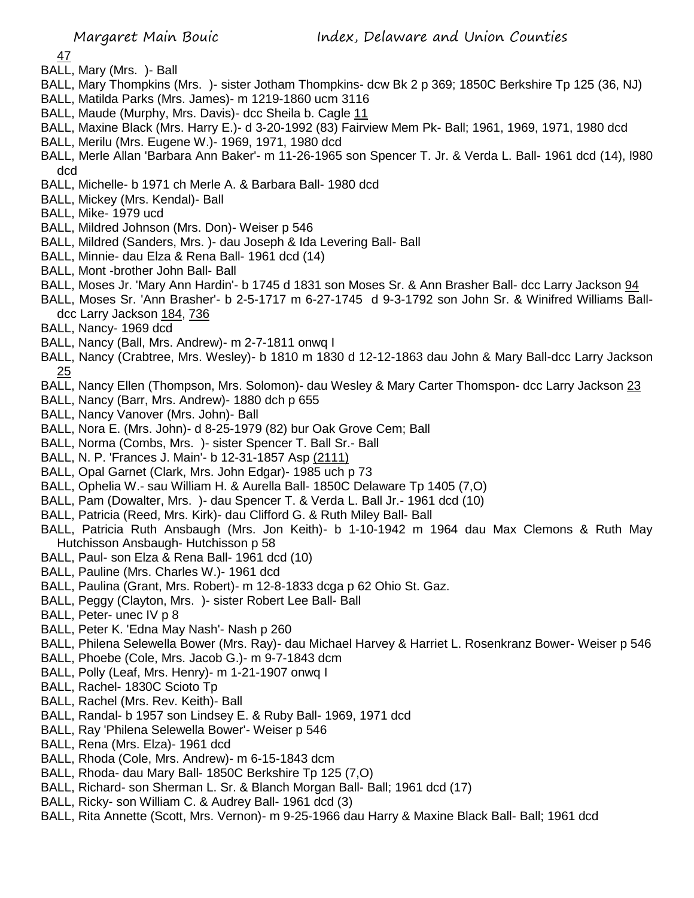47

- BALL, Mary (Mrs. )- Ball
- BALL, Mary Thompkins (Mrs. )- sister Jotham Thompkins- dcw Bk 2 p 369; 1850C Berkshire Tp 125 (36, NJ)
- BALL, Matilda Parks (Mrs. James)- m 1219-1860 ucm 3116
- BALL, Maude (Murphy, Mrs. Davis)- dcc Sheila b. Cagle 11
- BALL, Maxine Black (Mrs. Harry E.)- d 3-20-1992 (83) Fairview Mem Pk- Ball; 1961, 1969, 1971, 1980 dcd
- BALL, Merilu (Mrs. Eugene W.)- 1969, 1971, 1980 dcd
- BALL, Merle Allan 'Barbara Ann Baker'- m 11-26-1965 son Spencer T. Jr. & Verda L. Ball- 1961 dcd (14), l980 dcd
- BALL, Michelle- b 1971 ch Merle A. & Barbara Ball- 1980 dcd
- BALL, Mickey (Mrs. Kendal)- Ball
- BALL, Mike- 1979 ucd
- BALL, Mildred Johnson (Mrs. Don)- Weiser p 546
- BALL, Mildred (Sanders, Mrs. )- dau Joseph & Ida Levering Ball- Ball
- BALL, Minnie- dau Elza & Rena Ball- 1961 dcd (14)
- BALL, Mont -brother John Ball- Ball
- BALL, Moses Jr. 'Mary Ann Hardin'- b 1745 d 1831 son Moses Sr. & Ann Brasher Ball- dcc Larry Jackson 94
- BALL, Moses Sr. 'Ann Brasher'- b 2-5-1717 m 6-27-1745 d 9-3-1792 son John Sr. & Winifred Williams Balldcc Larry Jackson 184, 736
- BALL, Nancy- 1969 dcd
- BALL, Nancy (Ball, Mrs. Andrew)- m 2-7-1811 onwq I
- BALL, Nancy (Crabtree, Mrs. Wesley)- b 1810 m 1830 d 12-12-1863 dau John & Mary Ball-dcc Larry Jackson <u>25</u>
- BALL, Nancy Ellen (Thompson, Mrs. Solomon)- dau Wesley & Mary Carter Thomspon- dcc Larry Jackson 23
- BALL, Nancy (Barr, Mrs. Andrew)- 1880 dch p 655
- BALL, Nancy Vanover (Mrs. John)- Ball
- BALL, Nora E. (Mrs. John)- d 8-25-1979 (82) bur Oak Grove Cem; Ball
- BALL, Norma (Combs, Mrs. )- sister Spencer T. Ball Sr.- Ball
- BALL, N. P. 'Frances J. Main'- b 12-31-1857 Asp (2111)
- BALL, Opal Garnet (Clark, Mrs. John Edgar)- 1985 uch p 73
- BALL, Ophelia W.- sau William H. & Aurella Ball- 1850C Delaware Tp 1405 (7,O)
- BALL, Pam (Dowalter, Mrs. )- dau Spencer T. & Verda L. Ball Jr.- 1961 dcd (10)
- BALL, Patricia (Reed, Mrs. Kirk)- dau Clifford G. & Ruth Miley Ball- Ball
- BALL, Patricia Ruth Ansbaugh (Mrs. Jon Keith)- b 1-10-1942 m 1964 dau Max Clemons & Ruth May Hutchisson Ansbaugh- Hutchisson p 58
- BALL, Paul- son Elza & Rena Ball- 1961 dcd (10)
- BALL, Pauline (Mrs. Charles W.)- 1961 dcd
- BALL, Paulina (Grant, Mrs. Robert)- m 12-8-1833 dcga p 62 Ohio St. Gaz.
- BALL, Peggy (Clayton, Mrs. )- sister Robert Lee Ball- Ball
- BALL, Peter- unec IV p 8
- BALL, Peter K. 'Edna May Nash'- Nash p 260
- BALL, Philena Selewella Bower (Mrs. Ray)- dau Michael Harvey & Harriet L. Rosenkranz Bower- Weiser p 546
- BALL, Phoebe (Cole, Mrs. Jacob G.)- m 9-7-1843 dcm
- BALL, Polly (Leaf, Mrs. Henry)- m 1-21-1907 onwq I
- BALL, Rachel- 1830C Scioto Tp
- BALL, Rachel (Mrs. Rev. Keith)- Ball
- BALL, Randal- b 1957 son Lindsey E. & Ruby Ball- 1969, 1971 dcd
- BALL, Ray 'Philena Selewella Bower'- Weiser p 546
- BALL, Rena (Mrs. Elza)- 1961 dcd
- BALL, Rhoda (Cole, Mrs. Andrew)- m 6-15-1843 dcm
- BALL, Rhoda- dau Mary Ball- 1850C Berkshire Tp 125 (7,O)
- BALL, Richard- son Sherman L. Sr. & Blanch Morgan Ball- Ball; 1961 dcd (17)
- BALL, Ricky- son William C. & Audrey Ball- 1961 dcd (3)
- BALL, Rita Annette (Scott, Mrs. Vernon)- m 9-25-1966 dau Harry & Maxine Black Ball- Ball; 1961 dcd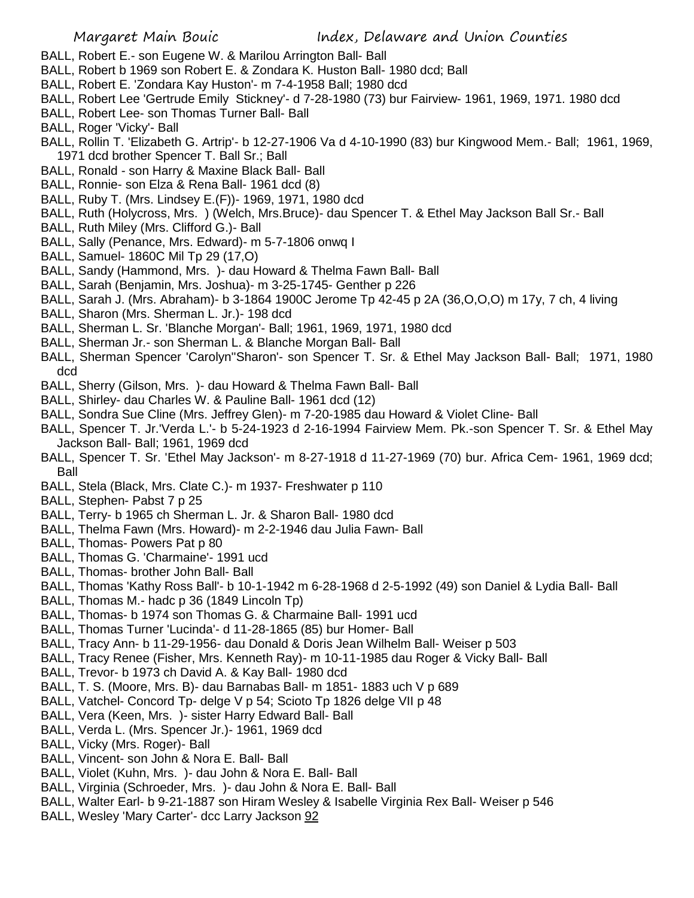- BALL, Robert E.- son Eugene W. & Marilou Arrington Ball- Ball
- BALL, Robert b 1969 son Robert E. & Zondara K. Huston Ball- 1980 dcd; Ball
- BALL, Robert E. 'Zondara Kay Huston'- m 7-4-1958 Ball; 1980 dcd
- BALL, Robert Lee 'Gertrude Emily Stickney'- d 7-28-1980 (73) bur Fairview- 1961, 1969, 1971. 1980 dcd
- BALL, Robert Lee- son Thomas Turner Ball- Ball
- BALL, Roger 'Vicky'- Ball
- BALL, Rollin T. 'Elizabeth G. Artrip'- b 12-27-1906 Va d 4-10-1990 (83) bur Kingwood Mem.- Ball; 1961, 1969, 1971 dcd brother Spencer T. Ball Sr.; Ball
- BALL, Ronald son Harry & Maxine Black Ball- Ball
- BALL, Ronnie- son Elza & Rena Ball- 1961 dcd (8)
- BALL, Ruby T. (Mrs. Lindsey E.(F))- 1969, 1971, 1980 dcd
- BALL, Ruth (Holycross, Mrs. ) (Welch, Mrs.Bruce)- dau Spencer T. & Ethel May Jackson Ball Sr.- Ball
- BALL, Ruth Miley (Mrs. Clifford G.)- Ball
- BALL, Sally (Penance, Mrs. Edward)- m 5-7-1806 onwq I
- BALL, Samuel- 1860C Mil Tp 29 (17,O)
- BALL, Sandy (Hammond, Mrs. )- dau Howard & Thelma Fawn Ball- Ball
- BALL, Sarah (Benjamin, Mrs. Joshua)- m 3-25-1745- Genther p 226
- BALL, Sarah J. (Mrs. Abraham)- b 3-1864 1900C Jerome Tp 42-45 p 2A (36,O,O,O) m 17y, 7 ch, 4 living
- BALL, Sharon (Mrs. Sherman L. Jr.)- 198 dcd
- BALL, Sherman L. Sr. 'Blanche Morgan'- Ball; 1961, 1969, 1971, 1980 dcd
- BALL, Sherman Jr.- son Sherman L. & Blanche Morgan Ball- Ball
- BALL, Sherman Spencer 'Carolyn''Sharon'- son Spencer T. Sr. & Ethel May Jackson Ball- Ball; 1971, 1980 dcd
- BALL, Sherry (Gilson, Mrs. )- dau Howard & Thelma Fawn Ball- Ball
- BALL, Shirley- dau Charles W. & Pauline Ball- 1961 dcd (12)
- BALL, Sondra Sue Cline (Mrs. Jeffrey Glen)- m 7-20-1985 dau Howard & Violet Cline- Ball
- BALL, Spencer T. Jr.'Verda L.'- b 5-24-1923 d 2-16-1994 Fairview Mem. Pk.-son Spencer T. Sr. & Ethel May Jackson Ball- Ball; 1961, 1969 dcd
- BALL, Spencer T. Sr. 'Ethel May Jackson'- m 8-27-1918 d 11-27-1969 (70) bur. Africa Cem- 1961, 1969 dcd; Ball
- BALL, Stela (Black, Mrs. Clate C.)- m 1937- Freshwater p 110
- BALL, Stephen- Pabst 7 p 25
- BALL, Terry- b 1965 ch Sherman L. Jr. & Sharon Ball- 1980 dcd
- BALL, Thelma Fawn (Mrs. Howard)- m 2-2-1946 dau Julia Fawn- Ball
- BALL, Thomas- Powers Pat p 80
- BALL, Thomas G. 'Charmaine'- 1991 ucd
- BALL, Thomas- brother John Ball- Ball
- BALL, Thomas 'Kathy Ross Ball'- b 10-1-1942 m 6-28-1968 d 2-5-1992 (49) son Daniel & Lydia Ball- Ball
- BALL, Thomas M.- hadc p 36 (1849 Lincoln Tp)
- BALL, Thomas- b 1974 son Thomas G. & Charmaine Ball- 1991 ucd
- BALL, Thomas Turner 'Lucinda'- d 11-28-1865 (85) bur Homer- Ball
- BALL, Tracy Ann- b 11-29-1956- dau Donald & Doris Jean Wilhelm Ball- Weiser p 503
- BALL, Tracy Renee (Fisher, Mrs. Kenneth Ray)- m 10-11-1985 dau Roger & Vicky Ball- Ball
- BALL, Trevor- b 1973 ch David A. & Kay Ball- 1980 dcd
- BALL, T. S. (Moore, Mrs. B)- dau Barnabas Ball- m 1851- 1883 uch V p 689
- BALL, Vatchel- Concord Tp- delge V p 54; Scioto Tp 1826 delge VII p 48
- BALL, Vera (Keen, Mrs. )- sister Harry Edward Ball- Ball
- BALL, Verda L. (Mrs. Spencer Jr.)- 1961, 1969 dcd
- BALL, Vicky (Mrs. Roger)- Ball
- BALL, Vincent- son John & Nora E. Ball- Ball
- BALL, Violet (Kuhn, Mrs. )- dau John & Nora E. Ball- Ball
- BALL, Virginia (Schroeder, Mrs. )- dau John & Nora E. Ball- Ball
- BALL, Walter Earl- b 9-21-1887 son Hiram Wesley & Isabelle Virginia Rex Ball- Weiser p 546
- BALL, Wesley 'Mary Carter'- dcc Larry Jackson 92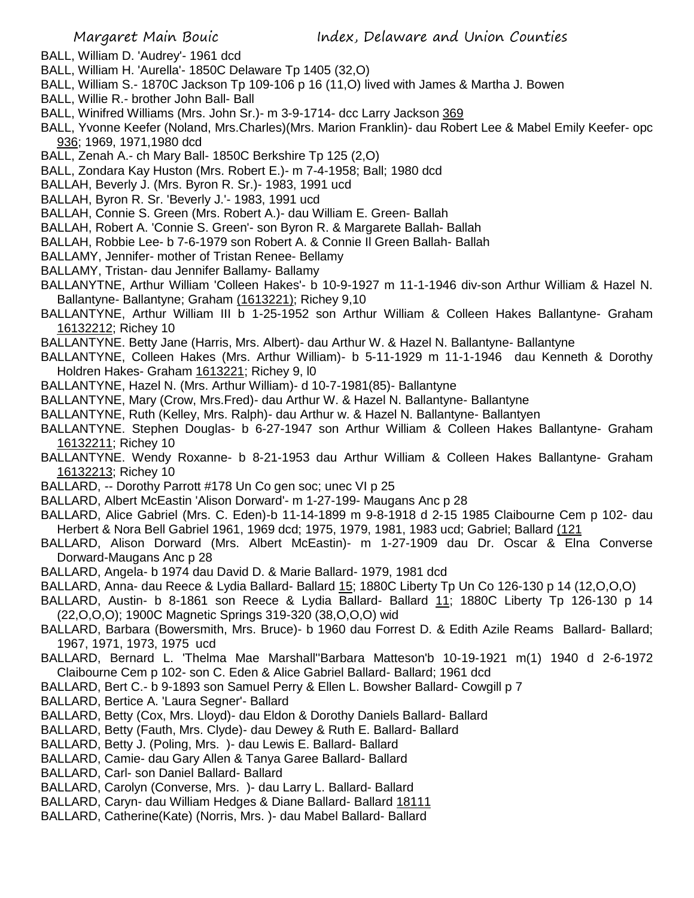- BALL, William D. 'Audrey'- 1961 dcd
- BALL, William H. 'Aurella'- 1850C Delaware Tp 1405 (32,O)
- BALL, William S.- 1870C Jackson Tp 109-106 p 16 (11,O) lived with James & Martha J. Bowen
- BALL, Willie R.- brother John Ball- Ball
- BALL, Winifred Williams (Mrs. John Sr.)- m 3-9-1714- dcc Larry Jackson 369
- BALL, Yvonne Keefer (Noland, Mrs.Charles)(Mrs. Marion Franklin)- dau Robert Lee & Mabel Emily Keefer- opc 936; 1969, 1971,1980 dcd
- BALL, Zenah A.- ch Mary Ball- 1850C Berkshire Tp 125 (2,O)
- BALL, Zondara Kay Huston (Mrs. Robert E.)- m 7-4-1958; Ball; 1980 dcd
- BALLAH, Beverly J. (Mrs. Byron R. Sr.)- 1983, 1991 ucd
- BALLAH, Byron R. Sr. 'Beverly J.'- 1983, 1991 ucd
- BALLAH, Connie S. Green (Mrs. Robert A.)- dau William E. Green- Ballah
- BALLAH, Robert A. 'Connie S. Green'- son Byron R. & Margarete Ballah- Ballah
- BALLAH, Robbie Lee- b 7-6-1979 son Robert A. & Connie Il Green Ballah- Ballah
- BALLAMY, Jennifer- mother of Tristan Renee- Bellamy
- BALLAMY, Tristan- dau Jennifer Ballamy- Ballamy
- BALLANYTNE, Arthur William 'Colleen Hakes'- b 10-9-1927 m 11-1-1946 div-son Arthur William & Hazel N. Ballantyne- Ballantyne; Graham (1613221); Richey 9,10
- BALLANTYNE, Arthur William III b 1-25-1952 son Arthur William & Colleen Hakes Ballantyne- Graham 16132212; Richey 10
- BALLANTYNE. Betty Jane (Harris, Mrs. Albert)- dau Arthur W. & Hazel N. Ballantyne- Ballantyne
- BALLANTYNE, Colleen Hakes (Mrs. Arthur William)- b 5-11-1929 m 11-1-1946 dau Kenneth & Dorothy Holdren Hakes- Graham 1613221; Richey 9, l0
- BALLANTYNE, Hazel N. (Mrs. Arthur William)- d 10-7-1981(85)- Ballantyne
- BALLANTYNE, Mary (Crow, Mrs.Fred)- dau Arthur W. & Hazel N. Ballantyne- Ballantyne
- BALLANTYNE, Ruth (Kelley, Mrs. Ralph)- dau Arthur w. & Hazel N. Ballantyne- Ballantyen
- BALLANTYNE. Stephen Douglas- b 6-27-1947 son Arthur William & Colleen Hakes Ballantyne- Graham 16132211; Richey 10
- BALLANTYNE. Wendy Roxanne- b 8-21-1953 dau Arthur William & Colleen Hakes Ballantyne- Graham 16132213; Richey 10
- BALLARD, -- Dorothy Parrott #178 Un Co gen soc; unec VI p 25
- BALLARD, Albert McEastin 'Alison Dorward'- m 1-27-199- Maugans Anc p 28
- BALLARD, Alice Gabriel (Mrs. C. Eden)-b 11-14-1899 m 9-8-1918 d 2-15 1985 Claibourne Cem p 102- dau Herbert & Nora Bell Gabriel 1961, 1969 dcd; 1975, 1979, 1981, 1983 ucd; Gabriel; Ballard (121
- BALLARD, Alison Dorward (Mrs. Albert McEastin)- m 1-27-1909 dau Dr. Oscar & Elna Converse Dorward-Maugans Anc p 28
- BALLARD, Angela- b 1974 dau David D. & Marie Ballard- 1979, 1981 dcd
- BALLARD, Anna- dau Reece & Lydia Ballard- Ballard 15; 1880C Liberty Tp Un Co 126-130 p 14 (12,O,O,O)
- BALLARD, Austin- b 8-1861 son Reece & Lydia Ballard- Ballard 11; 1880C Liberty Tp 126-130 p 14 (22,O,O,O); 1900C Magnetic Springs 319-320 (38,O,O,O) wid
- BALLARD, Barbara (Bowersmith, Mrs. Bruce)- b 1960 dau Forrest D. & Edith Azile Reams Ballard- Ballard; 1967, 1971, 1973, 1975 ucd
- BALLARD, Bernard L. 'Thelma Mae Marshall''Barbara Matteson'b 10-19-1921 m(1) 1940 d 2-6-1972 Claibourne Cem p 102- son C. Eden & Alice Gabriel Ballard- Ballard; 1961 dcd
- BALLARD, Bert C.- b 9-1893 son Samuel Perry & Ellen L. Bowsher Ballard- Cowgill p 7
- BALLARD, Bertice A. 'Laura Segner'- Ballard
- BALLARD, Betty (Cox, Mrs. Lloyd)- dau Eldon & Dorothy Daniels Ballard- Ballard
- BALLARD, Betty (Fauth, Mrs. Clyde)- dau Dewey & Ruth E. Ballard- Ballard
- BALLARD, Betty J. (Poling, Mrs. )- dau Lewis E. Ballard- Ballard
- BALLARD, Camie- dau Gary Allen & Tanya Garee Ballard- Ballard
- BALLARD, Carl- son Daniel Ballard- Ballard
- BALLARD, Carolyn (Converse, Mrs. )- dau Larry L. Ballard- Ballard
- BALLARD, Caryn- dau William Hedges & Diane Ballard- Ballard 18111
- BALLARD, Catherine(Kate) (Norris, Mrs. )- dau Mabel Ballard- Ballard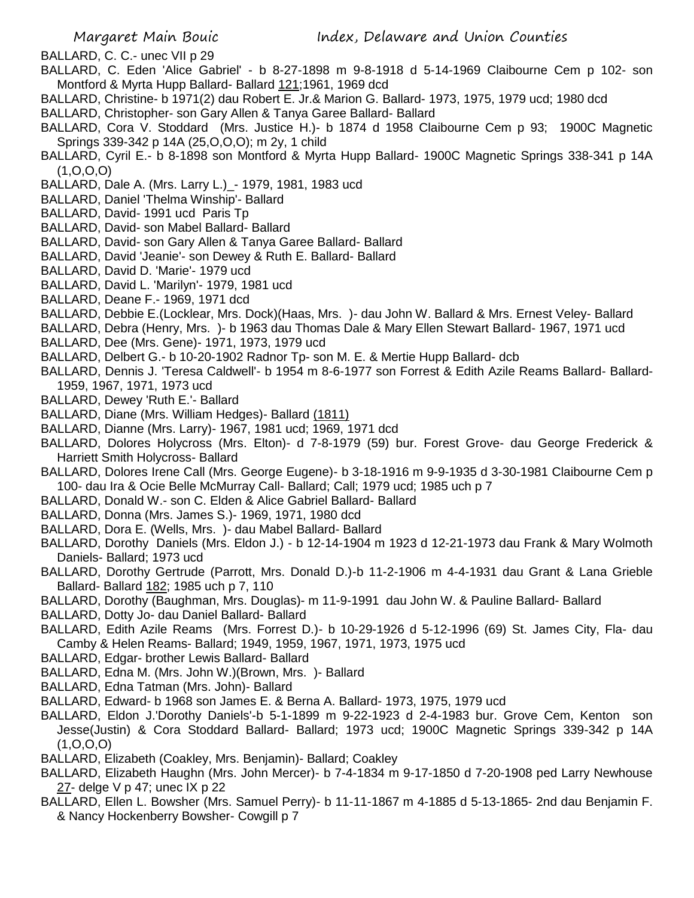BALLARD, C. C.- unec VII p 29

- BALLARD, C. Eden 'Alice Gabriel' b 8-27-1898 m 9-8-1918 d 5-14-1969 Claibourne Cem p 102- son Montford & Myrta Hupp Ballard- Ballard 121;1961, 1969 dcd
- BALLARD, Christine- b 1971(2) dau Robert E. Jr.& Marion G. Ballard- 1973, 1975, 1979 ucd; 1980 dcd
- BALLARD, Christopher- son Gary Allen & Tanya Garee Ballard- Ballard
- BALLARD, Cora V. Stoddard (Mrs. Justice H.)- b 1874 d 1958 Claibourne Cem p 93; 1900C Magnetic Springs 339-342 p 14A (25,O,O,O); m 2y, 1 child
- BALLARD, Cyril E.- b 8-1898 son Montford & Myrta Hupp Ballard- 1900C Magnetic Springs 338-341 p 14A (1,O,O,O)
- BALLARD, Dale A. (Mrs. Larry L.)\_- 1979, 1981, 1983 ucd
- BALLARD, Daniel 'Thelma Winship'- Ballard
- BALLARD, David- 1991 ucd Paris Tp
- BALLARD, David- son Mabel Ballard- Ballard
- BALLARD, David- son Gary Allen & Tanya Garee Ballard- Ballard
- BALLARD, David 'Jeanie'- son Dewey & Ruth E. Ballard- Ballard
- BALLARD, David D. 'Marie'- 1979 ucd
- BALLARD, David L. 'Marilyn'- 1979, 1981 ucd
- BALLARD, Deane F.- 1969, 1971 dcd
- BALLARD, Debbie E.(Locklear, Mrs. Dock)(Haas, Mrs. )- dau John W. Ballard & Mrs. Ernest Veley- Ballard
- BALLARD, Debra (Henry, Mrs. )- b 1963 dau Thomas Dale & Mary Ellen Stewart Ballard- 1967, 1971 ucd
- BALLARD, Dee (Mrs. Gene)- 1971, 1973, 1979 ucd
- BALLARD, Delbert G.- b 10-20-1902 Radnor Tp- son M. E. & Mertie Hupp Ballard- dcb
- BALLARD, Dennis J. 'Teresa Caldwell'- b 1954 m 8-6-1977 son Forrest & Edith Azile Reams Ballard- Ballard-1959, 1967, 1971, 1973 ucd
- BALLARD, Dewey 'Ruth E.'- Ballard
- BALLARD, Diane (Mrs. William Hedges)- Ballard (1811)
- BALLARD, Dianne (Mrs. Larry)- 1967, 1981 ucd; 1969, 1971 dcd
- BALLARD, Dolores Holycross (Mrs. Elton)- d 7-8-1979 (59) bur. Forest Grove- dau George Frederick & Harriett Smith Holycross- Ballard
- BALLARD, Dolores Irene Call (Mrs. George Eugene)- b 3-18-1916 m 9-9-1935 d 3-30-1981 Claibourne Cem p 100- dau Ira & Ocie Belle McMurray Call- Ballard; Call; 1979 ucd; 1985 uch p 7
- BALLARD, Donald W.- son C. Elden & Alice Gabriel Ballard- Ballard
- BALLARD, Donna (Mrs. James S.)- 1969, 1971, 1980 dcd
- BALLARD, Dora E. (Wells, Mrs. )- dau Mabel Ballard- Ballard
- BALLARD, Dorothy Daniels (Mrs. Eldon J.) b 12-14-1904 m 1923 d 12-21-1973 dau Frank & Mary Wolmoth Daniels- Ballard; 1973 ucd
- BALLARD, Dorothy Gertrude (Parrott, Mrs. Donald D.)-b 11-2-1906 m 4-4-1931 dau Grant & Lana Grieble Ballard- Ballard 182; 1985 uch p 7, 110
- BALLARD, Dorothy (Baughman, Mrs. Douglas)- m 11-9-1991 dau John W. & Pauline Ballard- Ballard
- BALLARD, Dotty Jo- dau Daniel Ballard- Ballard
- BALLARD, Edith Azile Reams (Mrs. Forrest D.)- b 10-29-1926 d 5-12-1996 (69) St. James City, Fla- dau Camby & Helen Reams- Ballard; 1949, 1959, 1967, 1971, 1973, 1975 ucd
- BALLARD, Edgar- brother Lewis Ballard- Ballard
- BALLARD, Edna M. (Mrs. John W.)(Brown, Mrs. )- Ballard
- BALLARD, Edna Tatman (Mrs. John)- Ballard
- BALLARD, Edward- b 1968 son James E. & Berna A. Ballard- 1973, 1975, 1979 ucd
- BALLARD, Eldon J.'Dorothy Daniels'-b 5-1-1899 m 9-22-1923 d 2-4-1983 bur. Grove Cem, Kenton son Jesse(Justin) & Cora Stoddard Ballard- Ballard; 1973 ucd; 1900C Magnetic Springs 339-342 p 14A  $(1, 0, 0, 0)$
- BALLARD, Elizabeth (Coakley, Mrs. Benjamin)- Ballard; Coakley
- BALLARD, Elizabeth Haughn (Mrs. John Mercer)- b 7-4-1834 m 9-17-1850 d 7-20-1908 ped Larry Newhouse 27- delge V p 47; unec IX p 22
- BALLARD, Ellen L. Bowsher (Mrs. Samuel Perry)- b 11-11-1867 m 4-1885 d 5-13-1865- 2nd dau Benjamin F. & Nancy Hockenberry Bowsher- Cowgill p 7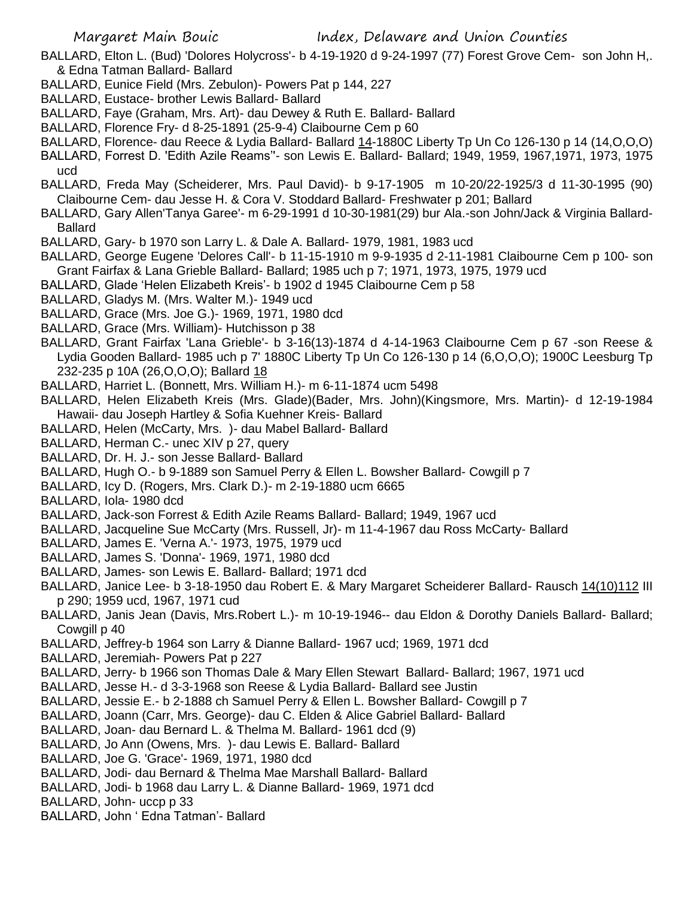Margaret Main Bouic Index, Delaware and Union Counties

- BALLARD, Elton L. (Bud) 'Dolores Holycross'- b 4-19-1920 d 9-24-1997 (77) Forest Grove Cem- son John H,. & Edna Tatman Ballard- Ballard
- BALLARD, Eunice Field (Mrs. Zebulon)- Powers Pat p 144, 227
- BALLARD, Eustace- brother Lewis Ballard- Ballard
- BALLARD, Faye (Graham, Mrs. Art)- dau Dewey & Ruth E. Ballard- Ballard
- BALLARD, Florence Fry- d 8-25-1891 (25-9-4) Claibourne Cem p 60
- BALLARD, Florence- dau Reece & Lydia Ballard- Ballard 14-1880C Liberty Tp Un Co 126-130 p 14 (14,O,O,O) BALLARD, Forrest D. 'Edith Azile Reams''- son Lewis E. Ballard- Ballard; 1949, 1959, 1967,1971, 1973, 1975
- ucd
- BALLARD, Freda May (Scheiderer, Mrs. Paul David)- b 9-17-1905 m 10-20/22-1925/3 d 11-30-1995 (90) Claibourne Cem- dau Jesse H. & Cora V. Stoddard Ballard- Freshwater p 201; Ballard
- BALLARD, Gary Allen'Tanya Garee'- m 6-29-1991 d 10-30-1981(29) bur Ala.-son John/Jack & Virginia Ballard-Ballard
- BALLARD, Gary- b 1970 son Larry L. & Dale A. Ballard- 1979, 1981, 1983 ucd
- BALLARD, George Eugene 'Delores Call'- b 11-15-1910 m 9-9-1935 d 2-11-1981 Claibourne Cem p 100- son Grant Fairfax & Lana Grieble Ballard- Ballard; 1985 uch p 7; 1971, 1973, 1975, 1979 ucd
- BALLARD, Glade 'Helen Elizabeth Kreis'- b 1902 d 1945 Claibourne Cem p 58
- BALLARD, Gladys M. (Mrs. Walter M.)- 1949 ucd
- BALLARD, Grace (Mrs. Joe G.)- 1969, 1971, 1980 dcd
- BALLARD, Grace (Mrs. William)- Hutchisson p 38
- BALLARD, Grant Fairfax 'Lana Grieble'- b 3-16(13)-1874 d 4-14-1963 Claibourne Cem p 67 -son Reese & Lydia Gooden Ballard- 1985 uch p 7' 1880C Liberty Tp Un Co 126-130 p 14 (6,O,O,O); 1900C Leesburg Tp 232-235 p 10A (26,O,O,O); Ballard 18
- BALLARD, Harriet L. (Bonnett, Mrs. William H.)- m 6-11-1874 ucm 5498
- BALLARD, Helen Elizabeth Kreis (Mrs. Glade)(Bader, Mrs. John)(Kingsmore, Mrs. Martin)- d 12-19-1984 Hawaii- dau Joseph Hartley & Sofia Kuehner Kreis- Ballard
- BALLARD, Helen (McCarty, Mrs. )- dau Mabel Ballard- Ballard
- BALLARD, Herman C.- unec XIV p 27, query
- BALLARD, Dr. H. J.- son Jesse Ballard- Ballard
- BALLARD, Hugh O.- b 9-1889 son Samuel Perry & Ellen L. Bowsher Ballard- Cowgill p 7
- BALLARD, Icy D. (Rogers, Mrs. Clark D.)- m 2-19-1880 ucm 6665
- BALLARD, Iola- 1980 dcd
- BALLARD, Jack-son Forrest & Edith Azile Reams Ballard- Ballard; 1949, 1967 ucd
- BALLARD, Jacqueline Sue McCarty (Mrs. Russell, Jr)- m 11-4-1967 dau Ross McCarty- Ballard
- BALLARD, James E. 'Verna A.'- 1973, 1975, 1979 ucd
- BALLARD, James S. 'Donna'- 1969, 1971, 1980 dcd
- BALLARD, James- son Lewis E. Ballard- Ballard; 1971 dcd
- BALLARD, Janice Lee- b 3-18-1950 dau Robert E. & Mary Margaret Scheiderer Ballard- Rausch 14(10)112 III p 290; 1959 ucd, 1967, 1971 cud
- BALLARD, Janis Jean (Davis, Mrs.Robert L.)- m 10-19-1946-- dau Eldon & Dorothy Daniels Ballard- Ballard; Cowgill p 40
- BALLARD, Jeffrey-b 1964 son Larry & Dianne Ballard- 1967 ucd; 1969, 1971 dcd
- BALLARD, Jeremiah- Powers Pat p 227
- BALLARD, Jerry- b 1966 son Thomas Dale & Mary Ellen Stewart Ballard- Ballard; 1967, 1971 ucd
- BALLARD, Jesse H.- d 3-3-1968 son Reese & Lydia Ballard- Ballard see Justin
- BALLARD, Jessie E.- b 2-1888 ch Samuel Perry & Ellen L. Bowsher Ballard- Cowgill p 7
- BALLARD, Joann (Carr, Mrs. George)- dau C. Elden & Alice Gabriel Ballard- Ballard
- BALLARD, Joan- dau Bernard L. & Thelma M. Ballard- 1961 dcd (9)
- BALLARD, Jo Ann (Owens, Mrs. )- dau Lewis E. Ballard- Ballard
- BALLARD, Joe G. 'Grace'- 1969, 1971, 1980 dcd
- BALLARD, Jodi- dau Bernard & Thelma Mae Marshall Ballard- Ballard
- BALLARD, Jodi- b 1968 dau Larry L. & Dianne Ballard- 1969, 1971 dcd
- BALLARD, John- uccp p 33
- BALLARD, John ' Edna Tatman'- Ballard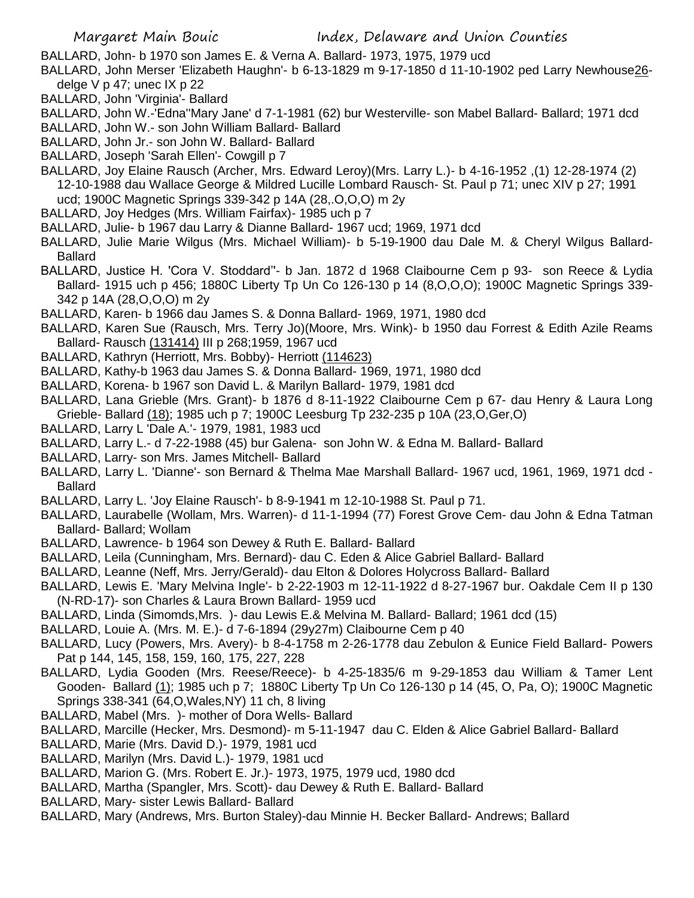BALLARD, John- b 1970 son James E. & Verna A. Ballard- 1973, 1975, 1979 ucd

- BALLARD, John Merser 'Elizabeth Haughn'- b 6-13-1829 m 9-17-1850 d 11-10-1902 ped Larry Newhouse26 delge  $V$  p 47; unec  $IX$  p 22
- BALLARD, John 'Virginia'- Ballard
- BALLARD, John W.-'Edna''Mary Jane' d 7-1-1981 (62) bur Westerville- son Mabel Ballard- Ballard; 1971 dcd
- BALLARD, John W.- son John William Ballard- Ballard
- BALLARD, John Jr.- son John W. Ballard- Ballard
- BALLARD, Joseph 'Sarah Ellen'- Cowgill p 7
- BALLARD, Joy Elaine Rausch (Archer, Mrs. Edward Leroy)(Mrs. Larry L.)- b 4-16-1952 ,(1) 12-28-1974 (2) 12-10-1988 dau Wallace George & Mildred Lucille Lombard Rausch- St. Paul p 71; unec XIV p 27; 1991 ucd; 1900C Magnetic Springs 339-342 p 14A (28,.O,O,O) m 2y
- BALLARD, Joy Hedges (Mrs. William Fairfax)- 1985 uch p 7
- BALLARD, Julie- b 1967 dau Larry & Dianne Ballard- 1967 ucd; 1969, 1971 dcd
- BALLARD, Julie Marie Wilgus (Mrs. Michael William)- b 5-19-1900 dau Dale M. & Cheryl Wilgus Ballard-Ballard
- BALLARD, Justice H. 'Cora V. Stoddard''- b Jan. 1872 d 1968 Claibourne Cem p 93- son Reece & Lydia Ballard- 1915 uch p 456; 1880C Liberty Tp Un Co 126-130 p 14 (8,O,O,O); 1900C Magnetic Springs 339- 342 p 14A (28,O,O,O) m 2y
- BALLARD, Karen- b 1966 dau James S. & Donna Ballard- 1969, 1971, 1980 dcd
- BALLARD, Karen Sue (Rausch, Mrs. Terry Jo)(Moore, Mrs. Wink)- b 1950 dau Forrest & Edith Azile Reams Ballard- Rausch (131414) III p 268;1959, 1967 ucd
- BALLARD, Kathryn (Herriott, Mrs. Bobby)- Herriott (114623)
- BALLARD, Kathy-b 1963 dau James S. & Donna Ballard- 1969, 1971, 1980 dcd
- BALLARD, Korena- b 1967 son David L. & Marilyn Ballard- 1979, 1981 dcd
- BALLARD, Lana Grieble (Mrs. Grant)- b 1876 d 8-11-1922 Claibourne Cem p 67- dau Henry & Laura Long Grieble- Ballard (18); 1985 uch p 7; 1900C Leesburg Tp 232-235 p 10A (23,O,Ger,O)
- BALLARD, Larry L 'Dale A.'- 1979, 1981, 1983 ucd
- BALLARD, Larry L.- d 7-22-1988 (45) bur Galena- son John W. & Edna M. Ballard- Ballard
- BALLARD, Larry- son Mrs. James Mitchell- Ballard
- BALLARD, Larry L. 'Dianne'- son Bernard & Thelma Mae Marshall Ballard- 1967 ucd, 1961, 1969, 1971 dcd Ballard
- BALLARD, Larry L. 'Joy Elaine Rausch'- b 8-9-1941 m 12-10-1988 St. Paul p 71.
- BALLARD, Laurabelle (Wollam, Mrs. Warren)- d 11-1-1994 (77) Forest Grove Cem- dau John & Edna Tatman Ballard- Ballard; Wollam
- BALLARD, Lawrence- b 1964 son Dewey & Ruth E. Ballard- Ballard
- BALLARD, Leila (Cunningham, Mrs. Bernard)- dau C. Eden & Alice Gabriel Ballard- Ballard
- BALLARD, Leanne (Neff, Mrs. Jerry/Gerald)- dau Elton & Dolores Holycross Ballard- Ballard
- BALLARD, Lewis E. 'Mary Melvina Ingle'- b 2-22-1903 m 12-11-1922 d 8-27-1967 bur. Oakdale Cem II p 130 (N-RD-17)- son Charles & Laura Brown Ballard- 1959 ucd
- BALLARD, Linda (Simomds,Mrs. )- dau Lewis E.& Melvina M. Ballard- Ballard; 1961 dcd (15)
- BALLARD, Louie A. (Mrs. M. E.)- d 7-6-1894 (29y27m) Claibourne Cem p 40
- BALLARD, Lucy (Powers, Mrs. Avery)- b 8-4-1758 m 2-26-1778 dau Zebulon & Eunice Field Ballard- Powers Pat p 144, 145, 158, 159, 160, 175, 227, 228
- BALLARD, Lydia Gooden (Mrs. Reese/Reece)- b 4-25-1835/6 m 9-29-1853 dau William & Tamer Lent Gooden- Ballard (1); 1985 uch p 7; 1880C Liberty Tp Un Co 126-130 p 14 (45, O, Pa, O); 1900C Magnetic Springs 338-341 (64,O,Wales,NY) 11 ch, 8 living
- BALLARD, Mabel (Mrs. )- mother of Dora Wells- Ballard
- BALLARD, Marcille (Hecker, Mrs. Desmond)- m 5-11-1947 dau C. Elden & Alice Gabriel Ballard- Ballard
- BALLARD, Marie (Mrs. David D.)- 1979, 1981 ucd
- BALLARD, Marilyn (Mrs. David L.)- 1979, 1981 ucd
- BALLARD, Marion G. (Mrs. Robert E. Jr.)- 1973, 1975, 1979 ucd, 1980 dcd
- BALLARD, Martha (Spangler, Mrs. Scott)- dau Dewey & Ruth E. Ballard- Ballard
- BALLARD, Mary- sister Lewis Ballard- Ballard
- BALLARD, Mary (Andrews, Mrs. Burton Staley)-dau Minnie H. Becker Ballard- Andrews; Ballard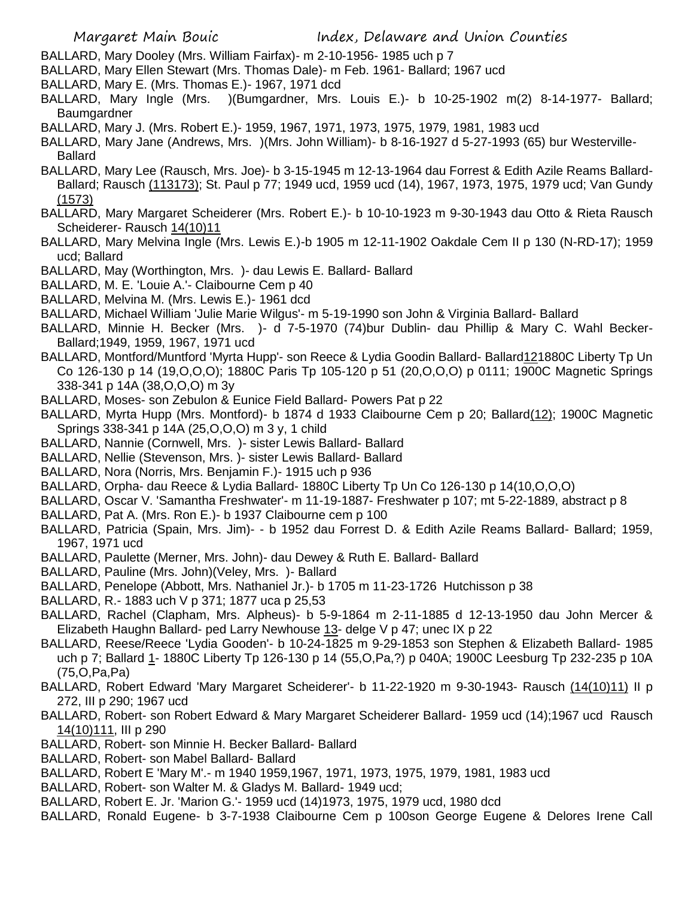- BALLARD, Mary Dooley (Mrs. William Fairfax)- m 2-10-1956- 1985 uch p 7
- BALLARD, Mary Ellen Stewart (Mrs. Thomas Dale)- m Feb. 1961- Ballard; 1967 ucd
- BALLARD, Mary E. (Mrs. Thomas E.)- 1967, 1971 dcd
- BALLARD, Mary Ingle (Mrs. )(Bumgardner, Mrs. Louis E.)- b 10-25-1902 m(2) 8-14-1977- Ballard; Baumgardner
- BALLARD, Mary J. (Mrs. Robert E.)- 1959, 1967, 1971, 1973, 1975, 1979, 1981, 1983 ucd
- BALLARD, Mary Jane (Andrews, Mrs. )(Mrs. John William)- b 8-16-1927 d 5-27-1993 (65) bur Westerville-Ballard
- BALLARD, Mary Lee (Rausch, Mrs. Joe)- b 3-15-1945 m 12-13-1964 dau Forrest & Edith Azile Reams Ballard-Ballard; Rausch (113173); St. Paul p 77; 1949 ucd, 1959 ucd (14), 1967, 1973, 1975, 1979 ucd; Van Gundy (1573)
- BALLARD, Mary Margaret Scheiderer (Mrs. Robert E.)- b 10-10-1923 m 9-30-1943 dau Otto & Rieta Rausch Scheiderer- Rausch 14(10)11
- BALLARD, Mary Melvina Ingle (Mrs. Lewis E.)-b 1905 m 12-11-1902 Oakdale Cem II p 130 (N-RD-17); 1959 ucd; Ballard
- BALLARD, May (Worthington, Mrs. )- dau Lewis E. Ballard- Ballard
- BALLARD, M. E. 'Louie A.'- Claibourne Cem p 40
- BALLARD, Melvina M. (Mrs. Lewis E.)- 1961 dcd
- BALLARD, Michael William 'Julie Marie Wilgus'- m 5-19-1990 son John & Virginia Ballard- Ballard
- BALLARD, Minnie H. Becker (Mrs. )- d 7-5-1970 (74)bur Dublin- dau Phillip & Mary C. Wahl Becker-Ballard;1949, 1959, 1967, 1971 ucd
- BALLARD, Montford/Muntford 'Myrta Hupp'- son Reece & Lydia Goodin Ballard- Ballard121880C Liberty Tp Un Co 126-130 p 14 (19,O,O,O); 1880C Paris Tp 105-120 p 51 (20,O,O,O) p 0111; 1900C Magnetic Springs 338-341 p 14A (38,O,O,O) m 3y
- BALLARD, Moses- son Zebulon & Eunice Field Ballard- Powers Pat p 22
- BALLARD, Myrta Hupp (Mrs. Montford)- b 1874 d 1933 Claibourne Cem p 20; Ballard(12); 1900C Magnetic Springs 338-341 p 14A (25,O,O,O) m 3 y, 1 child
- BALLARD, Nannie (Cornwell, Mrs. )- sister Lewis Ballard- Ballard
- BALLARD, Nellie (Stevenson, Mrs. )- sister Lewis Ballard- Ballard
- BALLARD, Nora (Norris, Mrs. Benjamin F.)- 1915 uch p 936
- BALLARD, Orpha- dau Reece & Lydia Ballard- 1880C Liberty Tp Un Co 126-130 p 14(10,O,O,O)
- BALLARD, Oscar V. 'Samantha Freshwater'- m 11-19-1887- Freshwater p 107; mt 5-22-1889, abstract p 8
- BALLARD, Pat A. (Mrs. Ron E.)- b 1937 Claibourne cem p 100
- BALLARD, Patricia (Spain, Mrs. Jim)- b 1952 dau Forrest D. & Edith Azile Reams Ballard- Ballard; 1959, 1967, 1971 ucd
- BALLARD, Paulette (Merner, Mrs. John)- dau Dewey & Ruth E. Ballard- Ballard
- BALLARD, Pauline (Mrs. John)(Veley, Mrs. )- Ballard
- BALLARD, Penelope (Abbott, Mrs. Nathaniel Jr.)- b 1705 m 11-23-1726 Hutchisson p 38
- BALLARD, R.- 1883 uch V p 371; 1877 uca p 25,53
- BALLARD, Rachel (Clapham, Mrs. Alpheus)- b 5-9-1864 m 2-11-1885 d 12-13-1950 dau John Mercer & Elizabeth Haughn Ballard- ped Larry Newhouse 13- delge V p 47; unec IX p 22
- BALLARD, Reese/Reece 'Lydia Gooden'- b 10-24-1825 m 9-29-1853 son Stephen & Elizabeth Ballard- 1985 uch p 7; Ballard 1- 1880C Liberty Tp 126-130 p 14 (55,O,Pa,?) p 040A; 1900C Leesburg Tp 232-235 p 10A (75,O,Pa,Pa)
- BALLARD, Robert Edward 'Mary Margaret Scheiderer'- b 11-22-1920 m 9-30-1943- Rausch (14(10)11) II p 272, III p 290; 1967 ucd
- BALLARD, Robert- son Robert Edward & Mary Margaret Scheiderer Ballard- 1959 ucd (14);1967 ucd Rausch 14(10)111, III p 290
- BALLARD, Robert- son Minnie H. Becker Ballard- Ballard
- BALLARD, Robert- son Mabel Ballard- Ballard
- BALLARD, Robert E 'Mary M'.- m 1940 1959,1967, 1971, 1973, 1975, 1979, 1981, 1983 ucd
- BALLARD, Robert- son Walter M. & Gladys M. Ballard- 1949 ucd;
- BALLARD, Robert E. Jr. 'Marion G.'- 1959 ucd (14)1973, 1975, 1979 ucd, 1980 dcd
- BALLARD, Ronald Eugene- b 3-7-1938 Claibourne Cem p 100son George Eugene & Delores Irene Call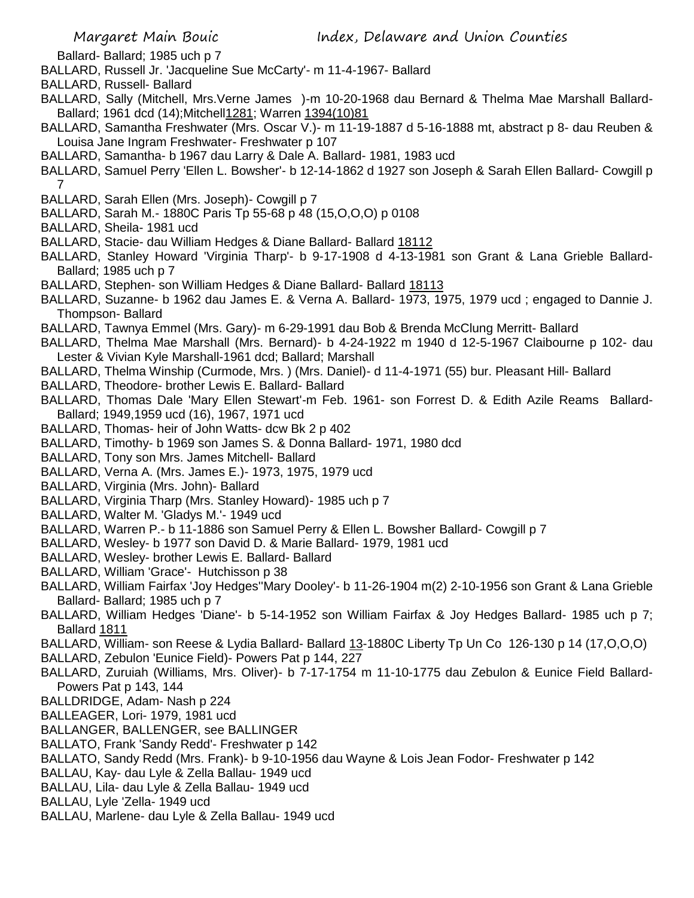Ballard- Ballard; 1985 uch p 7

- BALLARD, Russell Jr. 'Jacqueline Sue McCarty'- m 11-4-1967- Ballard
- BALLARD, Russell- Ballard
- BALLARD, Sally (Mitchell, Mrs.Verne James )-m 10-20-1968 dau Bernard & Thelma Mae Marshall Ballard-Ballard; 1961 dcd (14);Mitchell1281; Warren 1394(10)81
- BALLARD, Samantha Freshwater (Mrs. Oscar V.)- m 11-19-1887 d 5-16-1888 mt, abstract p 8- dau Reuben & Louisa Jane Ingram Freshwater- Freshwater p 107
- BALLARD, Samantha- b 1967 dau Larry & Dale A. Ballard- 1981, 1983 ucd
- BALLARD, Samuel Perry 'Ellen L. Bowsher'- b 12-14-1862 d 1927 son Joseph & Sarah Ellen Ballard- Cowgill p 7
- BALLARD, Sarah Ellen (Mrs. Joseph)- Cowgill p 7
- BALLARD, Sarah M.- 1880C Paris Tp 55-68 p 48 (15,O,O,O) p 0108
- BALLARD, Sheila- 1981 ucd
- BALLARD, Stacie- dau William Hedges & Diane Ballard- Ballard 18112
- BALLARD, Stanley Howard 'Virginia Tharp'- b 9-17-1908 d 4-13-1981 son Grant & Lana Grieble Ballard-Ballard; 1985 uch p 7
- BALLARD, Stephen- son William Hedges & Diane Ballard- Ballard 18113
- BALLARD, Suzanne- b 1962 dau James E. & Verna A. Ballard- 1973, 1975, 1979 ucd ; engaged to Dannie J. Thompson- Ballard
- BALLARD, Tawnya Emmel (Mrs. Gary)- m 6-29-1991 dau Bob & Brenda McClung Merritt- Ballard
- BALLARD, Thelma Mae Marshall (Mrs. Bernard)- b 4-24-1922 m 1940 d 12-5-1967 Claibourne p 102- dau Lester & Vivian Kyle Marshall-1961 dcd; Ballard; Marshall
- BALLARD, Thelma Winship (Curmode, Mrs. ) (Mrs. Daniel)- d 11-4-1971 (55) bur. Pleasant Hill- Ballard
- BALLARD, Theodore- brother Lewis E. Ballard- Ballard
- BALLARD, Thomas Dale 'Mary Ellen Stewart'-m Feb. 1961- son Forrest D. & Edith Azile Reams Ballard-Ballard; 1949,1959 ucd (16), 1967, 1971 ucd
- BALLARD, Thomas- heir of John Watts- dcw Bk 2 p 402
- BALLARD, Timothy- b 1969 son James S. & Donna Ballard- 1971, 1980 dcd
- BALLARD, Tony son Mrs. James Mitchell- Ballard
- BALLARD, Verna A. (Mrs. James E.)- 1973, 1975, 1979 ucd
- BALLARD, Virginia (Mrs. John)- Ballard
- BALLARD, Virginia Tharp (Mrs. Stanley Howard)- 1985 uch p 7
- BALLARD, Walter M. 'Gladys M.'- 1949 ucd
- BALLARD, Warren P.- b 11-1886 son Samuel Perry & Ellen L. Bowsher Ballard- Cowgill p 7
- BALLARD, Wesley- b 1977 son David D. & Marie Ballard- 1979, 1981 ucd
- BALLARD, Wesley- brother Lewis E. Ballard- Ballard
- BALLARD, William 'Grace'- Hutchisson p 38
- BALLARD, William Fairfax 'Joy Hedges''Mary Dooley'- b 11-26-1904 m(2) 2-10-1956 son Grant & Lana Grieble Ballard- Ballard; 1985 uch p 7
- BALLARD, William Hedges 'Diane'- b 5-14-1952 son William Fairfax & Joy Hedges Ballard- 1985 uch p 7; Ballard 1811
- BALLARD, William- son Reese & Lydia Ballard- Ballard 13-1880C Liberty Tp Un Co 126-130 p 14 (17, O, O, O)
- BALLARD, Zebulon 'Eunice Field)- Powers Pat p 144, 227
- BALLARD, Zuruiah (Williams, Mrs. Oliver)- b 7-17-1754 m 11-10-1775 dau Zebulon & Eunice Field Ballard-Powers Pat p 143, 144
- BALLDRIDGE, Adam- Nash p 224
- BALLEAGER, Lori- 1979, 1981 ucd
- BALLANGER, BALLENGER, see BALLINGER
- BALLATO, Frank 'Sandy Redd'- Freshwater p 142
- BALLATO, Sandy Redd (Mrs. Frank)- b 9-10-1956 dau Wayne & Lois Jean Fodor- Freshwater p 142
- BALLAU, Kay- dau Lyle & Zella Ballau- 1949 ucd
- BALLAU, Lila- dau Lyle & Zella Ballau- 1949 ucd
- BALLAU, Lyle 'Zella- 1949 ucd
- BALLAU, Marlene- dau Lyle & Zella Ballau- 1949 ucd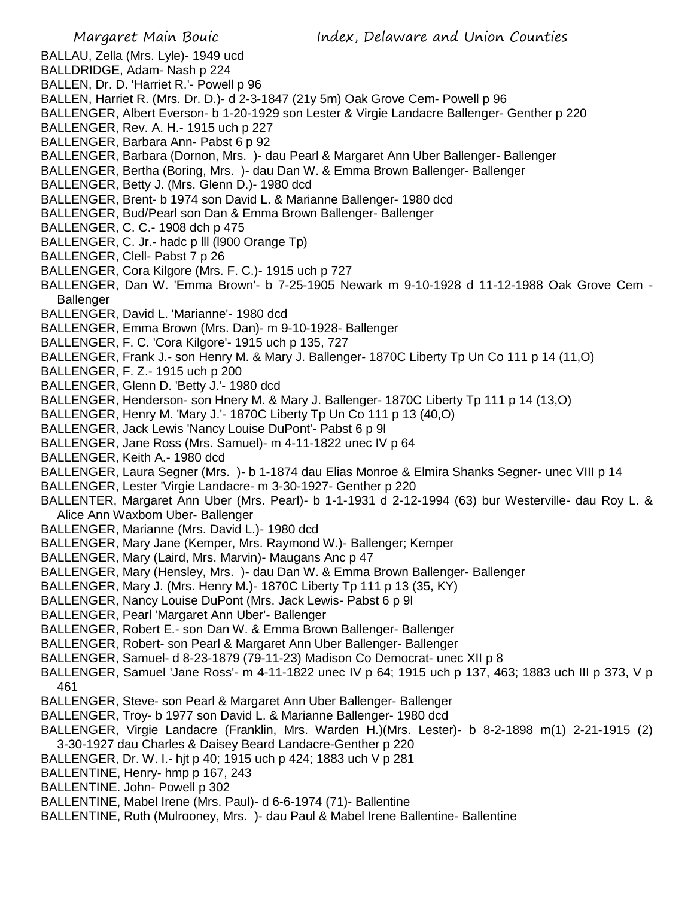## Margaret Main Bouic Index, Delaware and Union Counties BALLAU, Zella (Mrs. Lyle)- 1949 ucd BALLDRIDGE, Adam- Nash p 224 BALLEN, Dr. D. 'Harriet R.'- Powell p 96 BALLEN, Harriet R. (Mrs. Dr. D.)- d 2-3-1847 (21y 5m) Oak Grove Cem- Powell p 96 BALLENGER, Albert Everson- b 1-20-1929 son Lester & Virgie Landacre Ballenger- Genther p 220 BALLENGER, Rev. A. H.- 1915 uch p 227 BALLENGER, Barbara Ann- Pabst 6 p 92 BALLENGER, Barbara (Dornon, Mrs. )- dau Pearl & Margaret Ann Uber Ballenger- Ballenger BALLENGER, Bertha (Boring, Mrs. )- dau Dan W. & Emma Brown Ballenger- Ballenger BALLENGER, Betty J. (Mrs. Glenn D.)- 1980 dcd BALLENGER, Brent- b 1974 son David L. & Marianne Ballenger- 1980 dcd BALLENGER, Bud/Pearl son Dan & Emma Brown Ballenger- Ballenger BALLENGER, C. C.- 1908 dch p 475 BALLENGER, C. Jr.- hadc p lll (l900 Orange Tp) BALLENGER, Clell- Pabst 7 p 26 BALLENGER, Cora Kilgore (Mrs. F. C.)- 1915 uch p 727 BALLENGER, Dan W. 'Emma Brown'- b 7-25-1905 Newark m 9-10-1928 d 11-12-1988 Oak Grove Cem - **Ballenger** BALLENGER, David L. 'Marianne'- 1980 dcd BALLENGER, Emma Brown (Mrs. Dan)- m 9-10-1928- Ballenger BALLENGER, F. C. 'Cora Kilgore'- 1915 uch p 135, 727 BALLENGER, Frank J.- son Henry M. & Mary J. Ballenger- 1870C Liberty Tp Un Co 111 p 14 (11,O) BALLENGER, F. Z.- 1915 uch p 200 BALLENGER, Glenn D. 'Betty J.'- 1980 dcd BALLENGER, Henderson- son Hnery M. & Mary J. Ballenger- 1870C Liberty Tp 111 p 14 (13,O) BALLENGER, Henry M. 'Mary J.'- 1870C Liberty Tp Un Co 111 p 13 (40,O) BALLENGER, Jack Lewis 'Nancy Louise DuPont'- Pabst 6 p 9l BALLENGER, Jane Ross (Mrs. Samuel)- m 4-11-1822 unec IV p 64 BALLENGER, Keith A.- 1980 dcd BALLENGER, Laura Segner (Mrs. )- b 1-1874 dau Elias Monroe & Elmira Shanks Segner- unec VIII p 14 BALLENGER, Lester 'Virgie Landacre- m 3-30-1927- Genther p 220 BALLENTER, Margaret Ann Uber (Mrs. Pearl)- b 1-1-1931 d 2-12-1994 (63) bur Westerville- dau Roy L. & Alice Ann Waxbom Uber- Ballenger BALLENGER, Marianne (Mrs. David L.)- 1980 dcd BALLENGER, Mary Jane (Kemper, Mrs. Raymond W.)- Ballenger; Kemper BALLENGER, Mary (Laird, Mrs. Marvin)- Maugans Anc p 47 BALLENGER, Mary (Hensley, Mrs. )- dau Dan W. & Emma Brown Ballenger- Ballenger BALLENGER, Mary J. (Mrs. Henry M.)- 1870C Liberty Tp 111 p 13 (35, KY) BALLENGER, Nancy Louise DuPont (Mrs. Jack Lewis- Pabst 6 p 9l BALLENGER, Pearl 'Margaret Ann Uber'- Ballenger BALLENGER, Robert E.- son Dan W. & Emma Brown Ballenger- Ballenger BALLENGER, Robert- son Pearl & Margaret Ann Uber Ballenger- Ballenger BALLENGER, Samuel- d 8-23-1879 (79-11-23) Madison Co Democrat- unec XII p 8 BALLENGER, Samuel 'Jane Ross'- m 4-11-1822 unec IV p 64; 1915 uch p 137, 463; 1883 uch III p 373, V p 461 BALLENGER, Steve- son Pearl & Margaret Ann Uber Ballenger- Ballenger BALLENGER, Troy- b 1977 son David L. & Marianne Ballenger- 1980 dcd BALLENGER, Virgie Landacre (Franklin, Mrs. Warden H.)(Mrs. Lester)- b 8-2-1898 m(1) 2-21-1915 (2)

- 3-30-1927 dau Charles & Daisey Beard Landacre-Genther p 220
- BALLENGER, Dr. W. I.- hjt p 40; 1915 uch p 424; 1883 uch V p 281
- BALLENTINE, Henry- hmp p 167, 243
- BALLENTINE. John- Powell p 302
- BALLENTINE, Mabel Irene (Mrs. Paul)- d 6-6-1974 (71)- Ballentine
- BALLENTINE, Ruth (Mulrooney, Mrs. )- dau Paul & Mabel Irene Ballentine- Ballentine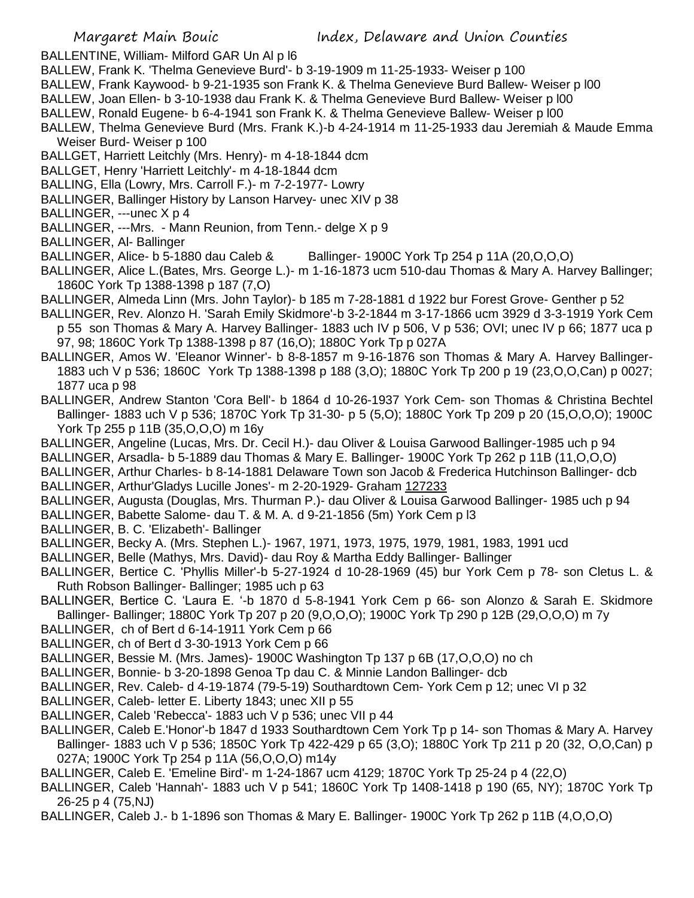- BALLENTINE, William- Milford GAR Un Al p l6
- BALLEW, Frank K. 'Thelma Genevieve Burd'- b 3-19-1909 m 11-25-1933- Weiser p 100
- BALLEW, Frank Kaywood- b 9-21-1935 son Frank K. & Thelma Genevieve Burd Ballew- Weiser p l00
- BALLEW, Joan Ellen- b 3-10-1938 dau Frank K. & Thelma Genevieve Burd Ballew- Weiser p l00
- BALLEW, Ronald Eugene- b 6-4-1941 son Frank K. & Thelma Genevieve Ballew- Weiser p l00
- BALLEW, Thelma Genevieve Burd (Mrs. Frank K.)-b 4-24-1914 m 11-25-1933 dau Jeremiah & Maude Emma Weiser Burd- Weiser p 100
- BALLGET, Harriett Leitchly (Mrs. Henry)- m 4-18-1844 dcm
- BALLGET, Henry 'Harriett Leitchly'- m 4-18-1844 dcm
- BALLING, Ella (Lowry, Mrs. Carroll F.)- m 7-2-1977- Lowry
- BALLINGER, Ballinger History by Lanson Harvey- unec XIV p 38
- BALLINGER, ---unec X p 4
- BALLINGER, ---Mrs. Mann Reunion, from Tenn.- delge X p 9
- BALLINGER, Al- Ballinger
- BALLINGER, Alice- b 5-1880 dau Caleb & Ballinger- 1900C York Tp 254 p 11A (20,O,O,O)
- BALLINGER, Alice L.(Bates, Mrs. George L.)- m 1-16-1873 ucm 510-dau Thomas & Mary A. Harvey Ballinger; 1860C York Tp 1388-1398 p 187 (7,O)
- BALLINGER, Almeda Linn (Mrs. John Taylor)- b 185 m 7-28-1881 d 1922 bur Forest Grove- Genther p 52
- BALLINGER, Rev. Alonzo H. 'Sarah Emily Skidmore'-b 3-2-1844 m 3-17-1866 ucm 3929 d 3-3-1919 York Cem p 55 son Thomas & Mary A. Harvey Ballinger- 1883 uch IV p 506, V p 536; OVI; unec IV p 66; 1877 uca p 97, 98; 1860C York Tp 1388-1398 p 87 (16,O); 1880C York Tp p 027A
- BALLINGER, Amos W. 'Eleanor Winner'- b 8-8-1857 m 9-16-1876 son Thomas & Mary A. Harvey Ballinger-1883 uch V p 536; 1860C York Tp 1388-1398 p 188 (3,O); 1880C York Tp 200 p 19 (23,O,O,Can) p 0027; 1877 uca p 98
- BALLINGER, Andrew Stanton 'Cora Bell'- b 1864 d 10-26-1937 York Cem- son Thomas & Christina Bechtel Ballinger- 1883 uch V p 536; 1870C York Tp 31-30- p 5 (5,O); 1880C York Tp 209 p 20 (15,O,O,O); 1900C York Tp 255 p 11B (35,O,O,O) m 16y
- BALLINGER, Angeline (Lucas, Mrs. Dr. Cecil H.)- dau Oliver & Louisa Garwood Ballinger-1985 uch p 94
- BALLINGER, Arsadla- b 5-1889 dau Thomas & Mary E. Ballinger- 1900C York Tp 262 p 11B (11,O,O,O)
- BALLINGER, Arthur Charles- b 8-14-1881 Delaware Town son Jacob & Frederica Hutchinson Ballinger- dcb BALLINGER, Arthur'Gladys Lucille Jones'- m 2-20-1929- Graham 127233
- BALLINGER, Augusta (Douglas, Mrs. Thurman P.)- dau Oliver & Louisa Garwood Ballinger- 1985 uch p 94
- BALLINGER, Babette Salome- dau T. & M. A. d 9-21-1856 (5m) York Cem p l3
- BALLINGER, B. C. 'Elizabeth'- Ballinger
- BALLINGER, Becky A. (Mrs. Stephen L.)- 1967, 1971, 1973, 1975, 1979, 1981, 1983, 1991 ucd
- BALLINGER, Belle (Mathys, Mrs. David)- dau Roy & Martha Eddy Ballinger- Ballinger
- BALLINGER, Bertice C. 'Phyllis Miller'-b 5-27-1924 d 10-28-1969 (45) bur York Cem p 78- son Cletus L. & Ruth Robson Ballinger- Ballinger; 1985 uch p 63
- BALLINGER, Bertice C. 'Laura E. '-b 1870 d 5-8-1941 York Cem p 66- son Alonzo & Sarah E. Skidmore Ballinger- Ballinger; 1880C York Tp 207 p 20 (9,O,O,O); 1900C York Tp 290 p 12B (29,O,O,O) m 7y
- BALLINGER, ch of Bert d 6-14-1911 York Cem p 66
- BALLINGER, ch of Bert d 3-30-1913 York Cem p 66
- BALLINGER, Bessie M. (Mrs. James)- 1900C Washington Tp 137 p 6B (17,O,O,O) no ch
- BALLINGER, Bonnie- b 3-20-1898 Genoa Tp dau C. & Minnie Landon Ballinger- dcb
- BALLINGER, Rev. Caleb- d 4-19-1874 (79-5-19) Southardtown Cem- York Cem p 12; unec VI p 32
- BALLINGER, Caleb- letter E. Liberty 1843; unec XII p 55
- BALLINGER, Caleb 'Rebecca'- 1883 uch V p 536; unec VII p 44
- BALLINGER, Caleb E.'Honor'-b 1847 d 1933 Southardtown Cem York Tp p 14- son Thomas & Mary A. Harvey Ballinger- 1883 uch V p 536; 1850C York Tp 422-429 p 65 (3,O); 1880C York Tp 211 p 20 (32, O,O,Can) p 027A; 1900C York Tp 254 p 11A (56,O,O,O) m14y
- BALLINGER, Caleb E. 'Emeline Bird'- m 1-24-1867 ucm 4129; 1870C York Tp 25-24 p 4 (22,O)
- BALLINGER, Caleb 'Hannah'- 1883 uch V p 541; 1860C York Tp 1408-1418 p 190 (65, NY); 1870C York Tp 26-25 p 4 (75,NJ)
- BALLINGER, Caleb J.- b 1-1896 son Thomas & Mary E. Ballinger- 1900C York Tp 262 p 11B (4,O,O,O)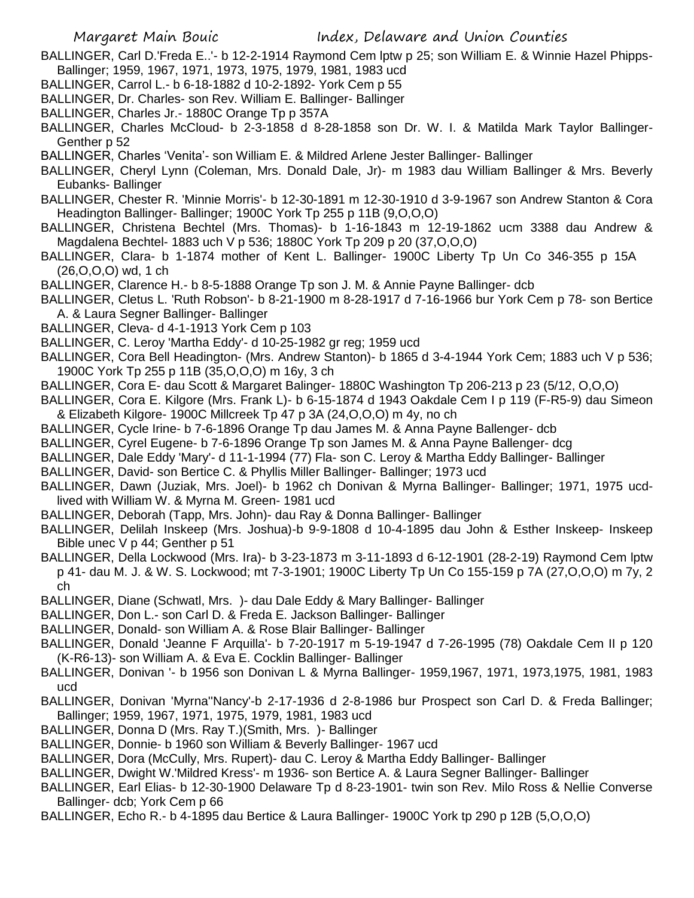- BALLINGER, Carl D.'Freda E..'- b 12-2-1914 Raymond Cem lptw p 25; son William E. & Winnie Hazel Phipps-Ballinger; 1959, 1967, 1971, 1973, 1975, 1979, 1981, 1983 ucd
- BALLINGER, Carrol L.- b 6-18-1882 d 10-2-1892- York Cem p 55
- BALLINGER, Dr. Charles- son Rev. William E. Ballinger- Ballinger
- BALLINGER, Charles Jr.- 1880C Orange Tp p 357A

BALLINGER, Charles McCloud- b 2-3-1858 d 8-28-1858 son Dr. W. I. & Matilda Mark Taylor Ballinger-Genther p 52

BALLINGER, Charles 'Venita'- son William E. & Mildred Arlene Jester Ballinger- Ballinger

- BALLINGER, Cheryl Lynn (Coleman, Mrs. Donald Dale, Jr)- m 1983 dau William Ballinger & Mrs. Beverly Eubanks- Ballinger
- BALLINGER, Chester R. 'Minnie Morris'- b 12-30-1891 m 12-30-1910 d 3-9-1967 son Andrew Stanton & Cora Headington Ballinger- Ballinger; 1900C York Tp 255 p 11B (9,O,O,O)
- BALLINGER, Christena Bechtel (Mrs. Thomas)- b 1-16-1843 m 12-19-1862 ucm 3388 dau Andrew & Magdalena Bechtel- 1883 uch V p 536; 1880C York Tp 209 p 20 (37,O,O,O)
- BALLINGER, Clara- b 1-1874 mother of Kent L. Ballinger- 1900C Liberty Tp Un Co 346-355 p 15A (26,O,O,O) wd, 1 ch
- BALLINGER, Clarence H.- b 8-5-1888 Orange Tp son J. M. & Annie Payne Ballinger- dcb
- BALLINGER, Cletus L. 'Ruth Robson'- b 8-21-1900 m 8-28-1917 d 7-16-1966 bur York Cem p 78- son Bertice A. & Laura Segner Ballinger- Ballinger
- BALLINGER, Cleva- d 4-1-1913 York Cem p 103
- BALLINGER, C. Leroy 'Martha Eddy'- d 10-25-1982 gr reg; 1959 ucd
- BALLINGER, Cora Bell Headington- (Mrs. Andrew Stanton)- b 1865 d 3-4-1944 York Cem; 1883 uch V p 536; 1900C York Tp 255 p 11B (35,O,O,O) m 16y, 3 ch
- BALLINGER, Cora E- dau Scott & Margaret Balinger- 1880C Washington Tp 206-213 p 23 (5/12, O,O,O)
- BALLINGER, Cora E. Kilgore (Mrs. Frank L)- b 6-15-1874 d 1943 Oakdale Cem I p 119 (F-R5-9) dau Simeon & Elizabeth Kilgore- 1900C Millcreek Tp 47 p 3A (24,O,O,O) m 4y, no ch
- BALLINGER, Cycle Irine- b 7-6-1896 Orange Tp dau James M. & Anna Payne Ballenger- dcb
- BALLINGER, Cyrel Eugene- b 7-6-1896 Orange Tp son James M. & Anna Payne Ballenger- dcg
- BALLINGER, Dale Eddy 'Mary'- d 11-1-1994 (77) Fla- son C. Leroy & Martha Eddy Ballinger- Ballinger
- BALLINGER, David- son Bertice C. & Phyllis Miller Ballinger- Ballinger; 1973 ucd
- BALLINGER, Dawn (Juziak, Mrs. Joel)- b 1962 ch Donivan & Myrna Ballinger- Ballinger; 1971, 1975 ucdlived with William W. & Myrna M. Green- 1981 ucd
- BALLINGER, Deborah (Tapp, Mrs. John)- dau Ray & Donna Ballinger- Ballinger
- BALLINGER, Delilah Inskeep (Mrs. Joshua)-b 9-9-1808 d 10-4-1895 dau John & Esther Inskeep- Inskeep Bible unec V p 44; Genther p 51
- BALLINGER, Della Lockwood (Mrs. Ira)- b 3-23-1873 m 3-11-1893 d 6-12-1901 (28-2-19) Raymond Cem lptw p 41- dau M. J. & W. S. Lockwood; mt 7-3-1901; 1900C Liberty Tp Un Co 155-159 p 7A (27,O,O,O) m 7y, 2 ch
- BALLINGER, Diane (Schwatl, Mrs. )- dau Dale Eddy & Mary Ballinger- Ballinger
- BALLINGER, Don L.- son Carl D. & Freda E. Jackson Ballinger- Ballinger
- BALLINGER, Donald- son William A. & Rose Blair Ballinger- Ballinger
- BALLINGER, Donald 'Jeanne F Arquilla'- b 7-20-1917 m 5-19-1947 d 7-26-1995 (78) Oakdale Cem II p 120 (K-R6-13)- son William A. & Eva E. Cocklin Ballinger- Ballinger
- BALLINGER, Donivan '- b 1956 son Donivan L & Myrna Ballinger- 1959,1967, 1971, 1973,1975, 1981, 1983 ucd
- BALLINGER, Donivan 'Myrna''Nancy'-b 2-17-1936 d 2-8-1986 bur Prospect son Carl D. & Freda Ballinger; Ballinger; 1959, 1967, 1971, 1975, 1979, 1981, 1983 ucd
- BALLINGER, Donna D (Mrs. Ray T.)(Smith, Mrs. )- Ballinger
- BALLINGER, Donnie- b 1960 son William & Beverly Ballinger- 1967 ucd
- BALLINGER, Dora (McCully, Mrs. Rupert)- dau C. Leroy & Martha Eddy Ballinger- Ballinger
- BALLINGER, Dwight W.'Mildred Kress'- m 1936- son Bertice A. & Laura Segner Ballinger- Ballinger
- BALLINGER, Earl Elias- b 12-30-1900 Delaware Tp d 8-23-1901- twin son Rev. Milo Ross & Nellie Converse Ballinger- dcb; York Cem p 66
- BALLINGER, Echo R.- b 4-1895 dau Bertice & Laura Ballinger- 1900C York tp 290 p 12B (5,O,O,O)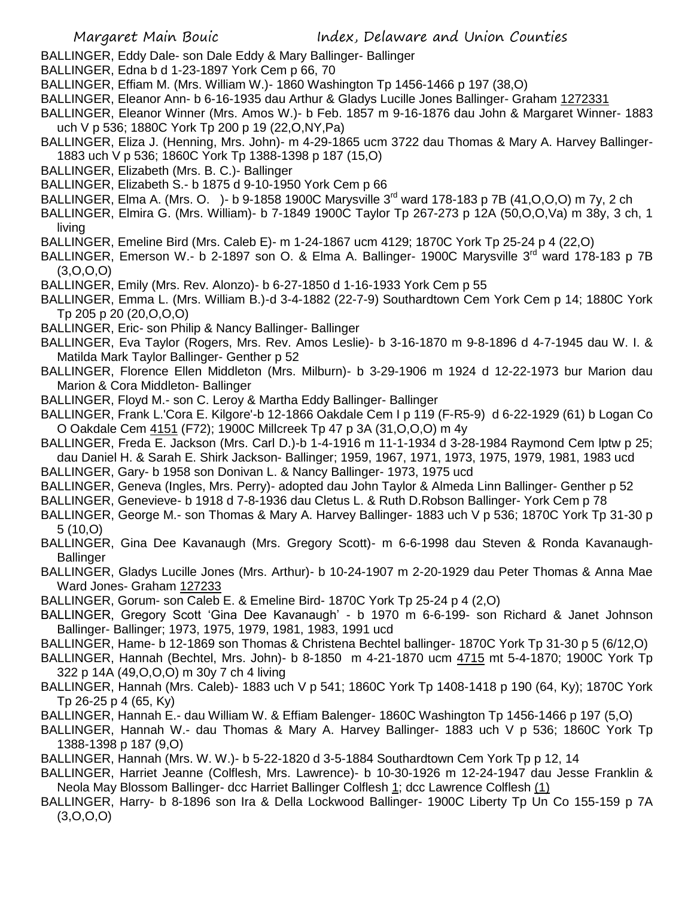- BALLINGER, Eddy Dale- son Dale Eddy & Mary Ballinger- Ballinger
- BALLINGER, Edna b d 1-23-1897 York Cem p 66, 70
- BALLINGER, Effiam M. (Mrs. William W.)- 1860 Washington Tp 1456-1466 p 197 (38,O)
- BALLINGER, Eleanor Ann- b 6-16-1935 dau Arthur & Gladys Lucille Jones Ballinger- Graham 1272331
- BALLINGER, Eleanor Winner (Mrs. Amos W.)- b Feb. 1857 m 9-16-1876 dau John & Margaret Winner- 1883 uch V p 536; 1880C York Tp 200 p 19 (22,O,NY,Pa)
- BALLINGER, Eliza J. (Henning, Mrs. John)- m 4-29-1865 ucm 3722 dau Thomas & Mary A. Harvey Ballinger-1883 uch V p 536; 1860C York Tp 1388-1398 p 187 (15,O)
- BALLINGER, Elizabeth (Mrs. B. C.)- Ballinger
- BALLINGER, Elizabeth S.- b 1875 d 9-10-1950 York Cem p 66
- BALLINGER, Elma A. (Mrs. O. )- b 9-1858 1900C Marysville  $3^{rd}$  ward 178-183 p 7B (41, O, O, O) m 7y, 2 ch
- BALLINGER, Elmira G. (Mrs. William)- b 7-1849 1900C Taylor Tp 267-273 p 12A (50,O,O,Va) m 38y, 3 ch, 1 living
- BALLINGER, Emeline Bird (Mrs. Caleb E)- m 1-24-1867 ucm 4129; 1870C York Tp 25-24 p 4 (22,O)
- BALLINGER, Emerson W.- b 2-1897 son O. & Elma A. Ballinger- 1900C Marysville 3<sup>rd</sup> ward 178-183 p 7B (3,O,O,O)
- BALLINGER, Emily (Mrs. Rev. Alonzo)- b 6-27-1850 d 1-16-1933 York Cem p 55
- BALLINGER, Emma L. (Mrs. William B.)-d 3-4-1882 (22-7-9) Southardtown Cem York Cem p 14; 1880C York Tp 205 p 20 (20,O,O,O)
- BALLINGER, Eric- son Philip & Nancy Ballinger- Ballinger
- BALLINGER, Eva Taylor (Rogers, Mrs. Rev. Amos Leslie)- b 3-16-1870 m 9-8-1896 d 4-7-1945 dau W. I. & Matilda Mark Taylor Ballinger- Genther p 52
- BALLINGER, Florence Ellen Middleton (Mrs. Milburn)- b 3-29-1906 m 1924 d 12-22-1973 bur Marion dau Marion & Cora Middleton- Ballinger
- BALLINGER, Floyd M.- son C. Leroy & Martha Eddy Ballinger- Ballinger
- BALLINGER, Frank L.'Cora E. Kilgore'-b 12-1866 Oakdale Cem I p 119 (F-R5-9) d 6-22-1929 (61) b Logan Co O Oakdale Cem 4151 (F72); 1900C Millcreek Tp 47 p 3A (31,O,O,O) m 4y
- BALLINGER, Freda E. Jackson (Mrs. Carl D.)-b 1-4-1916 m 11-1-1934 d 3-28-1984 Raymond Cem lptw p 25; dau Daniel H. & Sarah E. Shirk Jackson- Ballinger; 1959, 1967, 1971, 1973, 1975, 1979, 1981, 1983 ucd
- BALLINGER, Gary- b 1958 son Donivan L. & Nancy Ballinger- 1973, 1975 ucd
- BALLINGER, Geneva (Ingles, Mrs. Perry)- adopted dau John Taylor & Almeda Linn Ballinger- Genther p 52
- BALLINGER, Genevieve- b 1918 d 7-8-1936 dau Cletus L. & Ruth D.Robson Ballinger- York Cem p 78
- BALLINGER, George M.- son Thomas & Mary A. Harvey Ballinger- 1883 uch V p 536; 1870C York Tp 31-30 p 5 (10,O)
- BALLINGER, Gina Dee Kavanaugh (Mrs. Gregory Scott)- m 6-6-1998 dau Steven & Ronda Kavanaugh-**Ballinger**
- BALLINGER, Gladys Lucille Jones (Mrs. Arthur)- b 10-24-1907 m 2-20-1929 dau Peter Thomas & Anna Mae Ward Jones- Graham 127233
- BALLINGER, Gorum- son Caleb E. & Emeline Bird- 1870C York Tp 25-24 p 4 (2,O)
- BALLINGER, Gregory Scott 'Gina Dee Kavanaugh' b 1970 m 6-6-199- son Richard & Janet Johnson Ballinger- Ballinger; 1973, 1975, 1979, 1981, 1983, 1991 ucd
- BALLINGER, Hame- b 12-1869 son Thomas & Christena Bechtel ballinger- 1870C York Tp 31-30 p 5 (6/12,O)
- BALLINGER, Hannah (Bechtel, Mrs. John)- b 8-1850 m 4-21-1870 ucm 4715 mt 5-4-1870; 1900C York Tp 322 p 14A (49,O,O,O) m 30y 7 ch 4 living
- BALLINGER, Hannah (Mrs. Caleb)- 1883 uch V p 541; 1860C York Tp 1408-1418 p 190 (64, Ky); 1870C York Tp 26-25 p 4 (65, Ky)
- BALLINGER, Hannah E.- dau William W. & Effiam Balenger- 1860C Washington Tp 1456-1466 p 197 (5,O)
- BALLINGER, Hannah W.- dau Thomas & Mary A. Harvey Ballinger- 1883 uch V p 536; 1860C York Tp 1388-1398 p 187 (9,O)
- BALLINGER, Hannah (Mrs. W. W.)- b 5-22-1820 d 3-5-1884 Southardtown Cem York Tp p 12, 14
- BALLINGER, Harriet Jeanne (Colflesh, Mrs. Lawrence)- b 10-30-1926 m 12-24-1947 dau Jesse Franklin & Neola May Blossom Ballinger- dcc Harriet Ballinger Colflesh 1; dcc Lawrence Colflesh (1)
- BALLINGER, Harry- b 8-1896 son Ira & Della Lockwood Ballinger- 1900C Liberty Tp Un Co 155-159 p 7A  $(3,0,0,0)$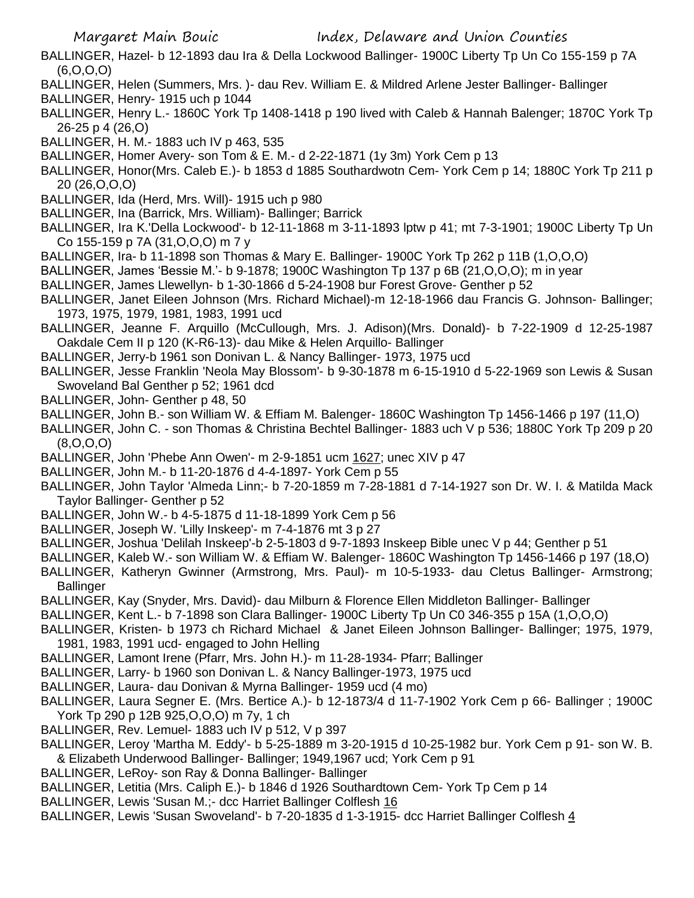- BALLINGER, Hazel- b 12-1893 dau Ira & Della Lockwood Ballinger- 1900C Liberty Tp Un Co 155-159 p 7A (6,O,O,O)
- BALLINGER, Helen (Summers, Mrs. )- dau Rev. William E. & Mildred Arlene Jester Ballinger- Ballinger
- BALLINGER, Henry- 1915 uch p 1044
- BALLINGER, Henry L.- 1860C York Tp 1408-1418 p 190 lived with Caleb & Hannah Balenger; 1870C York Tp 26-25 p 4 (26,O)
- BALLINGER, H. M.- 1883 uch IV p 463, 535
- BALLINGER, Homer Avery- son Tom & E. M.- d 2-22-1871 (1y 3m) York Cem p 13
- BALLINGER, Honor(Mrs. Caleb E.)- b 1853 d 1885 Southardwotn Cem- York Cem p 14; 1880C York Tp 211 p 20 (26,O,O,O)
- BALLINGER, Ida (Herd, Mrs. Will)- 1915 uch p 980
- BALLINGER, Ina (Barrick, Mrs. William)- Ballinger; Barrick
- BALLINGER, Ira K.'Della Lockwood'- b 12-11-1868 m 3-11-1893 lptw p 41; mt 7-3-1901; 1900C Liberty Tp Un Co 155-159 p 7A (31,O,O,O) m 7 y
- BALLINGER, Ira- b 11-1898 son Thomas & Mary E. Ballinger- 1900C York Tp 262 p 11B (1,O,O,O)
- BALLINGER, James 'Bessie M.'- b 9-1878; 1900C Washington Tp 137 p 6B (21,O,O,O); m in year
- BALLINGER, James Llewellyn- b 1-30-1866 d 5-24-1908 bur Forest Grove- Genther p 52
- BALLINGER, Janet Eileen Johnson (Mrs. Richard Michael)-m 12-18-1966 dau Francis G. Johnson- Ballinger; 1973, 1975, 1979, 1981, 1983, 1991 ucd
- BALLINGER, Jeanne F. Arquillo (McCullough, Mrs. J. Adison)(Mrs. Donald)- b 7-22-1909 d 12-25-1987 Oakdale Cem II p 120 (K-R6-13)- dau Mike & Helen Arquillo- Ballinger
- BALLINGER, Jerry-b 1961 son Donivan L. & Nancy Ballinger- 1973, 1975 ucd
- BALLINGER, Jesse Franklin 'Neola May Blossom'- b 9-30-1878 m 6-15-1910 d 5-22-1969 son Lewis & Susan Swoveland Bal Genther p 52; 1961 dcd
- BALLINGER, John- Genther p 48, 50
- BALLINGER, John B.- son William W. & Effiam M. Balenger- 1860C Washington Tp 1456-1466 p 197 (11,O)
- BALLINGER, John C. son Thomas & Christina Bechtel Ballinger- 1883 uch V p 536; 1880C York Tp 209 p 20 (8,O,O,O)
- BALLINGER, John 'Phebe Ann Owen'- m 2-9-1851 ucm 1627; unec XIV p 47
- BALLINGER, John M.- b 11-20-1876 d 4-4-1897- York Cem p 55
- BALLINGER, John Taylor 'Almeda Linn;- b 7-20-1859 m 7-28-1881 d 7-14-1927 son Dr. W. I. & Matilda Mack Taylor Ballinger- Genther p 52
- BALLINGER, John W.- b 4-5-1875 d 11-18-1899 York Cem p 56
- BALLINGER, Joseph W. 'Lilly Inskeep'- m 7-4-1876 mt 3 p 27
- BALLINGER, Joshua 'Delilah Inskeep'-b 2-5-1803 d 9-7-1893 Inskeep Bible unec V p 44; Genther p 51
- BALLINGER, Kaleb W.- son William W. & Effiam W. Balenger- 1860C Washington Tp 1456-1466 p 197 (18,O)
- BALLINGER, Katheryn Gwinner (Armstrong, Mrs. Paul)- m 10-5-1933- dau Cletus Ballinger- Armstrong; **Ballinger**
- BALLINGER, Kay (Snyder, Mrs. David)- dau Milburn & Florence Ellen Middleton Ballinger- Ballinger
- BALLINGER, Kent L.- b 7-1898 son Clara Ballinger- 1900C Liberty Tp Un C0 346-355 p 15A (1,O,O,O)
- BALLINGER, Kristen- b 1973 ch Richard Michael & Janet Eileen Johnson Ballinger- Ballinger; 1975, 1979, 1981, 1983, 1991 ucd- engaged to John Helling
- BALLINGER, Lamont Irene (Pfarr, Mrs. John H.)- m 11-28-1934- Pfarr; Ballinger
- BALLINGER, Larry- b 1960 son Donivan L. & Nancy Ballinger-1973, 1975 ucd
- BALLINGER, Laura- dau Donivan & Myrna Ballinger- 1959 ucd (4 mo)
- BALLINGER, Laura Segner E. (Mrs. Bertice A.)- b 12-1873/4 d 11-7-1902 York Cem p 66- Ballinger ; 1900C York Tp 290 p 12B 925,O,O,O) m 7y, 1 ch
- BALLINGER, Rev. Lemuel- 1883 uch IV p 512, V p 397
- BALLINGER, Leroy 'Martha M. Eddy'- b 5-25-1889 m 3-20-1915 d 10-25-1982 bur. York Cem p 91- son W. B. & Elizabeth Underwood Ballinger- Ballinger; 1949,1967 ucd; York Cem p 91
- BALLINGER, LeRoy- son Ray & Donna Ballinger- Ballinger
- BALLINGER, Letitia (Mrs. Caliph E.)- b 1846 d 1926 Southardtown Cem- York Tp Cem p 14
- BALLINGER, Lewis 'Susan M.;- dcc Harriet Ballinger Colflesh 16
- BALLINGER, Lewis 'Susan Swoveland'- b 7-20-1835 d 1-3-1915- dcc Harriet Ballinger Colflesh 4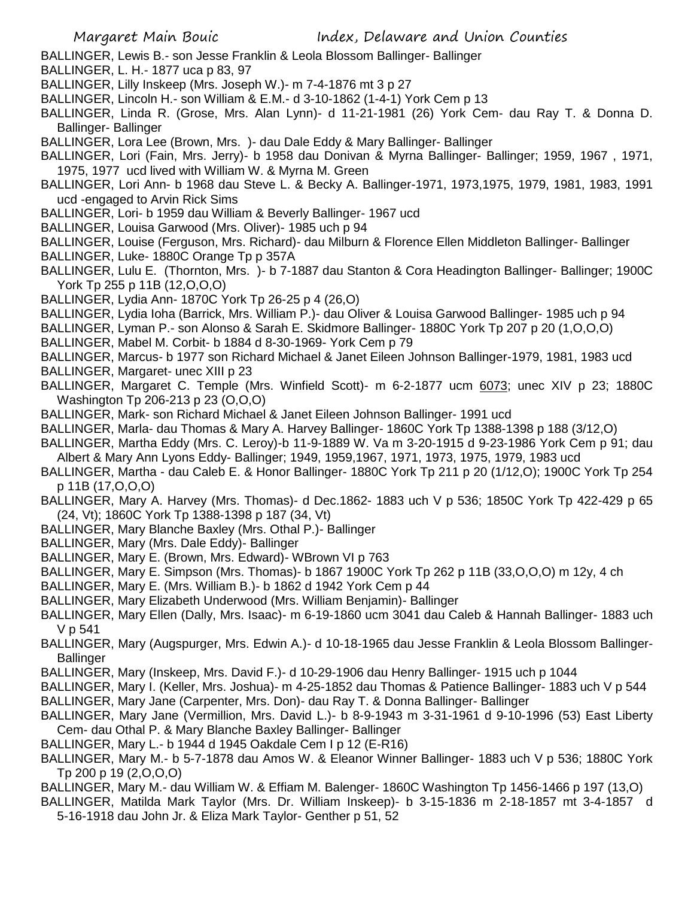- BALLINGER, Lewis B.- son Jesse Franklin & Leola Blossom Ballinger- Ballinger
- BALLINGER, L. H.- 1877 uca p 83, 97
- BALLINGER, Lilly Inskeep (Mrs. Joseph W.)- m 7-4-1876 mt 3 p 27
- BALLINGER, Lincoln H.- son William & E.M.- d 3-10-1862 (1-4-1) York Cem p 13
- BALLINGER, Linda R. (Grose, Mrs. Alan Lynn)- d 11-21-1981 (26) York Cem- dau Ray T. & Donna D. Ballinger- Ballinger
- BALLINGER, Lora Lee (Brown, Mrs. )- dau Dale Eddy & Mary Ballinger- Ballinger
- BALLINGER, Lori (Fain, Mrs. Jerry)- b 1958 dau Donivan & Myrna Ballinger- Ballinger; 1959, 1967 , 1971, 1975, 1977 ucd lived with William W. & Myrna M. Green
- BALLINGER, Lori Ann- b 1968 dau Steve L. & Becky A. Ballinger-1971, 1973,1975, 1979, 1981, 1983, 1991 ucd -engaged to Arvin Rick Sims
- BALLINGER, Lori- b 1959 dau William & Beverly Ballinger- 1967 ucd
- BALLINGER, Louisa Garwood (Mrs. Oliver)- 1985 uch p 94
- BALLINGER, Louise (Ferguson, Mrs. Richard)- dau Milburn & Florence Ellen Middleton Ballinger- Ballinger
- BALLINGER, Luke- 1880C Orange Tp p 357A
- BALLINGER, Lulu E. (Thornton, Mrs. )- b 7-1887 dau Stanton & Cora Headington Ballinger- Ballinger; 1900C York Tp 255 p 11B (12,O,O,O)
- BALLINGER, Lydia Ann- 1870C York Tp 26-25 p 4 (26,O)
- BALLINGER, Lydia Ioha (Barrick, Mrs. William P.)- dau Oliver & Louisa Garwood Ballinger- 1985 uch p 94
- BALLINGER, Lyman P.- son Alonso & Sarah E. Skidmore Ballinger- 1880C York Tp 207 p 20 (1,O,O,O)
- BALLINGER, Mabel M. Corbit- b 1884 d 8-30-1969- York Cem p 79
- BALLINGER, Marcus- b 1977 son Richard Michael & Janet Eileen Johnson Ballinger-1979, 1981, 1983 ucd
- BALLINGER, Margaret- unec XIII p 23
- BALLINGER, Margaret C. Temple (Mrs. Winfield Scott)- m 6-2-1877 ucm 6073; unec XIV p 23; 1880C Washington Tp 206-213 p 23 (O,O,O)
- BALLINGER, Mark- son Richard Michael & Janet Eileen Johnson Ballinger- 1991 ucd
- BALLINGER, Marla- dau Thomas & Mary A. Harvey Ballinger- 1860C York Tp 1388-1398 p 188 (3/12,O)
- BALLINGER, Martha Eddy (Mrs. C. Leroy)-b 11-9-1889 W. Va m 3-20-1915 d 9-23-1986 York Cem p 91; dau Albert & Mary Ann Lyons Eddy- Ballinger; 1949, 1959,1967, 1971, 1973, 1975, 1979, 1983 ucd
- BALLINGER, Martha dau Caleb E. & Honor Ballinger- 1880C York Tp 211 p 20 (1/12,O); 1900C York Tp 254 p 11B (17,O,O,O)
- BALLINGER, Mary A. Harvey (Mrs. Thomas)- d Dec.1862- 1883 uch V p 536; 1850C York Tp 422-429 p 65 (24, Vt); 1860C York Tp 1388-1398 p 187 (34, Vt)
- BALLINGER, Mary Blanche Baxley (Mrs. Othal P.)- Ballinger
- BALLINGER, Mary (Mrs. Dale Eddy)- Ballinger
- BALLINGER, Mary E. (Brown, Mrs. Edward)- WBrown VI p 763
- BALLINGER, Mary E. Simpson (Mrs. Thomas)- b 1867 1900C York Tp 262 p 11B (33,O,O,O) m 12y, 4 ch
- BALLINGER, Mary E. (Mrs. William B.)- b 1862 d 1942 York Cem p 44
- BALLINGER, Mary Elizabeth Underwood (Mrs. William Benjamin)- Ballinger
- BALLINGER, Mary Ellen (Dally, Mrs. Isaac)- m 6-19-1860 ucm 3041 dau Caleb & Hannah Ballinger- 1883 uch V p 541
- BALLINGER, Mary (Augspurger, Mrs. Edwin A.)- d 10-18-1965 dau Jesse Franklin & Leola Blossom Ballinger-**Ballinger**
- BALLINGER, Mary (Inskeep, Mrs. David F.)- d 10-29-1906 dau Henry Ballinger- 1915 uch p 1044
- BALLINGER, Mary I. (Keller, Mrs. Joshua)- m 4-25-1852 dau Thomas & Patience Ballinger- 1883 uch V p 544
- BALLINGER, Mary Jane (Carpenter, Mrs. Don)- dau Ray T. & Donna Ballinger- Ballinger
- BALLINGER, Mary Jane (Vermillion, Mrs. David L.)- b 8-9-1943 m 3-31-1961 d 9-10-1996 (53) East Liberty Cem- dau Othal P. & Mary Blanche Baxley Ballinger- Ballinger
- BALLINGER, Mary L.- b 1944 d 1945 Oakdale Cem I p 12 (E-R16)
- BALLINGER, Mary M.- b 5-7-1878 dau Amos W. & Eleanor Winner Ballinger- 1883 uch V p 536; 1880C York Tp 200 p 19 (2,O,O,O)
- BALLINGER, Mary M.- dau William W. & Effiam M. Balenger- 1860C Washington Tp 1456-1466 p 197 (13,O)
- BALLINGER, Matilda Mark Taylor (Mrs. Dr. William Inskeep)- b 3-15-1836 m 2-18-1857 mt 3-4-1857 d 5-16-1918 dau John Jr. & Eliza Mark Taylor- Genther p 51, 52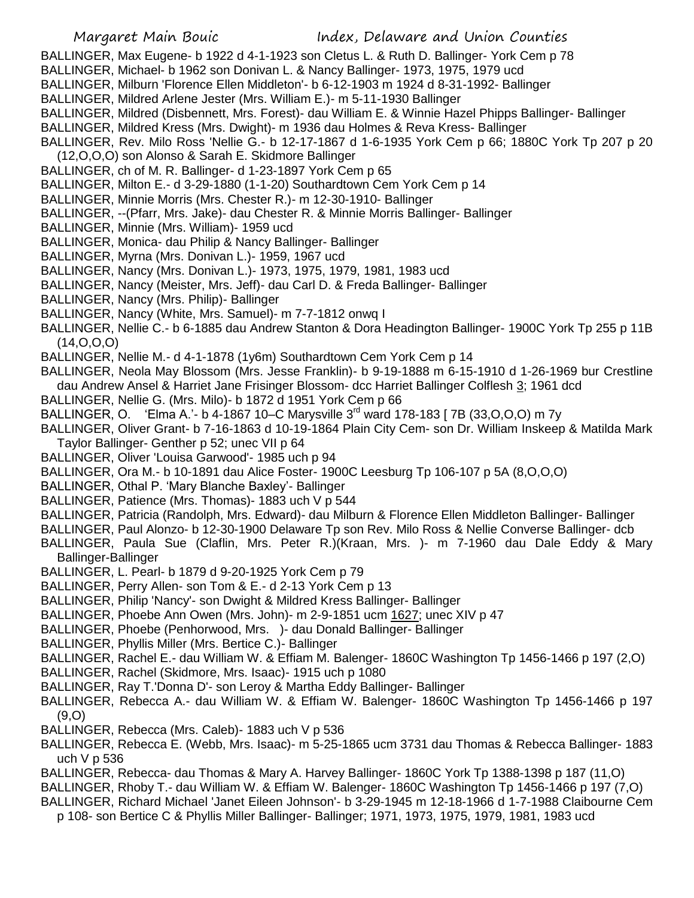- BALLINGER, Max Eugene- b 1922 d 4-1-1923 son Cletus L. & Ruth D. Ballinger- York Cem p 78
- BALLINGER, Michael- b 1962 son Donivan L. & Nancy Ballinger- 1973, 1975, 1979 ucd
- BALLINGER, Milburn 'Florence Ellen Middleton'- b 6-12-1903 m 1924 d 8-31-1992- Ballinger
- BALLINGER, Mildred Arlene Jester (Mrs. William E.)- m 5-11-1930 Ballinger
- BALLINGER, Mildred (Disbennett, Mrs. Forest)- dau William E. & Winnie Hazel Phipps Ballinger- Ballinger
- BALLINGER, Mildred Kress (Mrs. Dwight)- m 1936 dau Holmes & Reva Kress- Ballinger
- BALLINGER, Rev. Milo Ross 'Nellie G.- b 12-17-1867 d 1-6-1935 York Cem p 66; 1880C York Tp 207 p 20
- (12,O,O,O) son Alonso & Sarah E. Skidmore Ballinger
- BALLINGER, ch of M. R. Ballinger- d 1-23-1897 York Cem p 65
- BALLINGER, Milton E.- d 3-29-1880 (1-1-20) Southardtown Cem York Cem p 14
- BALLINGER, Minnie Morris (Mrs. Chester R.)- m 12-30-1910- Ballinger
- BALLINGER, --(Pfarr, Mrs. Jake)- dau Chester R. & Minnie Morris Ballinger- Ballinger
- BALLINGER, Minnie (Mrs. William)- 1959 ucd
- BALLINGER, Monica- dau Philip & Nancy Ballinger- Ballinger
- BALLINGER, Myrna (Mrs. Donivan L.)- 1959, 1967 ucd
- BALLINGER, Nancy (Mrs. Donivan L.)- 1973, 1975, 1979, 1981, 1983 ucd
- BALLINGER, Nancy (Meister, Mrs. Jeff)- dau Carl D. & Freda Ballinger- Ballinger
- BALLINGER, Nancy (Mrs. Philip)- Ballinger
- BALLINGER, Nancy (White, Mrs. Samuel)- m 7-7-1812 onwq I
- BALLINGER, Nellie C.- b 6-1885 dau Andrew Stanton & Dora Headington Ballinger- 1900C York Tp 255 p 11B (14,O,O,O)
- BALLINGER, Nellie M.- d 4-1-1878 (1y6m) Southardtown Cem York Cem p 14
- BALLINGER, Neola May Blossom (Mrs. Jesse Franklin)- b 9-19-1888 m 6-15-1910 d 1-26-1969 bur Crestline dau Andrew Ansel & Harriet Jane Frisinger Blossom- dcc Harriet Ballinger Colflesh 3; 1961 dcd
- BALLINGER, Nellie G. (Mrs. Milo)- b 1872 d 1951 York Cem p 66
- BALLINGER, O. 'Elma A.'- b 4-1867 10–C Marysville 3<sup>rd</sup> ward 178-183 [ 7B (33, O. O. O) m 7 y
- BALLINGER, Oliver Grant- b 7-16-1863 d 10-19-1864 Plain City Cem- son Dr. William Inskeep & Matilda Mark Taylor Ballinger- Genther p 52; unec VII p 64
- BALLINGER, Oliver 'Louisa Garwood'- 1985 uch p 94
- BALLINGER, Ora M.- b 10-1891 dau Alice Foster- 1900C Leesburg Tp 106-107 p 5A (8,O,O,O)
- BALLINGER, Othal P. 'Mary Blanche Baxley'- Ballinger
- BALLINGER, Patience (Mrs. Thomas)- 1883 uch V p 544
- BALLINGER, Patricia (Randolph, Mrs. Edward)- dau Milburn & Florence Ellen Middleton Ballinger- Ballinger
- BALLINGER, Paul Alonzo- b 12-30-1900 Delaware Tp son Rev. Milo Ross & Nellie Converse Ballinger- dcb
- BALLINGER, Paula Sue (Claflin, Mrs. Peter R.)(Kraan, Mrs. )- m 7-1960 dau Dale Eddy & Mary Ballinger-Ballinger
- BALLINGER, L. Pearl- b 1879 d 9-20-1925 York Cem p 79
- BALLINGER, Perry Allen- son Tom & E.- d 2-13 York Cem p 13
- BALLINGER, Philip 'Nancy'- son Dwight & Mildred Kress Ballinger- Ballinger
- BALLINGER, Phoebe Ann Owen (Mrs. John)- m 2-9-1851 ucm 1627; unec XIV p 47
- BALLINGER, Phoebe (Penhorwood, Mrs. )- dau Donald Ballinger- Ballinger
- BALLINGER, Phyllis Miller (Mrs. Bertice C.)- Ballinger
- BALLINGER, Rachel E.- dau William W. & Effiam M. Balenger- 1860C Washington Tp 1456-1466 p 197 (2,O)
- BALLINGER, Rachel (Skidmore, Mrs. Isaac)- 1915 uch p 1080
- BALLINGER, Ray T.'Donna D'- son Leroy & Martha Eddy Ballinger- Ballinger
- BALLINGER, Rebecca A.- dau William W. & Effiam W. Balenger- 1860C Washington Tp 1456-1466 p 197  $(9, 0)$
- BALLINGER, Rebecca (Mrs. Caleb)- 1883 uch V p 536
- BALLINGER, Rebecca E. (Webb, Mrs. Isaac)- m 5-25-1865 ucm 3731 dau Thomas & Rebecca Ballinger- 1883 uch V p 536
- BALLINGER, Rebecca- dau Thomas & Mary A. Harvey Ballinger- 1860C York Tp 1388-1398 p 187 (11,O)
- BALLINGER, Rhoby T.- dau William W. & Effiam W. Balenger- 1860C Washington Tp 1456-1466 p 197 (7,O)
- BALLINGER, Richard Michael 'Janet Eileen Johnson'- b 3-29-1945 m 12-18-1966 d 1-7-1988 Claibourne Cem
	- p 108- son Bertice C & Phyllis Miller Ballinger- Ballinger; 1971, 1973, 1975, 1979, 1981, 1983 ucd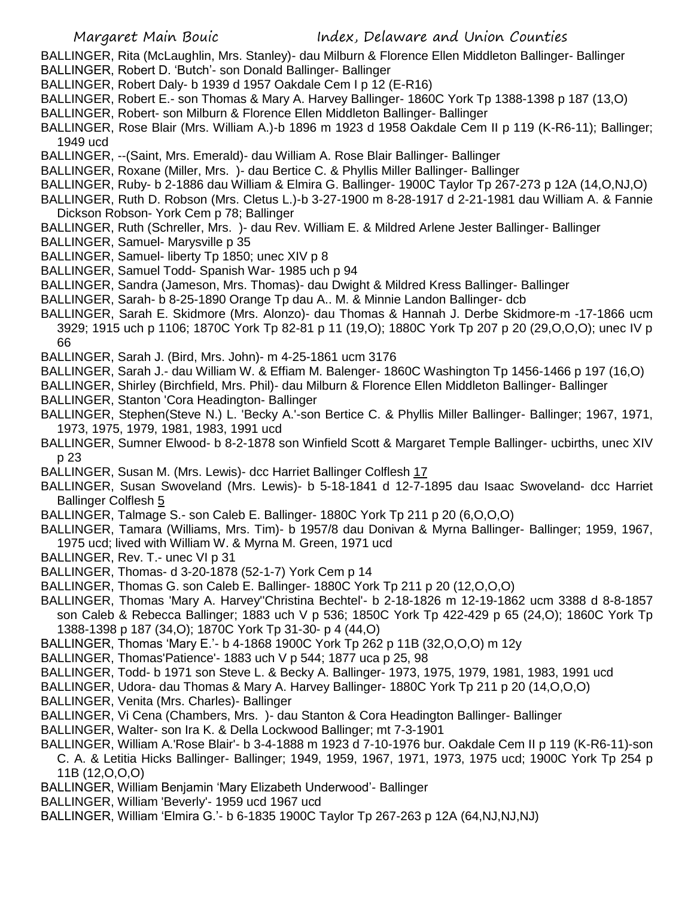- BALLINGER, Rita (McLaughlin, Mrs. Stanley)- dau Milburn & Florence Ellen Middleton Ballinger- Ballinger BALLINGER, Robert D. 'Butch'- son Donald Ballinger- Ballinger
- BALLINGER, Robert Daly- b 1939 d 1957 Oakdale Cem I p 12 (E-R16)
- BALLINGER, Robert E.- son Thomas & Mary A. Harvey Ballinger- 1860C York Tp 1388-1398 p 187 (13,O)
- BALLINGER, Robert- son Milburn & Florence Ellen Middleton Ballinger- Ballinger
- BALLINGER, Rose Blair (Mrs. William A.)-b 1896 m 1923 d 1958 Oakdale Cem II p 119 (K-R6-11); Ballinger; 1949 ucd
- BALLINGER, --(Saint, Mrs. Emerald)- dau William A. Rose Blair Ballinger- Ballinger
- BALLINGER, Roxane (Miller, Mrs. )- dau Bertice C. & Phyllis Miller Ballinger- Ballinger
- BALLINGER, Ruby- b 2-1886 dau William & Elmira G. Ballinger- 1900C Taylor Tp 267-273 p 12A (14,O,NJ,O)
- BALLINGER, Ruth D. Robson (Mrs. Cletus L.)-b 3-27-1900 m 8-28-1917 d 2-21-1981 dau William A. & Fannie Dickson Robson- York Cem p 78; Ballinger
- BALLINGER, Ruth (Schreller, Mrs. )- dau Rev. William E. & Mildred Arlene Jester Ballinger- Ballinger
- BALLINGER, Samuel- Marysville p 35
- BALLINGER, Samuel- liberty Tp 1850; unec XIV p 8
- BALLINGER, Samuel Todd- Spanish War- 1985 uch p 94
- BALLINGER, Sandra (Jameson, Mrs. Thomas)- dau Dwight & Mildred Kress Ballinger- Ballinger
- BALLINGER, Sarah- b 8-25-1890 Orange Tp dau A.. M. & Minnie Landon Ballinger- dcb
- BALLINGER, Sarah E. Skidmore (Mrs. Alonzo)- dau Thomas & Hannah J. Derbe Skidmore-m -17-1866 ucm 3929; 1915 uch p 1106; 1870C York Tp 82-81 p 11 (19,O); 1880C York Tp 207 p 20 (29,O,O,O); unec IV p 66
- BALLINGER, Sarah J. (Bird, Mrs. John)- m 4-25-1861 ucm 3176
- BALLINGER, Sarah J.- dau William W. & Effiam M. Balenger- 1860C Washington Tp 1456-1466 p 197 (16,O)
- BALLINGER, Shirley (Birchfield, Mrs. Phil)- dau Milburn & Florence Ellen Middleton Ballinger- Ballinger
- BALLINGER, Stanton 'Cora Headington- Ballinger
- BALLINGER, Stephen(Steve N.) L. 'Becky A.'-son Bertice C. & Phyllis Miller Ballinger- Ballinger; 1967, 1971, 1973, 1975, 1979, 1981, 1983, 1991 ucd
- BALLINGER, Sumner Elwood- b 8-2-1878 son Winfield Scott & Margaret Temple Ballinger- ucbirths, unec XIV p 23
- BALLINGER, Susan M. (Mrs. Lewis)- dcc Harriet Ballinger Colflesh 17
- BALLINGER, Susan Swoveland (Mrs. Lewis)- b 5-18-1841 d 12-7-1895 dau Isaac Swoveland- dcc Harriet Ballinger Colflesh 5
- BALLINGER, Talmage S.- son Caleb E. Ballinger- 1880C York Tp 211 p 20 (6,O,O,O)
- BALLINGER, Tamara (Williams, Mrs. Tim)- b 1957/8 dau Donivan & Myrna Ballinger- Ballinger; 1959, 1967, 1975 ucd; lived with William W. & Myrna M. Green, 1971 ucd
- BALLINGER, Rev. T.- unec VI p 31
- BALLINGER, Thomas- d 3-20-1878 (52-1-7) York Cem p 14
- BALLINGER, Thomas G. son Caleb E. Ballinger- 1880C York Tp 211 p 20 (12,O,O,O)
- BALLINGER, Thomas 'Mary A. Harvey''Christina Bechtel'- b 2-18-1826 m 12-19-1862 ucm 3388 d 8-8-1857 son Caleb & Rebecca Ballinger; 1883 uch V p 536; 1850C York Tp 422-429 p 65 (24,O); 1860C York Tp 1388-1398 p 187 (34,O); 1870C York Tp 31-30- p 4 (44,O)
- BALLINGER, Thomas 'Mary E.'- b 4-1868 1900C York Tp 262 p 11B (32,O,O,O) m 12y
- BALLINGER, Thomas'Patience'- 1883 uch V p 544; 1877 uca p 25, 98
- BALLINGER, Todd- b 1971 son Steve L. & Becky A. Ballinger- 1973, 1975, 1979, 1981, 1983, 1991 ucd
- BALLINGER, Udora- dau Thomas & Mary A. Harvey Ballinger- 1880C York Tp 211 p 20 (14,O,O,O)
- BALLINGER, Venita (Mrs. Charles)- Ballinger
- BALLINGER, Vi Cena (Chambers, Mrs. )- dau Stanton & Cora Headington Ballinger- Ballinger
- BALLINGER, Walter- son Ira K. & Della Lockwood Ballinger; mt 7-3-1901
- BALLINGER, William A.'Rose Blair'- b 3-4-1888 m 1923 d 7-10-1976 bur. Oakdale Cem II p 119 (K-R6-11)-son
- C. A. & Letitia Hicks Ballinger- Ballinger; 1949, 1959, 1967, 1971, 1973, 1975 ucd; 1900C York Tp 254 p 11B (12,O,O,O)
- BALLINGER, William Benjamin 'Mary Elizabeth Underwood'- Ballinger
- BALLINGER, William 'Beverly'- 1959 ucd 1967 ucd
- BALLINGER, William 'Elmira G.'- b 6-1835 1900C Taylor Tp 267-263 p 12A (64,NJ,NJ,NJ)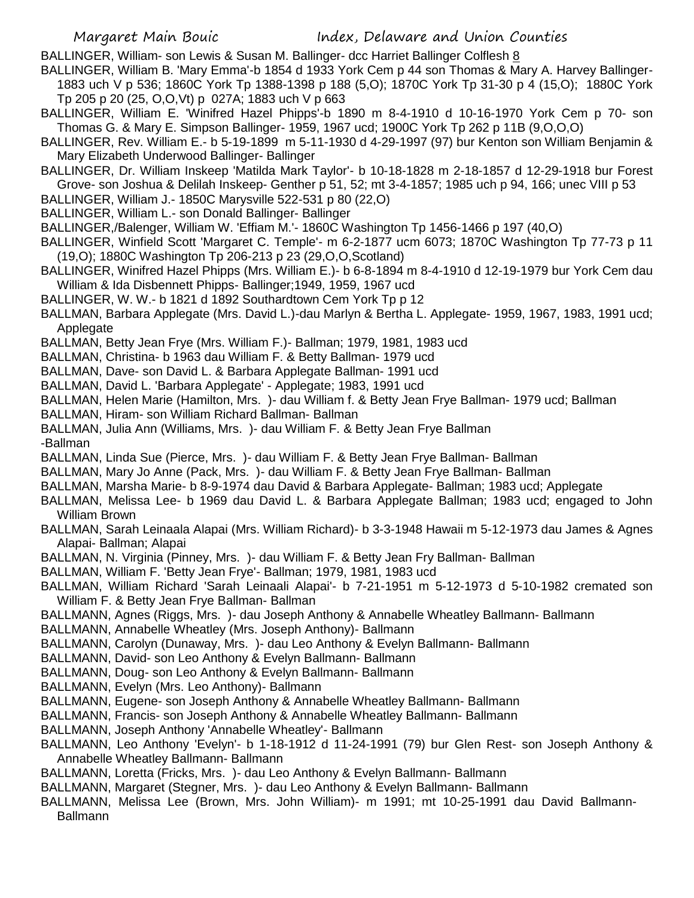BALLINGER, William- son Lewis & Susan M. Ballinger- dcc Harriet Ballinger Colflesh 8

- BALLINGER, William B. 'Mary Emma'-b 1854 d 1933 York Cem p 44 son Thomas & Mary A. Harvey Ballinger-1883 uch V p 536; 1860C York Tp 1388-1398 p 188 (5,O); 1870C York Tp 31-30 p 4 (15,O); 1880C York Tp 205 p 20 (25, O,O,Vt) p 027A; 1883 uch V p 663
- BALLINGER, William E. 'Winifred Hazel Phipps'-b 1890 m 8-4-1910 d 10-16-1970 York Cem p 70- son Thomas G. & Mary E. Simpson Ballinger- 1959, 1967 ucd; 1900C York Tp 262 p 11B (9,O,O,O)
- BALLINGER, Rev. William E.- b 5-19-1899 m 5-11-1930 d 4-29-1997 (97) bur Kenton son William Benjamin & Mary Elizabeth Underwood Ballinger- Ballinger
- BALLINGER, Dr. William Inskeep 'Matilda Mark Taylor'- b 10-18-1828 m 2-18-1857 d 12-29-1918 bur Forest Grove- son Joshua & Delilah Inskeep- Genther p 51, 52; mt 3-4-1857; 1985 uch p 94, 166; unec VIII p 53
- BALLINGER, William J.- 1850C Marysville 522-531 p 80 (22,O)
- BALLINGER, William L.- son Donald Ballinger- Ballinger
- BALLINGER,/Balenger, William W. 'Effiam M.'- 1860C Washington Tp 1456-1466 p 197 (40,O)
- BALLINGER, Winfield Scott 'Margaret C. Temple'- m 6-2-1877 ucm 6073; 1870C Washington Tp 77-73 p 11 (19,O); 1880C Washington Tp 206-213 p 23 (29,O,O,Scotland)
- BALLINGER, Winifred Hazel Phipps (Mrs. William E.)- b 6-8-1894 m 8-4-1910 d 12-19-1979 bur York Cem dau William & Ida Disbennett Phipps- Ballinger;1949, 1959, 1967 ucd
- BALLINGER, W. W.- b 1821 d 1892 Southardtown Cem York Tp p 12
- BALLMAN, Barbara Applegate (Mrs. David L.)-dau Marlyn & Bertha L. Applegate- 1959, 1967, 1983, 1991 ucd; Applegate
- BALLMAN, Betty Jean Frye (Mrs. William F.)- Ballman; 1979, 1981, 1983 ucd
- BALLMAN, Christina- b 1963 dau William F. & Betty Ballman- 1979 ucd
- BALLMAN, Dave- son David L. & Barbara Applegate Ballman- 1991 ucd
- BALLMAN, David L. 'Barbara Applegate' Applegate; 1983, 1991 ucd
- BALLMAN, Helen Marie (Hamilton, Mrs. )- dau William f. & Betty Jean Frye Ballman- 1979 ucd; Ballman
- BALLMAN, Hiram- son William Richard Ballman- Ballman
- BALLMAN, Julia Ann (Williams, Mrs. )- dau William F. & Betty Jean Frye Ballman
- -Ballman
- BALLMAN, Linda Sue (Pierce, Mrs. )- dau William F. & Betty Jean Frye Ballman- Ballman
- BALLMAN, Mary Jo Anne (Pack, Mrs. )- dau William F. & Betty Jean Frye Ballman- Ballman
- BALLMAN, Marsha Marie- b 8-9-1974 dau David & Barbara Applegate- Ballman; 1983 ucd; Applegate
- BALLMAN, Melissa Lee- b 1969 dau David L. & Barbara Applegate Ballman; 1983 ucd; engaged to John William Brown
- BALLMAN, Sarah Leinaala Alapai (Mrs. William Richard)- b 3-3-1948 Hawaii m 5-12-1973 dau James & Agnes Alapai- Ballman; Alapai
- BALLMAN, N. Virginia (Pinney, Mrs. )- dau William F. & Betty Jean Fry Ballman- Ballman
- BALLMAN, William F. 'Betty Jean Frye'- Ballman; 1979, 1981, 1983 ucd
- BALLMAN, William Richard 'Sarah Leinaali Alapai'- b 7-21-1951 m 5-12-1973 d 5-10-1982 cremated son William F. & Betty Jean Frye Ballman- Ballman
- BALLMANN, Agnes (Riggs, Mrs. )- dau Joseph Anthony & Annabelle Wheatley Ballmann- Ballmann
- BALLMANN, Annabelle Wheatley (Mrs. Joseph Anthony)- Ballmann
- BALLMANN, Carolyn (Dunaway, Mrs. )- dau Leo Anthony & Evelyn Ballmann- Ballmann
- BALLMANN, David- son Leo Anthony & Evelyn Ballmann- Ballmann
- BALLMANN, Doug- son Leo Anthony & Evelyn Ballmann- Ballmann
- BALLMANN, Evelyn (Mrs. Leo Anthony)- Ballmann
- BALLMANN, Eugene- son Joseph Anthony & Annabelle Wheatley Ballmann- Ballmann
- BALLMANN, Francis- son Joseph Anthony & Annabelle Wheatley Ballmann- Ballmann
- BALLMANN, Joseph Anthony 'Annabelle Wheatley'- Ballmann
- BALLMANN, Leo Anthony 'Evelyn'- b 1-18-1912 d 11-24-1991 (79) bur Glen Rest- son Joseph Anthony & Annabelle Wheatley Ballmann- Ballmann
- BALLMANN, Loretta (Fricks, Mrs. )- dau Leo Anthony & Evelyn Ballmann- Ballmann
- BALLMANN, Margaret (Stegner, Mrs. )- dau Leo Anthony & Evelyn Ballmann- Ballmann
- BALLMANN, Melissa Lee (Brown, Mrs. John William)- m 1991; mt 10-25-1991 dau David Ballmann-Ballmann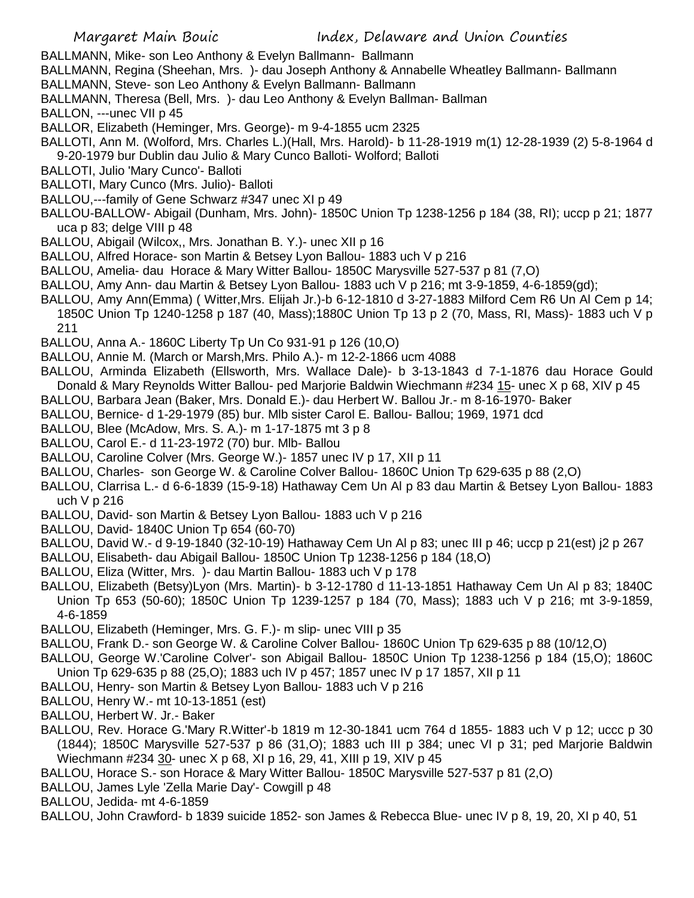- BALLMANN, Mike- son Leo Anthony & Evelyn Ballmann- Ballmann
- BALLMANN, Regina (Sheehan, Mrs. )- dau Joseph Anthony & Annabelle Wheatley Ballmann- Ballmann
- BALLMANN, Steve- son Leo Anthony & Evelyn Ballmann- Ballmann
- BALLMANN, Theresa (Bell, Mrs. )- dau Leo Anthony & Evelyn Ballman- Ballman
- BALLON, ---unec VII p 45
- BALLOR, Elizabeth (Heminger, Mrs. George)- m 9-4-1855 ucm 2325
- BALLOTI, Ann M. (Wolford, Mrs. Charles L.)(Hall, Mrs. Harold)- b 11-28-1919 m(1) 12-28-1939 (2) 5-8-1964 d 9-20-1979 bur Dublin dau Julio & Mary Cunco Balloti- Wolford; Balloti
- BALLOTI, Julio 'Mary Cunco'- Balloti
- BALLOTI, Mary Cunco (Mrs. Julio)- Balloti
- BALLOU,---family of Gene Schwarz #347 unec XI p 49
- BALLOU-BALLOW- Abigail (Dunham, Mrs. John)- 1850C Union Tp 1238-1256 p 184 (38, RI); uccp p 21; 1877 uca p 83; delge VIII p 48
- BALLOU, Abigail (Wilcox,, Mrs. Jonathan B. Y.)- unec XII p 16
- BALLOU, Alfred Horace- son Martin & Betsey Lyon Ballou- 1883 uch V p 216
- BALLOU, Amelia- dau Horace & Mary Witter Ballou- 1850C Marysville 527-537 p 81 (7,O)
- BALLOU, Amy Ann- dau Martin & Betsey Lyon Ballou- 1883 uch V p 216; mt 3-9-1859, 4-6-1859(gd);
- BALLOU, Amy Ann(Emma) ( Witter,Mrs. Elijah Jr.)-b 6-12-1810 d 3-27-1883 Milford Cem R6 Un Al Cem p 14; 1850C Union Tp 1240-1258 p 187 (40, Mass);1880C Union Tp 13 p 2 (70, Mass, RI, Mass)- 1883 uch V p 211
- BALLOU, Anna A.- 1860C Liberty Tp Un Co 931-91 p 126 (10,O)
- BALLOU, Annie M. (March or Marsh,Mrs. Philo A.)- m 12-2-1866 ucm 4088
- BALLOU, Arminda Elizabeth (Ellsworth, Mrs. Wallace Dale)- b 3-13-1843 d 7-1-1876 dau Horace Gould Donald & Mary Reynolds Witter Ballou- ped Marjorie Baldwin Wiechmann #234 15- unec X p 68, XIV p 45
- BALLOU, Barbara Jean (Baker, Mrs. Donald E.)- dau Herbert W. Ballou Jr.- m 8-16-1970- Baker
- BALLOU, Bernice- d 1-29-1979 (85) bur. Mlb sister Carol E. Ballou- Ballou; 1969, 1971 dcd
- BALLOU, Blee (McAdow, Mrs. S. A.)- m 1-17-1875 mt 3 p 8
- BALLOU, Carol E.- d 11-23-1972 (70) bur. Mlb- Ballou
- BALLOU, Caroline Colver (Mrs. George W.)- 1857 unec IV p 17, XII p 11
- BALLOU, Charles- son George W. & Caroline Colver Ballou- 1860C Union Tp 629-635 p 88 (2,O)
- BALLOU, Clarrisa L.- d 6-6-1839 (15-9-18) Hathaway Cem Un Al p 83 dau Martin & Betsey Lyon Ballou- 1883 uch V p 216
- BALLOU, David- son Martin & Betsey Lyon Ballou- 1883 uch V p 216
- BALLOU, David- 1840C Union Tp 654 (60-70)
- BALLOU, David W.- d 9-19-1840 (32-10-19) Hathaway Cem Un Al p 83; unec III p 46; uccp p 21(est) j2 p 267
- BALLOU, Elisabeth- dau Abigail Ballou- 1850C Union Tp 1238-1256 p 184 (18,O)
- BALLOU, Eliza (Witter, Mrs. )- dau Martin Ballou- 1883 uch V p 178
- BALLOU, Elizabeth (Betsy)Lyon (Mrs. Martin)- b 3-12-1780 d 11-13-1851 Hathaway Cem Un Al p 83; 1840C Union Tp 653 (50-60); 1850C Union Tp 1239-1257 p 184 (70, Mass); 1883 uch V p 216; mt 3-9-1859, 4-6-1859
- BALLOU, Elizabeth (Heminger, Mrs. G. F.)- m slip- unec VIII p 35
- BALLOU, Frank D.- son George W. & Caroline Colver Ballou- 1860C Union Tp 629-635 p 88 (10/12,O)
- BALLOU, George W.'Caroline Colver'- son Abigail Ballou- 1850C Union Tp 1238-1256 p 184 (15,O); 1860C Union Tp 629-635 p 88 (25,O); 1883 uch IV p 457; 1857 unec IV p 17 1857, XII p 11
- BALLOU, Henry- son Martin & Betsey Lyon Ballou- 1883 uch V p 216
- BALLOU, Henry W.- mt 10-13-1851 (est)
- BALLOU, Herbert W. Jr.- Baker
- BALLOU, Rev. Horace G.'Mary R.Witter'-b 1819 m 12-30-1841 ucm 764 d 1855- 1883 uch V p 12; uccc p 30 (1844); 1850C Marysville 527-537 p 86 (31,O); 1883 uch III p 384; unec VI p 31; ped Marjorie Baldwin Wiechmann #234 30- unec X p 68, XI p 16, 29, 41, XIII p 19, XIV p 45
- BALLOU, Horace S.- son Horace & Mary Witter Ballou- 1850C Marysville 527-537 p 81 (2,O)
- BALLOU, James Lyle 'Zella Marie Day'- Cowgill p 48
- BALLOU, Jedida- mt 4-6-1859
- BALLOU, John Crawford- b 1839 suicide 1852- son James & Rebecca Blue- unec IV p 8, 19, 20, XI p 40, 51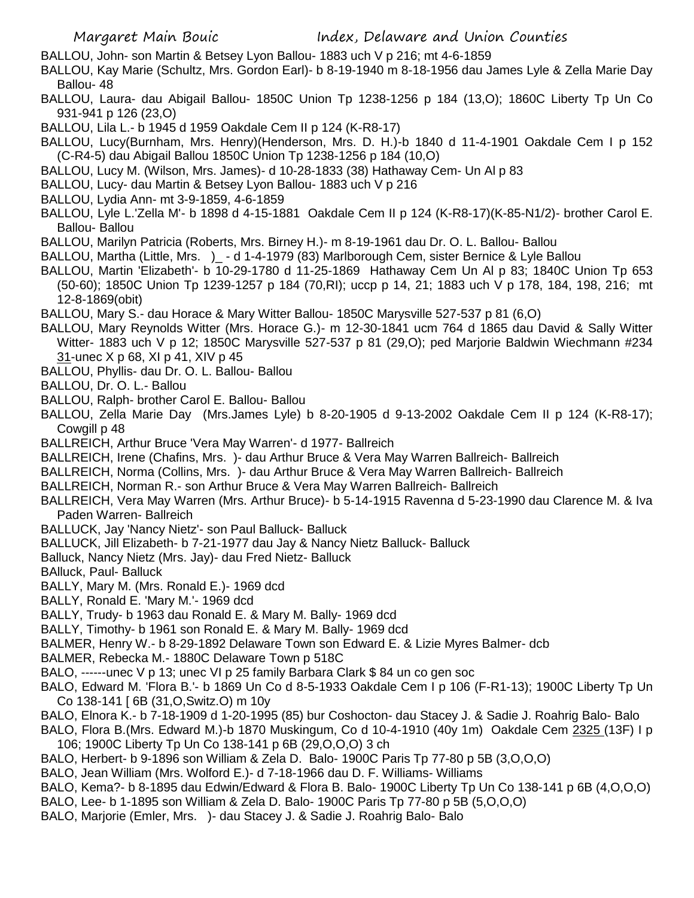- BALLOU, John- son Martin & Betsey Lyon Ballou- 1883 uch V p 216; mt 4-6-1859
- BALLOU, Kay Marie (Schultz, Mrs. Gordon Earl)- b 8-19-1940 m 8-18-1956 dau James Lyle & Zella Marie Day Ballou- 48
- BALLOU, Laura- dau Abigail Ballou- 1850C Union Tp 1238-1256 p 184 (13,O); 1860C Liberty Tp Un Co 931-941 p 126 (23,O)
- BALLOU, Lila L.- b 1945 d 1959 Oakdale Cem II p 124 (K-R8-17)
- BALLOU, Lucy(Burnham, Mrs. Henry)(Henderson, Mrs. D. H.)-b 1840 d 11-4-1901 Oakdale Cem I p 152 (C-R4-5) dau Abigail Ballou 1850C Union Tp 1238-1256 p 184 (10,O)
- BALLOU, Lucy M. (Wilson, Mrs. James)- d 10-28-1833 (38) Hathaway Cem- Un Al p 83
- BALLOU, Lucy- dau Martin & Betsey Lyon Ballou- 1883 uch V p 216
- BALLOU, Lydia Ann- mt 3-9-1859, 4-6-1859
- BALLOU, Lyle L.'Zella M'- b 1898 d 4-15-1881 Oakdale Cem II p 124 (K-R8-17)(K-85-N1/2)- brother Carol E. Ballou- Ballou
- BALLOU, Marilyn Patricia (Roberts, Mrs. Birney H.)- m 8-19-1961 dau Dr. O. L. Ballou- Ballou
- BALLOU, Martha (Little, Mrs. )\_ d 1-4-1979 (83) Marlborough Cem, sister Bernice & Lyle Ballou
- BALLOU, Martin 'Elizabeth'- b 10-29-1780 d 11-25-1869 Hathaway Cem Un Al p 83; 1840C Union Tp 653 (50-60); 1850C Union Tp 1239-1257 p 184 (70,RI); uccp p 14, 21; 1883 uch V p 178, 184, 198, 216; mt 12-8-1869(obit)
- BALLOU, Mary S.- dau Horace & Mary Witter Ballou- 1850C Marysville 527-537 p 81 (6,O)
- BALLOU, Mary Reynolds Witter (Mrs. Horace G.)- m 12-30-1841 ucm 764 d 1865 dau David & Sally Witter Witter- 1883 uch V p 12; 1850C Marysville 527-537 p 81 (29,O); ped Marjorie Baldwin Wiechmann #234 31-unec X p 68, XI p 41, XIV p 45
- BALLOU, Phyllis- dau Dr. O. L. Ballou- Ballou
- BALLOU, Dr. O. L.- Ballou
- BALLOU, Ralph- brother Carol E. Ballou- Ballou
- BALLOU, Zella Marie Day (Mrs.James Lyle) b 8-20-1905 d 9-13-2002 Oakdale Cem II p 124 (K-R8-17); Cowgill p 48
- BALLREICH, Arthur Bruce 'Vera May Warren'- d 1977- Ballreich
- BALLREICH, Irene (Chafins, Mrs. )- dau Arthur Bruce & Vera May Warren Ballreich- Ballreich
- BALLREICH, Norma (Collins, Mrs. )- dau Arthur Bruce & Vera May Warren Ballreich- Ballreich
- BALLREICH, Norman R.- son Arthur Bruce & Vera May Warren Ballreich- Ballreich
- BALLREICH, Vera May Warren (Mrs. Arthur Bruce)- b 5-14-1915 Ravenna d 5-23-1990 dau Clarence M. & Iva Paden Warren- Ballreich
- BALLUCK, Jay 'Nancy Nietz'- son Paul Balluck- Balluck
- BALLUCK, Jill Elizabeth- b 7-21-1977 dau Jay & Nancy Nietz Balluck- Balluck
- Balluck, Nancy Nietz (Mrs. Jay)- dau Fred Nietz- Balluck
- BAlluck, Paul- Balluck
- BALLY, Mary M. (Mrs. Ronald E.)- 1969 dcd
- BALLY, Ronald E. 'Mary M.'- 1969 dcd
- BALLY, Trudy- b 1963 dau Ronald E. & Mary M. Bally- 1969 dcd
- BALLY, Timothy- b 1961 son Ronald E. & Mary M. Bally- 1969 dcd
- BALMER, Henry W.- b 8-29-1892 Delaware Town son Edward E. & Lizie Myres Balmer- dcb
- BALMER, Rebecka M.- 1880C Delaware Town p 518C
- BALO, ------unec V p 13; unec VI p 25 family Barbara Clark \$ 84 un co gen soc
- BALO, Edward M. 'Flora B.'- b 1869 Un Co d 8-5-1933 Oakdale Cem I p 106 (F-R1-13); 1900C Liberty Tp Un Co 138-141 [ 6B (31,O,Switz.O) m 10y
- BALO, Elnora K.- b 7-18-1909 d 1-20-1995 (85) bur Coshocton- dau Stacey J. & Sadie J. Roahrig Balo- Balo
- BALO, Flora B.(Mrs. Edward M.)-b 1870 Muskingum, Co d 10-4-1910 (40y 1m) Oakdale Cem 2325 (13F) I p 106; 1900C Liberty Tp Un Co 138-141 p 6B (29,O,O,O) 3 ch
- BALO, Herbert- b 9-1896 son William & Zela D. Balo- 1900C Paris Tp 77-80 p 5B (3,O,O,O)
- BALO, Jean William (Mrs. Wolford E.)- d 7-18-1966 dau D. F. Williams- Williams
- BALO, Kema?- b 8-1895 dau Edwin/Edward & Flora B. Balo- 1900C Liberty Tp Un Co 138-141 p 6B (4,O,O,O)
- BALO, Lee- b 1-1895 son William & Zela D. Balo- 1900C Paris Tp 77-80 p 5B (5,O,O,O)
- BALO, Marjorie (Emler, Mrs. )- dau Stacey J. & Sadie J. Roahrig Balo- Balo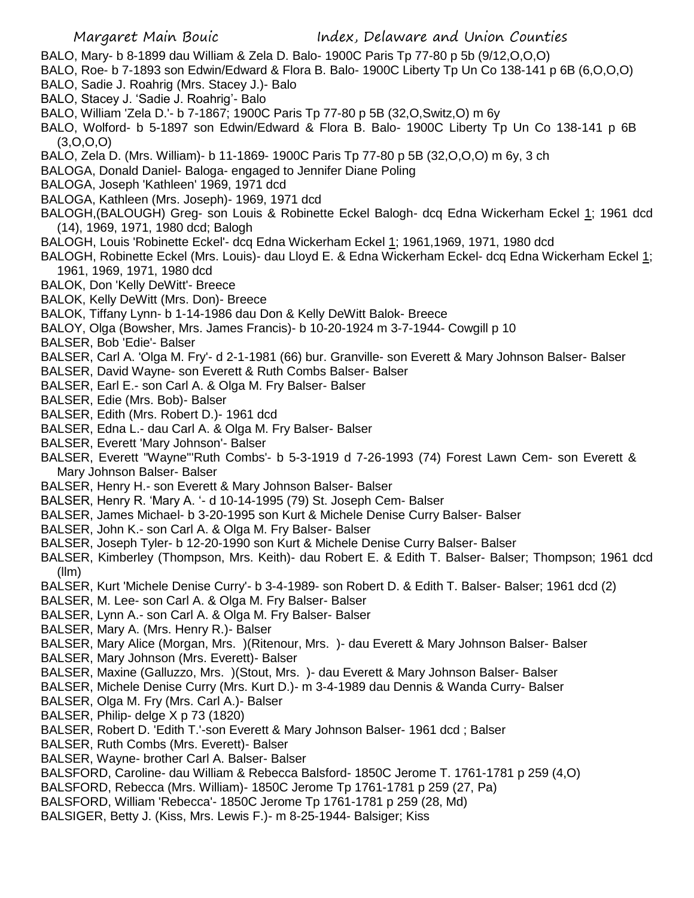- BALO, Mary- b 8-1899 dau William & Zela D. Balo- 1900C Paris Tp 77-80 p 5b (9/12,O,O,O)
- BALO, Roe- b 7-1893 son Edwin/Edward & Flora B. Balo- 1900C Liberty Tp Un Co 138-141 p 6B (6,O,O,O)
- BALO, Sadie J. Roahrig (Mrs. Stacey J.)- Balo
- BALO, Stacey J. 'Sadie J. Roahrig'- Balo
- BALO, William 'Zela D.'- b 7-1867; 1900C Paris Tp 77-80 p 5B (32,O,Switz,O) m 6y
- BALO, Wolford- b 5-1897 son Edwin/Edward & Flora B. Balo- 1900C Liberty Tp Un Co 138-141 p 6B (3,O,O,O)
- BALO, Zela D. (Mrs. William)- b 11-1869- 1900C Paris Tp 77-80 p 5B (32,O,O,O) m 6y, 3 ch
- BALOGA, Donald Daniel- Baloga- engaged to Jennifer Diane Poling
- BALOGA, Joseph 'Kathleen' 1969, 1971 dcd
- BALOGA, Kathleen (Mrs. Joseph)- 1969, 1971 dcd
- BALOGH,(BALOUGH) Greg- son Louis & Robinette Eckel Balogh- dcq Edna Wickerham Eckel 1; 1961 dcd (14), 1969, 1971, 1980 dcd; Balogh
- BALOGH, Louis 'Robinette Eckel'- dcq Edna Wickerham Eckel 1; 1961,1969, 1971, 1980 dcd
- BALOGH, Robinette Eckel (Mrs. Louis)- dau Lloyd E. & Edna Wickerham Eckel- dcq Edna Wickerham Eckel 1; 1961, 1969, 1971, 1980 dcd
- BALOK, Don 'Kelly DeWitt'- Breece
- BALOK, Kelly DeWitt (Mrs. Don)- Breece
- BALOK, Tiffany Lynn- b 1-14-1986 dau Don & Kelly DeWitt Balok- Breece
- BALOY, Olga (Bowsher, Mrs. James Francis)- b 10-20-1924 m 3-7-1944- Cowgill p 10
- BALSER, Bob 'Edie'- Balser
- BALSER, Carl A. 'Olga M. Fry'- d 2-1-1981 (66) bur. Granville- son Everett & Mary Johnson Balser- Balser
- BALSER, David Wayne- son Everett & Ruth Combs Balser- Balser
- BALSER, Earl E.- son Carl A. & Olga M. Fry Balser- Balser
- BALSER, Edie (Mrs. Bob)- Balser
- BALSER, Edith (Mrs. Robert D.)- 1961 dcd
- BALSER, Edna L.- dau Carl A. & Olga M. Fry Balser- Balser
- BALSER, Everett 'Mary Johnson'- Balser
- BALSER, Everett "Wayne"'Ruth Combs'- b 5-3-1919 d 7-26-1993 (74) Forest Lawn Cem- son Everett & Mary Johnson Balser- Balser
- BALSER, Henry H.- son Everett & Mary Johnson Balser- Balser
- BALSER, Henry R. 'Mary A. '- d 10-14-1995 (79) St. Joseph Cem- Balser
- BALSER, James Michael- b 3-20-1995 son Kurt & Michele Denise Curry Balser- Balser
- BALSER, John K.- son Carl A. & Olga M. Fry Balser- Balser
- BALSER, Joseph Tyler- b 12-20-1990 son Kurt & Michele Denise Curry Balser- Balser
- BALSER, Kimberley (Thompson, Mrs. Keith)- dau Robert E. & Edith T. Balser- Balser; Thompson; 1961 dcd (llm)
- BALSER, Kurt 'Michele Denise Curry'- b 3-4-1989- son Robert D. & Edith T. Balser- Balser; 1961 dcd (2)
- BALSER, M. Lee- son Carl A. & Olga M. Fry Balser- Balser
- BALSER, Lynn A.- son Carl A. & Olga M. Fry Balser- Balser
- BALSER, Mary A. (Mrs. Henry R.)- Balser
- BALSER, Mary Alice (Morgan, Mrs. )(Ritenour, Mrs. )- dau Everett & Mary Johnson Balser- Balser
- BALSER, Mary Johnson (Mrs. Everett)- Balser
- BALSER, Maxine (Galluzzo, Mrs. )(Stout, Mrs. )- dau Everett & Mary Johnson Balser- Balser
- BALSER, Michele Denise Curry (Mrs. Kurt D.)- m 3-4-1989 dau Dennis & Wanda Curry- Balser
- BALSER, Olga M. Fry (Mrs. Carl A.)- Balser
- BALSER, Philip- delge X p 73 (1820)
- BALSER, Robert D. 'Edith T.'-son Everett & Mary Johnson Balser- 1961 dcd ; Balser
- BALSER, Ruth Combs (Mrs. Everett)- Balser
- BALSER, Wayne- brother Carl A. Balser- Balser
- BALSFORD, Caroline- dau William & Rebecca Balsford- 1850C Jerome T. 1761-1781 p 259 (4,O)
- BALSFORD, Rebecca (Mrs. William)- 1850C Jerome Tp 1761-1781 p 259 (27, Pa)
- BALSFORD, William 'Rebecca'- 1850C Jerome Tp 1761-1781 p 259 (28, Md)
- BALSIGER, Betty J. (Kiss, Mrs. Lewis F.)- m 8-25-1944- Balsiger; Kiss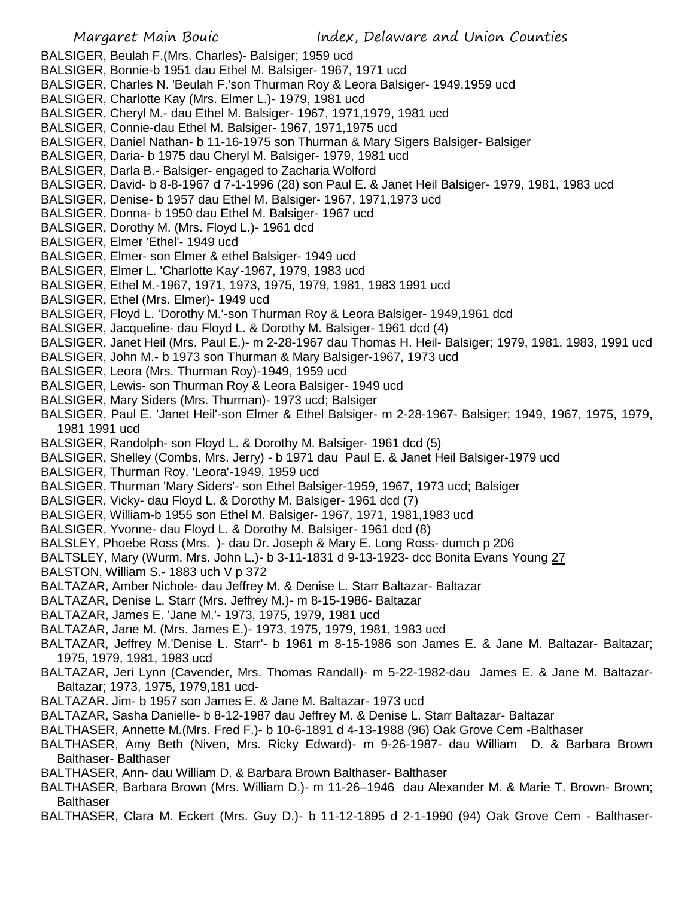- BALSIGER, Beulah F.(Mrs. Charles)- Balsiger; 1959 ucd
- BALSIGER, Bonnie-b 1951 dau Ethel M. Balsiger- 1967, 1971 ucd
- BALSIGER, Charles N. 'Beulah F.'son Thurman Roy & Leora Balsiger- 1949,1959 ucd
- BALSIGER, Charlotte Kay (Mrs. Elmer L.)- 1979, 1981 ucd
- BALSIGER, Cheryl M.- dau Ethel M. Balsiger- 1967, 1971,1979, 1981 ucd
- BALSIGER, Connie-dau Ethel M. Balsiger- 1967, 1971,1975 ucd
- BALSIGER, Daniel Nathan- b 11-16-1975 son Thurman & Mary Sigers Balsiger- Balsiger
- BALSIGER, Daria- b 1975 dau Cheryl M. Balsiger- 1979, 1981 ucd
- BALSIGER, Darla B.- Balsiger- engaged to Zacharia Wolford
- BALSIGER, David- b 8-8-1967 d 7-1-1996 (28) son Paul E. & Janet Heil Balsiger- 1979, 1981, 1983 ucd
- BALSIGER, Denise- b 1957 dau Ethel M. Balsiger- 1967, 1971,1973 ucd
- BALSIGER, Donna- b 1950 dau Ethel M. Balsiger- 1967 ucd
- BALSIGER, Dorothy M. (Mrs. Floyd L.)- 1961 dcd
- BALSIGER, Elmer 'Ethel'- 1949 ucd
- BALSIGER, Elmer- son Elmer & ethel Balsiger- 1949 ucd
- BALSIGER, Elmer L. 'Charlotte Kay'-1967, 1979, 1983 ucd
- BALSIGER, Ethel M.-1967, 1971, 1973, 1975, 1979, 1981, 1983 1991 ucd
- BALSIGER, Ethel (Mrs. Elmer)- 1949 ucd
- BALSIGER, Floyd L. 'Dorothy M.'-son Thurman Roy & Leora Balsiger- 1949,1961 dcd
- BALSIGER, Jacqueline- dau Floyd L. & Dorothy M. Balsiger- 1961 dcd (4)
- BALSIGER, Janet Heil (Mrs. Paul E.)- m 2-28-1967 dau Thomas H. Heil- Balsiger; 1979, 1981, 1983, 1991 ucd
- BALSIGER, John M.- b 1973 son Thurman & Mary Balsiger-1967, 1973 ucd
- BALSIGER, Leora (Mrs. Thurman Roy)-1949, 1959 ucd
- BALSIGER, Lewis- son Thurman Roy & Leora Balsiger- 1949 ucd
- BALSIGER, Mary Siders (Mrs. Thurman)- 1973 ucd; Balsiger
- BALSIGER, Paul E. 'Janet Heil'-son Elmer & Ethel Balsiger- m 2-28-1967- Balsiger; 1949, 1967, 1975, 1979, 1981 1991 ucd
- BALSIGER, Randolph- son Floyd L. & Dorothy M. Balsiger- 1961 dcd (5)
- BALSIGER, Shelley (Combs, Mrs. Jerry) b 1971 dau Paul E. & Janet Heil Balsiger-1979 ucd
- BALSIGER, Thurman Roy. 'Leora'-1949, 1959 ucd
- BALSIGER, Thurman 'Mary Siders'- son Ethel Balsiger-1959, 1967, 1973 ucd; Balsiger
- BALSIGER, Vicky- dau Floyd L. & Dorothy M. Balsiger- 1961 dcd (7)
- BALSIGER, William-b 1955 son Ethel M. Balsiger- 1967, 1971, 1981,1983 ucd
- BALSIGER, Yvonne- dau Floyd L. & Dorothy M. Balsiger- 1961 dcd (8)
- BALSLEY, Phoebe Ross (Mrs. )- dau Dr. Joseph & Mary E. Long Ross- dumch p 206
- BALTSLEY, Mary (Wurm, Mrs. John L.)- b 3-11-1831 d 9-13-1923- dcc Bonita Evans Young 27
- BALSTON, William S.- 1883 uch V p 372
- BALTAZAR, Amber Nichole- dau Jeffrey M. & Denise L. Starr Baltazar- Baltazar
- BALTAZAR, Denise L. Starr (Mrs. Jeffrey M.)- m 8-15-1986- Baltazar
- BALTAZAR, James E. 'Jane M.'- 1973, 1975, 1979, 1981 ucd
- BALTAZAR, Jane M. (Mrs. James E.)- 1973, 1975, 1979, 1981, 1983 ucd
- BALTAZAR, Jeffrey M.'Denise L. Starr'- b 1961 m 8-15-1986 son James E. & Jane M. Baltazar- Baltazar; 1975, 1979, 1981, 1983 ucd
- BALTAZAR, Jeri Lynn (Cavender, Mrs. Thomas Randall)- m 5-22-1982-dau James E. & Jane M. Baltazar-Baltazar; 1973, 1975, 1979,181 ucd-
- BALTAZAR. Jim- b 1957 son James E. & Jane M. Baltazar- 1973 ucd
- BALTAZAR, Sasha Danielle- b 8-12-1987 dau Jeffrey M. & Denise L. Starr Baltazar- Baltazar
- BALTHASER, Annette M.(Mrs. Fred F.)- b 10-6-1891 d 4-13-1988 (96) Oak Grove Cem -Balthaser
- BALTHASER, Amy Beth (Niven, Mrs. Ricky Edward)- m 9-26-1987- dau William D. & Barbara Brown Balthaser- Balthaser
- BALTHASER, Ann- dau William D. & Barbara Brown Balthaser- Balthaser
- BALTHASER, Barbara Brown (Mrs. William D.)- m 11-26–1946 dau Alexander M. & Marie T. Brown- Brown; Balthaser
- BALTHASER, Clara M. Eckert (Mrs. Guy D.)- b 11-12-1895 d 2-1-1990 (94) Oak Grove Cem Balthaser-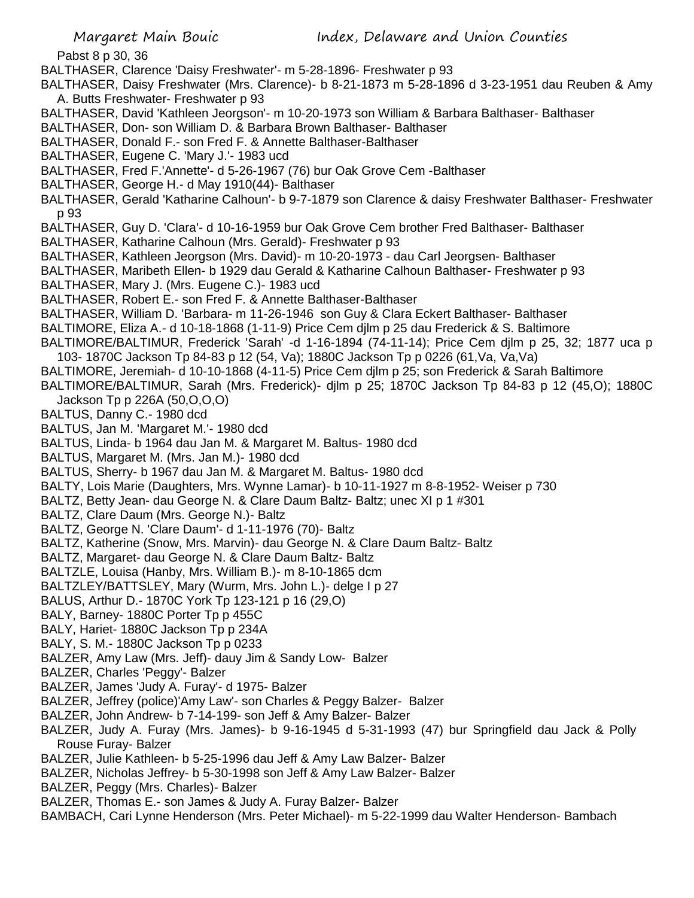Pabst 8 p 30, 36

BALTHASER, Clarence 'Daisy Freshwater'- m 5-28-1896- Freshwater p 93

BALTHASER, Daisy Freshwater (Mrs. Clarence)- b 8-21-1873 m 5-28-1896 d 3-23-1951 dau Reuben & Amy A. Butts Freshwater- Freshwater p 93

BALTHASER, David 'Kathleen Jeorgson'- m 10-20-1973 son William & Barbara Balthaser- Balthaser

BALTHASER, Don- son William D. & Barbara Brown Balthaser- Balthaser

BALTHASER, Donald F.- son Fred F. & Annette Balthaser-Balthaser

BALTHASER, Eugene C. 'Mary J.'- 1983 ucd

BALTHASER, Fred F.'Annette'- d 5-26-1967 (76) bur Oak Grove Cem -Balthaser

BALTHASER, George H.- d May 1910(44)- Balthaser

BALTHASER, Gerald 'Katharine Calhoun'- b 9-7-1879 son Clarence & daisy Freshwater Balthaser- Freshwater p 93

BALTHASER, Guy D. 'Clara'- d 10-16-1959 bur Oak Grove Cem brother Fred Balthaser- Balthaser

- BALTHASER, Katharine Calhoun (Mrs. Gerald)- Freshwater p 93
- BALTHASER, Kathleen Jeorgson (Mrs. David)- m 10-20-1973 dau Carl Jeorgsen- Balthaser
- BALTHASER, Maribeth Ellen- b 1929 dau Gerald & Katharine Calhoun Balthaser- Freshwater p 93

BALTHASER, Mary J. (Mrs. Eugene C.)- 1983 ucd

BALTHASER, Robert E.- son Fred F. & Annette Balthaser-Balthaser

BALTHASER, William D. 'Barbara- m 11-26-1946 son Guy & Clara Eckert Balthaser- Balthaser

BALTIMORE, Eliza A.- d 10-18-1868 (1-11-9) Price Cem djlm p 25 dau Frederick & S. Baltimore

- BALTIMORE/BALTIMUR, Frederick 'Sarah' -d 1-16-1894 (74-11-14); Price Cem djlm p 25, 32; 1877 uca p 103- 1870C Jackson Tp 84-83 p 12 (54, Va); 1880C Jackson Tp p 0226 (61,Va, Va,Va)
- BALTIMORE, Jeremiah- d 10-10-1868 (4-11-5) Price Cem djlm p 25; son Frederick & Sarah Baltimore
- BALTIMORE/BALTIMUR, Sarah (Mrs. Frederick)- djlm p 25; 1870C Jackson Tp 84-83 p 12 (45,O); 1880C Jackson Tp p 226A (50,O,O,O)

BALTUS, Danny C.- 1980 dcd

- BALTUS, Jan M. 'Margaret M.'- 1980 dcd
- BALTUS, Linda- b 1964 dau Jan M. & Margaret M. Baltus- 1980 dcd
- BALTUS, Margaret M. (Mrs. Jan M.)- 1980 dcd
- BALTUS, Sherry- b 1967 dau Jan M. & Margaret M. Baltus- 1980 dcd
- BALTY, Lois Marie (Daughters, Mrs. Wynne Lamar)- b 10-11-1927 m 8-8-1952- Weiser p 730
- BALTZ, Betty Jean- dau George N. & Clare Daum Baltz- Baltz; unec XI p 1 #301
- BALTZ, Clare Daum (Mrs. George N.)- Baltz
- BALTZ, George N. 'Clare Daum'- d 1-11-1976 (70)- Baltz
- BALTZ, Katherine (Snow, Mrs. Marvin)- dau George N. & Clare Daum Baltz- Baltz
- BALTZ, Margaret- dau George N. & Clare Daum Baltz- Baltz
- BALTZLE, Louisa (Hanby, Mrs. William B.)- m 8-10-1865 dcm
- BALTZLEY/BATTSLEY, Mary (Wurm, Mrs. John L.)- delge I p 27
- BALUS, Arthur D.- 1870C York Tp 123-121 p 16 (29,O)
- BALY, Barney- 1880C Porter Tp p 455C
- BALY, Hariet- 1880C Jackson Tp p 234A
- BALY, S. M.- 1880C Jackson Tp p 0233
- BALZER, Amy Law (Mrs. Jeff)- dauy Jim & Sandy Low- Balzer
- BALZER, Charles 'Peggy'- Balzer
- BALZER, James 'Judy A. Furay'- d 1975- Balzer
- BALZER, Jeffrey (police)'Amy Law'- son Charles & Peggy Balzer- Balzer
- BALZER, John Andrew- b 7-14-199- son Jeff & Amy Balzer- Balzer
- BALZER, Judy A. Furay (Mrs. James)- b 9-16-1945 d 5-31-1993 (47) bur Springfield dau Jack & Polly Rouse Furay- Balzer
- BALZER, Julie Kathleen- b 5-25-1996 dau Jeff & Amy Law Balzer- Balzer
- BALZER, Nicholas Jeffrey- b 5-30-1998 son Jeff & Amy Law Balzer- Balzer
- BALZER, Peggy (Mrs. Charles)- Balzer
- BALZER, Thomas E.- son James & Judy A. Furay Balzer- Balzer
- BAMBACH, Cari Lynne Henderson (Mrs. Peter Michael)- m 5-22-1999 dau Walter Henderson- Bambach